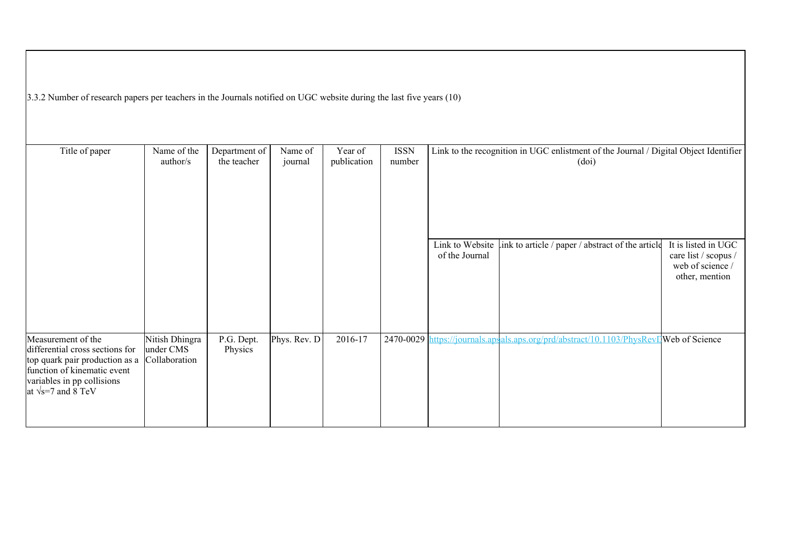3.3.2 Number of research papers per teachers in the Journals notified on UGC website during the last five years (10)

| Title of paper                                                | Name of the    | Department of | Name of      | Year of     | <b>ISSN</b> |                                   | Link to the recognition in UGC enlistment of the Journal / Digital Object Identifier  |                                             |
|---------------------------------------------------------------|----------------|---------------|--------------|-------------|-------------|-----------------------------------|---------------------------------------------------------------------------------------|---------------------------------------------|
|                                                               | author/s       | the teacher   | journal      | publication | number      |                                   | (doi)                                                                                 |                                             |
|                                                               |                |               |              |             |             |                                   |                                                                                       |                                             |
|                                                               |                |               |              |             |             |                                   |                                                                                       |                                             |
|                                                               |                |               |              |             |             |                                   |                                                                                       |                                             |
|                                                               |                |               |              |             |             |                                   |                                                                                       |                                             |
|                                                               |                |               |              |             |             |                                   |                                                                                       |                                             |
|                                                               |                |               |              |             |             | Link to Website<br>of the Journal | ink to article / paper / abstract of the article                                      | It is listed in UGC<br>care list / scopus / |
|                                                               |                |               |              |             |             |                                   |                                                                                       | web of science /                            |
|                                                               |                |               |              |             |             |                                   |                                                                                       | other, mention                              |
|                                                               |                |               |              |             |             |                                   |                                                                                       |                                             |
|                                                               |                |               |              |             |             |                                   |                                                                                       |                                             |
|                                                               |                |               |              |             |             |                                   |                                                                                       |                                             |
| Measurement of the                                            | Nitish Dhingra | P.G. Dept.    | Phys. Rev. D | 2016-17     |             |                                   | 2470-0029 https://journals.apsals.aps.org/prd/abstract/10.1103/PhysRevIWeb of Science |                                             |
| differential cross sections for                               | under CMS      | Physics       |              |             |             |                                   |                                                                                       |                                             |
| top quark pair production as a<br>function of kinematic event | Collaboration  |               |              |             |             |                                   |                                                                                       |                                             |
| variables in pp collisions                                    |                |               |              |             |             |                                   |                                                                                       |                                             |
| at $\sqrt{s}$ =7 and 8 TeV                                    |                |               |              |             |             |                                   |                                                                                       |                                             |
|                                                               |                |               |              |             |             |                                   |                                                                                       |                                             |
|                                                               |                |               |              |             |             |                                   |                                                                                       |                                             |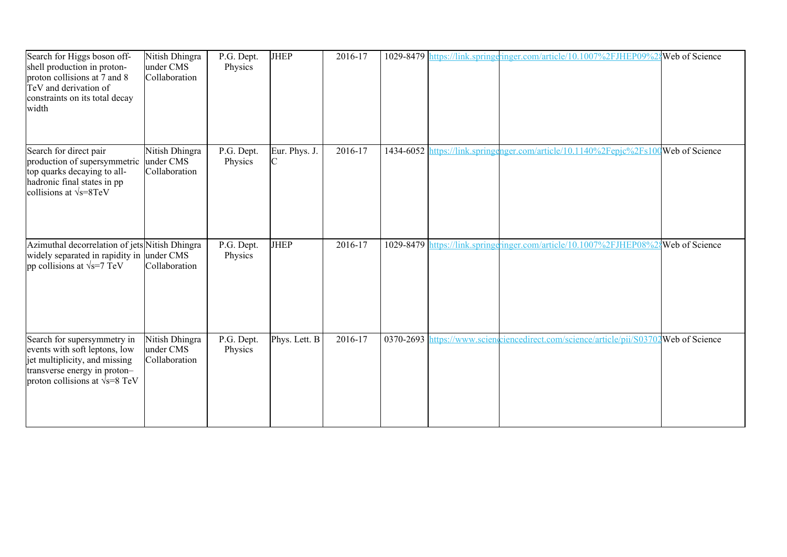| Search for Higgs boson off-<br>shell production in proton-<br>proton collisions at 7 and 8<br>TeV and derivation of<br>constraints on its total decay<br>width          | Nitish Dhingra<br>under CMS<br>Collaboration | P.G. Dept.<br>Physics | <b>JHEP</b>        | 2016-17     |  | 1029-8479 https://link.springeringer.com/article/10.1007%2FJHEP09%2{Web of Science    |  |
|-------------------------------------------------------------------------------------------------------------------------------------------------------------------------|----------------------------------------------|-----------------------|--------------------|-------------|--|---------------------------------------------------------------------------------------|--|
| Search for direct pair<br>production of supersymmetric<br>top quarks decaying to all-<br>hadronic final states in pp<br>collisions at $\sqrt{s}$ =8TeV                  | Nitish Dhingra<br>under CMS<br>Collaboration | P.G. Dept.<br>Physics | Eur. Phys. J.<br>C | $2016 - 17$ |  | 1434-6052 https://link.springenger.com/article/10.1140%2Fepjc%2Fs100 Web of Science   |  |
| Azimuthal decorrelation of jets Nitish Dhingra<br>widely separated in rapidity in under CMS<br>pp collisions at $\sqrt{s}$ =7 TeV                                       | Collaboration                                | P.G. Dept.<br>Physics | <b>JHEP</b>        | 2016-17     |  | 1029-8479 https://link.springgringer.com/article/10.1007%2FJHEP08%28Web of Science    |  |
| Search for supersymmetry in<br>events with soft leptons, low<br>jet multiplicity, and missing<br>transverse energy in proton-<br>proton collisions at $\sqrt{s}$ =8 TeV | Nitish Dhingra<br>under CMS<br>Collaboration | P.G. Dept.<br>Physics | Phys. Lett. B      | 2016-17     |  | 0370-2693 https://www.scienceiencedirect.com/science/article/pii/S03702Web of Science |  |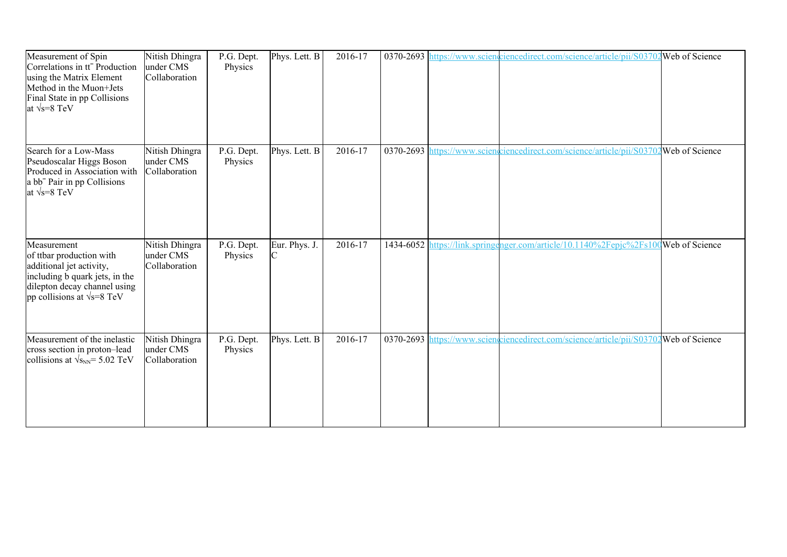| Measurement of Spin<br>Correlations in tt <sup>-</sup> Production<br>using the Matrix Element<br>Method in the Muon+Jets<br>Final State in pp Collisions<br>at $\sqrt{s} = 8$ TeV | Nitish Dhingra<br>under CMS<br>Collaboration | P.G. Dept.<br>Physics | Phys. Lett. B | 2016-17 |  | 0370-2693 https://www.scienciencedirect.com/science/article/pii/S03702 Web of Science |  |
|-----------------------------------------------------------------------------------------------------------------------------------------------------------------------------------|----------------------------------------------|-----------------------|---------------|---------|--|---------------------------------------------------------------------------------------|--|
| Search for a Low-Mass<br>Pseudoscalar Higgs Boson<br>Produced in Association with<br>a bb <sup>-</sup> Pair in pp Collisions<br>at $\sqrt{s} = 8$ TeV                             | Nitish Dhingra<br>under CMS<br>Collaboration | P.G. Dept.<br>Physics | Phys. Lett. B | 2016-17 |  | 0370-2693 https://www.scienceiencedirect.com/science/article/pii/S03702Web of Science |  |
| Measurement<br>of ttbar production with<br>additional jet activity,<br>including b quark jets, in the<br>dilepton decay channel using<br>pp collisions at $\sqrt{s}$ =8 TeV       | Nitish Dhingra<br>under CMS<br>Collaboration | P.G. Dept.<br>Physics | Eur. Phys. J. | 2016-17 |  | 1434-6052 https://link.springenger.com/article/10.1140%2Fepjc%2Fs100Web of Science    |  |
| Measurement of the inelastic<br>cross section in proton-lead<br>collisions at $\sqrt{s_{NN}}$ = 5.02 TeV                                                                          | Nitish Dhingra<br>under CMS<br>Collaboration | P.G. Dept.<br>Physics | Phys. Lett. B | 2016-17 |  | 0370-2693 https://www.sciengriencedirect.com/science/article/pii/S03702Web of Science |  |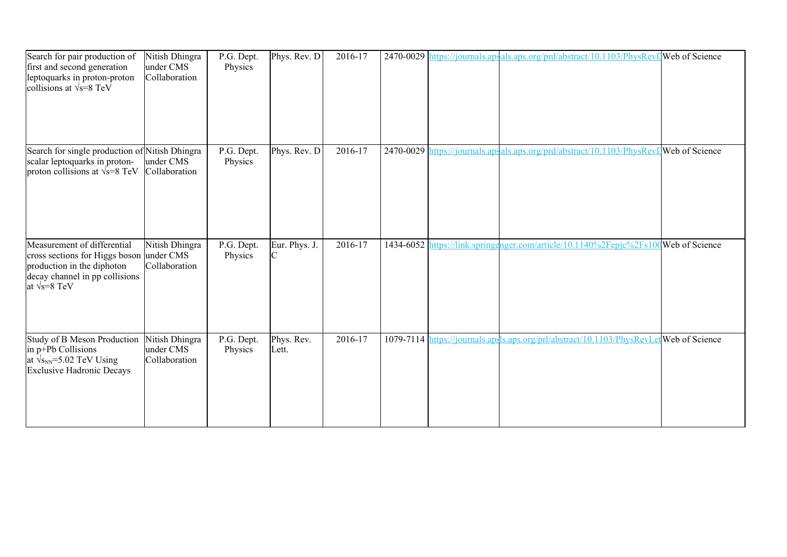| Search for pair production of<br>first and second generation<br>leptoquarks in proton-proton<br>collisions at $\sqrt{s} = 8 \text{ TeV}$                         | Nitish Dhingra<br>under CMS<br>Collaboration | P.G. Dept.<br>Physics | Phys. Rev. D        | 2016-17 |  | 2470-0029 https://journals.apsals.aps.org/prd/abstract/10.1103/PhysRevI Web of Science |  |
|------------------------------------------------------------------------------------------------------------------------------------------------------------------|----------------------------------------------|-----------------------|---------------------|---------|--|----------------------------------------------------------------------------------------|--|
| Search for single production of Nitish Dhingra<br>scalar leptoquarks in proton-<br>proton collisions at $\sqrt{s}$ =8 TeV                                        | under CMS<br>Collaboration                   | P.G. Dept.<br>Physics | Phys. Rev. D        | 2016-17 |  | 2470-0029 https://journals.apsals.aps.org/prd/abstract/10.1103/PhysRevIWeb of Science  |  |
| Measurement of differential<br>cross sections for Higgs boson under CMS<br>production in the diphoton<br>decay channel in pp collisions<br>at $\sqrt{s} = 8$ TeV | Nitish Dhingra<br>Collaboration              | P.G. Dept.<br>Physics | Eur. Phys. J.<br>C  | 2016-17 |  | 1434-6052 https://link.springenger.com/article/10.1140%2Fepjc%2Fs100Web of Science     |  |
| Study of B Meson Production<br>in p+Pb Collisions<br>at $\sqrt{s_{NN}}$ =5.02 TeV Using<br><b>Exclusive Hadronic Decays</b>                                      | Nitish Dhingra<br>under CMS<br>Collaboration | P.G. Dept.<br>Physics | Phys. Rev.<br>Lett. | 2016-17 |  | 1079-7114 https://journals.apsls.aps.org/prl/abstract/10.1103/PhysRevLetWeb of Science |  |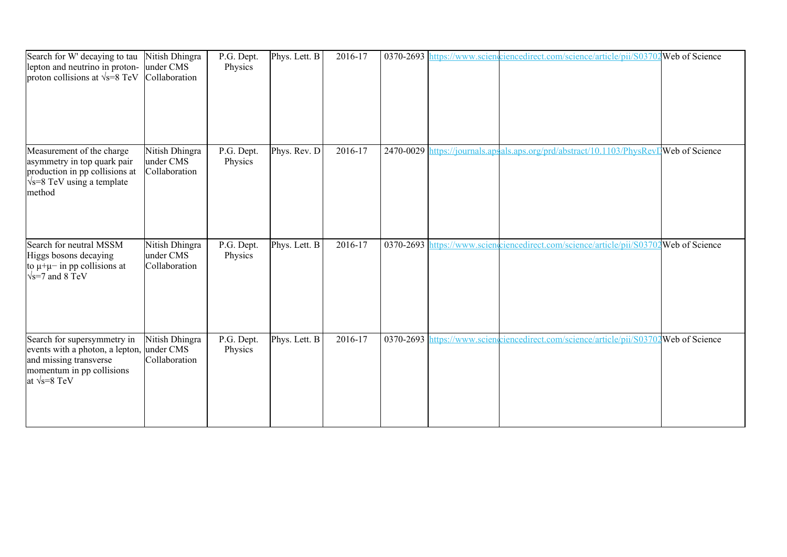| Search for W' decaying to tau<br>lepton and neutrino in proton-<br>proton collisions at $\sqrt{s}$ =8 TeV                                      | Nitish Dhingra<br>under CMS<br>Collaboration | P.G. Dept.<br>Physics | Phys. Lett. B | 2016-17 |  | 0370-2693 https://www.scienceiencedirect.com/science/article/pii/S03702Web of Science  |  |
|------------------------------------------------------------------------------------------------------------------------------------------------|----------------------------------------------|-----------------------|---------------|---------|--|----------------------------------------------------------------------------------------|--|
| Measurement of the charge<br>asymmetry in top quark pair<br>production in pp collisions at<br>$\sqrt{s}$ =8 TeV using a template<br>method     | Nitish Dhingra<br>under CMS<br>Collaboration | P.G. Dept.<br>Physics | Phys. Rev. D  | 2016-17 |  | 2470-0029 https://journals.apsals.aps.org/prd/abstract/10.1103/PhysRevI Web of Science |  |
| Search for neutral MSSM<br>Higgs bosons decaying<br>to $\mu + \mu$ in pp collisions at<br>$\sqrt{s}$ =7 and 8 TeV                              | Nitish Dhingra<br>under CMS<br>Collaboration | P.G. Dept.<br>Physics | Phys. Lett. B | 2016-17 |  | 0370-2693 https://www.scienceiencedirect.com/science/article/pii/S03702Web of Science  |  |
| Search for supersymmetry in<br>events with a photon, a lepton,<br>and missing transverse<br>momentum in pp collisions<br>at $\sqrt{s} = 8$ TeV | Nitish Dhingra<br>under CMS<br>Collaboration | P.G. Dept.<br>Physics | Phys. Lett. B | 2016-17 |  | 0370-2693 https://www.sciengriencedirect.com/science/article/pii/S03702Web of Science  |  |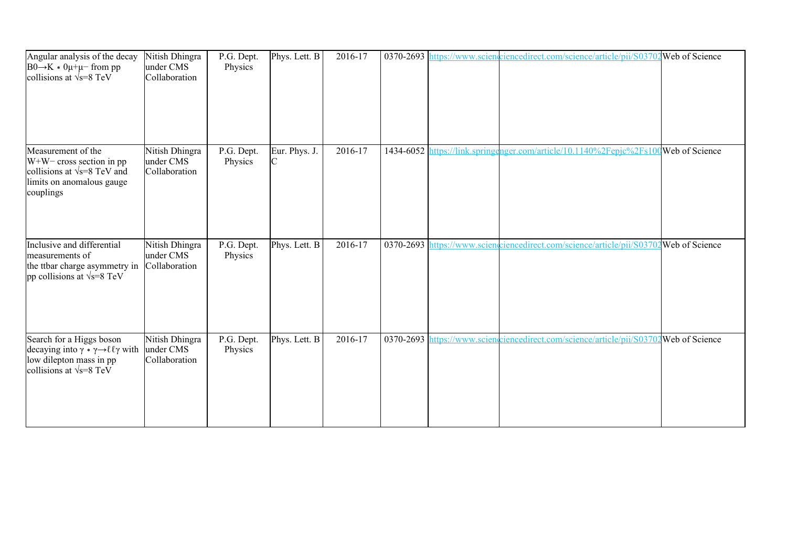| Angular analysis of the decay<br>$B0 \rightarrow K * 0\mu + \mu$ from pp<br>collisions at $\sqrt{s} = 8$ TeV                                                 | Nitish Dhingra<br>under CMS<br>Collaboration | P.G. Dept.<br>Physics | Phys. Lett. B                   | 2016-17 |  | 0370-2693 https://www.scienceiencedirect.com/science/article/pii/S03702Web of Science |  |
|--------------------------------------------------------------------------------------------------------------------------------------------------------------|----------------------------------------------|-----------------------|---------------------------------|---------|--|---------------------------------------------------------------------------------------|--|
| Measurement of the<br>$W+W$ cross section in pp<br>collisions at $\sqrt{s}$ =8 TeV and<br>limits on anomalous gauge<br>couplings                             | Nitish Dhingra<br>under CMS<br>Collaboration | P.G. Dept.<br>Physics | Eur. Phys. J.<br>$\overline{C}$ | 2016-17 |  | 1434-6052 https://link.springenger.com/article/10.1140%2Fepjc%2Fs100Web of Science    |  |
| Inclusive and differential<br>measurements of<br>the ttbar charge asymmetry in<br>pp collisions at $\sqrt{s}$ =8 TeV                                         | Nitish Dhingra<br>under CMS<br>Collaboration | P.G. Dept.<br>Physics | Phys. Lett. B                   | 2016-17 |  | 0370-2693 https://www.sciencedirect.com/science/article/pii/S03702 Web of Science     |  |
| Search for a Higgs boson<br>decaying into $\gamma * \gamma \rightarrow \ell \ell \gamma$ with<br>low dilepton mass in pp<br>collisions at $\sqrt{s} = 8$ TeV | Nitish Dhingra<br>under CMS<br>Collaboration | P.G. Dept.<br>Physics | Phys. Lett. B                   | 2016-17 |  | 0370-2693 https://www.scienceiencedirect.com/science/article/pii/S03702Web of Science |  |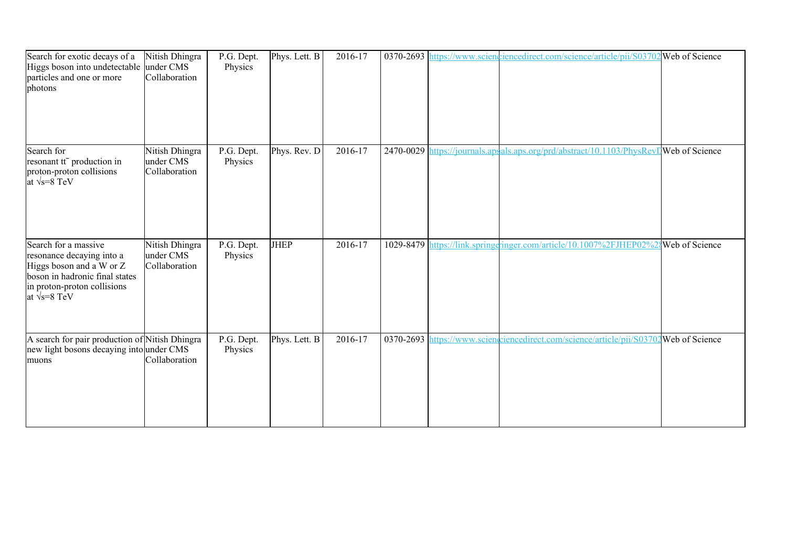| Search for exotic decays of a<br>Higgs boson into undetectable<br>particles and one or more<br>photons                                                                  | Nitish Dhingra<br>under CMS<br>Collaboration | P.G. Dept.<br>Physics | Phys. Lett. B | 2016-17 |  | 0370-2693 https://www.sciencedirect.com/science/article/pii/S03702 Web of Science       |  |
|-------------------------------------------------------------------------------------------------------------------------------------------------------------------------|----------------------------------------------|-----------------------|---------------|---------|--|-----------------------------------------------------------------------------------------|--|
| Search for<br>resonant tt <sup>-</sup> production in<br>proton-proton collisions<br>at $\sqrt{s} = 8$ TeV                                                               | Nitish Dhingra<br>under CMS<br>Collaboration | P.G. Dept.<br>Physics | Phys. Rev. D  | 2016-17 |  | 2470-0029 https://journals.apsals.aps.org/prd/abstract/10.1103/PhysRevIWeb of Science   |  |
| Search for a massive<br>resonance decaying into a<br>Higgs boson and a W or Z<br>boson in hadronic final states<br>in proton-proton collisions<br>at $\sqrt{s} = 8$ TeV | Nitish Dhingra<br>under CMS<br>Collaboration | P.G. Dept.<br>Physics | <b>JHEP</b>   | 2016-17 |  | 1029-8479 https://link.springgringer.com/article/10.1007%2FJHEP02%2{Web of Science      |  |
| A search for pair production of Nitish Dhingra<br>new light bosons decaying into under CMS<br>muons                                                                     | Collaboration                                | P.G. Dept.<br>Physics | Phys. Lett. B | 2016-17 |  | 0370-2693 https://www.sciencelinecedirect.com/science/article/pii/S03702 Web of Science |  |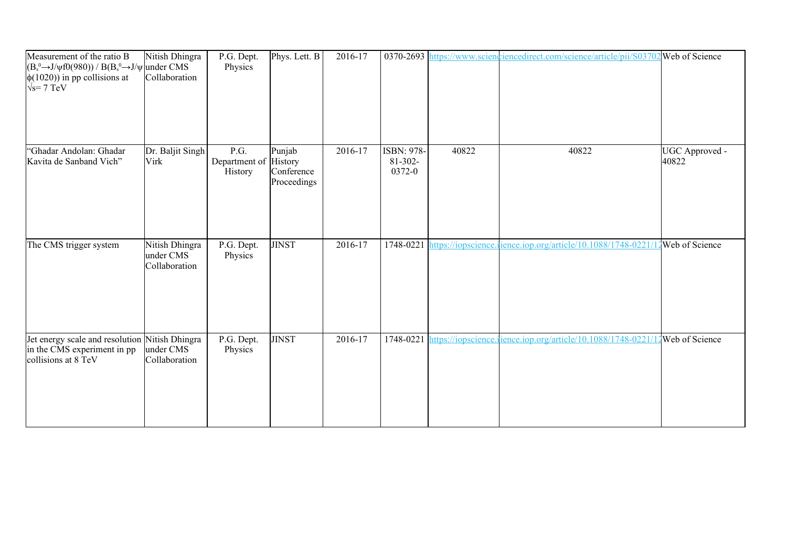| Measurement of the ratio B<br>$(B_s^0 \rightarrow J/\psi f0(980))$ / $B(B_s^0 \rightarrow J/\psi)$ under CMS<br>$\phi(1020)$ in pp collisions at<br>$\sqrt{s}$ = 7 TeV | Nitish Dhingra<br>Collaboration              | P.G. Dept.<br>Physics            | Phys. Lett. B                                  | 2016-17 |                                 |       | 0370-2693 https://www.scienchiercedirect.com/science/article/pii/S03702 Web of Science |                         |
|------------------------------------------------------------------------------------------------------------------------------------------------------------------------|----------------------------------------------|----------------------------------|------------------------------------------------|---------|---------------------------------|-------|----------------------------------------------------------------------------------------|-------------------------|
| 'Ghadar Andolan: Ghadar<br>Kavita de Sanband Vich"                                                                                                                     | Dr. Baljit Singh<br>Virk                     | P.G.<br>Department of<br>History | Punjab<br>History<br>Conference<br>Proceedings | 2016-17 | ISBN: 978-<br>81-302-<br>0372-0 | 40822 | 40822                                                                                  | UGC Approved -<br>40822 |
| The CMS trigger system                                                                                                                                                 | Nitish Dhingra<br>under CMS<br>Collaboration | P.G. Dept.<br>Physics            | <b>JINST</b>                                   | 2016-17 | 1748-0221                       |       | https://iopscience.ience.iop.org/article/10.1088/1748-0221/12 Web of Science           |                         |
| Jet energy scale and resolution Nitish Dhingra<br>in the CMS experiment in pp<br>collisions at 8 TeV                                                                   | under CMS<br>Collaboration                   | P.G. Dept.<br>Physics            | <b>JINST</b>                                   | 2016-17 | 1748-0221                       |       | https://iopscience.ience.iop.org/article/10.1088/1748-0221/1                           | Web of Science          |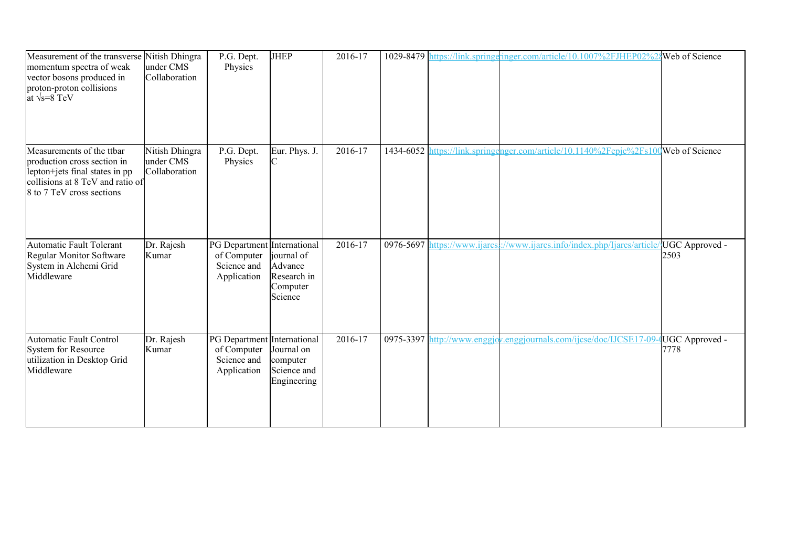| Measurement of the transverse Nitish Dhingra<br>momentum spectra of weak<br>vector bosons produced in<br>proton-proton collisions<br>at $\sqrt{s} = 8$ TeV  | under CMS<br>Collaboration                   | P.G. Dept.<br>Physics                                                    | <b>JHEP</b>                                                 | 2016-17     |           | 1029-8479 https://link.springeringer.com/article/10.1007%2FJHEP02%2{Web of Science       |                        |
|-------------------------------------------------------------------------------------------------------------------------------------------------------------|----------------------------------------------|--------------------------------------------------------------------------|-------------------------------------------------------------|-------------|-----------|------------------------------------------------------------------------------------------|------------------------|
| Measurements of the ttbar<br>production cross section in<br>lepton+jets final states in pp<br>collisions at 8 TeV and ratio of<br>8 to 7 TeV cross sections | Nitish Dhingra<br>under CMS<br>Collaboration | $\overline{P}$ .G. Dept.<br>Physics                                      | Eur. Phys. J.<br>C                                          | $2016 - 17$ | 1434-6052 | https://link.springenger.com/article/10.1140%2Fepjc%2Fs100Web of Science                 |                        |
| <b>Automatic Fault Tolerant</b><br>Regular Monitor Software<br>System in Alchemi Grid<br>Middleware                                                         | Dr. Rajesh<br>Kumar                          | PG Department International<br>of Computer<br>Science and<br>Application | journal of<br>Advance<br>Research in<br>Computer<br>Science | 2016-17     |           | 0976-5697 https://www.ijarcs.i//www.ijarcs.info/index.php/Ijarcs/article/JUGC Approved - | 2503                   |
| <b>Automatic Fault Control</b><br>System for Resource<br>utilization in Desktop Grid<br>Middleware                                                          | Dr. Rajesh<br>Kumar                          | PG Department International<br>of Computer<br>Science and<br>Application | Journal on<br>computer<br>Science and<br>Engineering        | 2016-17     |           | 0975-3397 http://www.enggjov.enggjournals.com/ijcse/doc/IJCSE17-09-0                     | UGC Approved -<br>7778 |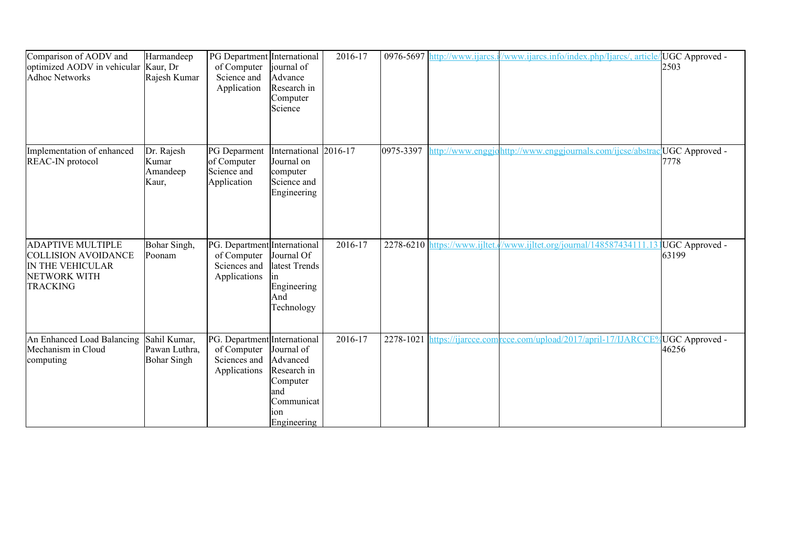| Comparison of AODV and<br>optimized AODV in vehicular<br><b>Adhoc Networks</b>                                | Harmandeep<br>Kaur, Dr<br>Rajesh Kumar              | PG Department International<br>of Computer<br>Science and<br>Application    | journal of<br>Advance<br>Research in<br>Computer<br>Science                                  | 2016-17 |           | 0976-5697 http://www.ijarcs  | /www.ijarcs.info/index.php/Ijarcs/, article/UGC Approved - | 2503                    |
|---------------------------------------------------------------------------------------------------------------|-----------------------------------------------------|-----------------------------------------------------------------------------|----------------------------------------------------------------------------------------------|---------|-----------|------------------------------|------------------------------------------------------------|-------------------------|
| Implementation of enhanced<br>REAC-IN protocol                                                                | Dr. Rajesh<br>Kumar<br>Amandeep<br>Kaur,            | PG Deparment<br>of Computer<br>Science and<br>Application                   | International 2016-17<br>Journal on<br>computer<br>Science and<br>Engineering                |         | 0975-3397 | nttp://www.enggi             | http://www.enggjournals.com/ijcse/abstrac                  | UGC Approved -<br>7778  |
| <b>ADAPTIVE MULTIPLE</b><br><b>COLLISION AVOIDANCE</b><br>IN THE VEHICULAR<br>NETWORK WITH<br><b>TRACKING</b> | Bohar Singh,<br>Poonam                              | PG. Department International<br>of Computer<br>Sciences and<br>Applications | Journal Of<br>latest Trends<br>Engineering<br>And<br>Technology                              | 2016-17 |           | 2278-6210 https://www.ijltet | //www.ijltet.org/journal/148587434111.13 UGC Approved -    | 63199                   |
| An Enhanced Load Balancing<br>Mechanism in Cloud<br>computing                                                 | Sahil Kumar,<br>Pawan Luthra.<br><b>Bohar Singh</b> | PG. Department International<br>of Computer<br>Sciences and<br>Applications | Journal of<br>Advanced<br>Research in<br>Computer<br>and<br>Communicat<br>10n<br>Engineering | 2016-17 | 2278-1021 | https://ijarcce.com          | rcce.com/upload/2017/april-17/IJARCCE?                     | UGC Approved -<br>46256 |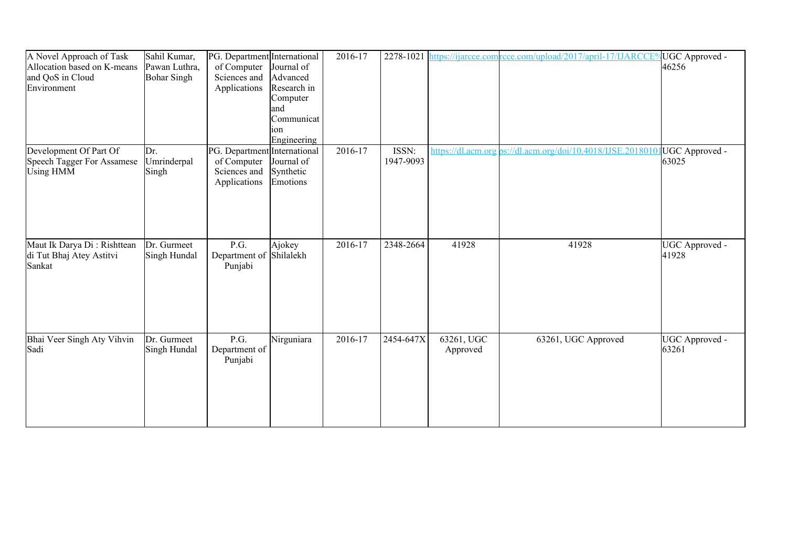| A Novel Approach of Task<br>Allocation based on K-means<br>and QoS in Cloud<br>Environment | Sahil Kumar,<br>Pawan Luthra,<br><b>Bohar Singh</b> | PG. Department International<br>of Computer<br>Sciences and<br>Applications | Journal of<br>Advanced<br>Research in<br>Computer<br>land<br>Communicat | 2016-17 | 2278-1021          |                        | https://ijarcce.com/rcce.com/upload/2017/april-17/IJARCCE%UGC Approved - | 46256                   |
|--------------------------------------------------------------------------------------------|-----------------------------------------------------|-----------------------------------------------------------------------------|-------------------------------------------------------------------------|---------|--------------------|------------------------|--------------------------------------------------------------------------|-------------------------|
|                                                                                            |                                                     |                                                                             | 10n<br>Engineering                                                      |         |                    |                        |                                                                          |                         |
| Development Of Part Of<br><b>Speech Tagger For Assamese</b><br><b>Using HMM</b>            | Dr.<br>Umrinderpal<br>Singh                         | PG. Department International<br>of Computer<br>Sciences and<br>Applications | Journal of<br>Synthetic<br>Emotions                                     | 2016-17 | ISSN:<br>1947-9093 | https://dl.acm.org     | os://dl.acm.org/doi/10.4018/IJSE.2018010                                 | UGC Approved -<br>63025 |
| Maut Ik Darya Di: Rishttean<br>di Tut Bhaj Atey Astitvi<br>Sankat                          | Dr. Gurmeet<br>Singh Hundal                         | P.G.<br>Department of Shilalekh<br>Punjabi                                  | Ajokey                                                                  | 2016-17 | 2348-2664          | 41928                  | 41928                                                                    | UGC Approved -<br>41928 |
| Bhai Veer Singh Aty Vihvin<br>Sadi                                                         | Dr. Gurmeet<br>Singh Hundal                         | P.G.<br>Department of<br>Punjabi                                            | Nirguniara                                                              | 2016-17 | 2454-647X          | 63261, UGC<br>Approved | 63261, UGC Approved                                                      | UGC Approved -<br>63261 |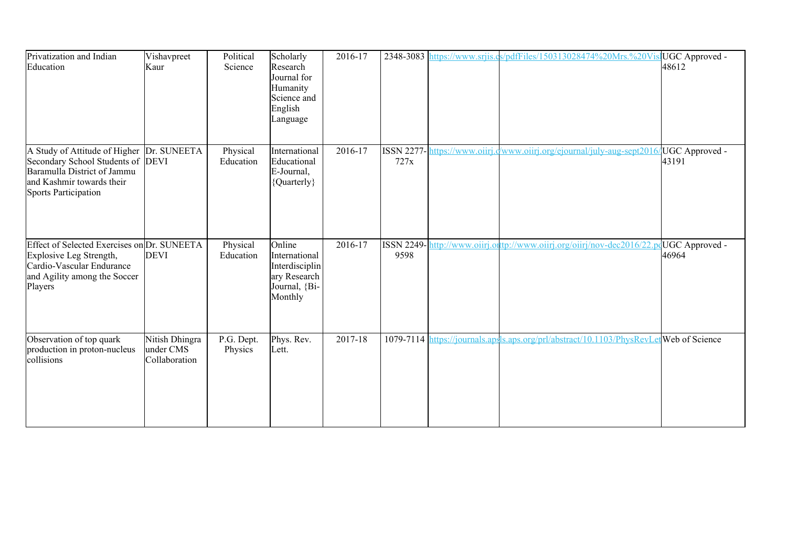| Privatization and Indian<br>Education                                                                                                                         | Vishavpreet<br>Kaur                          | Political<br>Science  | Scholarly<br>Research<br>Journal for<br>Humanity<br>Science and<br>English<br>Language | 2016-17 | 2348-3083                 | https://www.srjis.cs/pdfFiles/150313028474%20Mrs.%20VisJUGC Approved -                  | 48612                   |
|---------------------------------------------------------------------------------------------------------------------------------------------------------------|----------------------------------------------|-----------------------|----------------------------------------------------------------------------------------|---------|---------------------------|-----------------------------------------------------------------------------------------|-------------------------|
| A Study of Attitude of Higher<br>Secondary School Students of DEVI<br>Baramulla District of Jammu<br>and Kashmir towards their<br><b>Sports Participation</b> | Dr. SUNEETA                                  | Physical<br>Education | International<br>Educational<br>E-Journal,<br>{Quarterly}                              | 2016-17 | <b>ISSN 2277-</b><br>727x | https://www.oiirj.d/www.oiirj.org/ejournal/july-aug-sept2016/                           | UGC Approved -<br>43191 |
| Effect of Selected Exercises on Dr. SUNEETA<br>Explosive Leg Strength,<br>Cardio-Vascular Endurance<br>and Agility among the Soccer<br>Players                | <b>DEVI</b>                                  | Physical<br>Education | Online<br>International<br>Interdisciplin<br>ary Research<br>Journal, {Bi-<br>Monthly  | 2016-17 | ISSN 2249-1<br>9598       | http://www.oiirj.ortp://www.oiirj.org/oiirj/nov-dec2016/22.pdUGC Approved -             | 46964                   |
| Observation of top quark<br>production in proton-nucleus<br>collisions                                                                                        | Nitish Dhingra<br>under CMS<br>Collaboration | P.G. Dept.<br>Physics | Phys. Rev.<br>Lett.                                                                    | 2017-18 |                           | 1079-7114 https://journals.apsls.aps.org/prl/abstract/10.1103/PhysRevLet Web of Science |                         |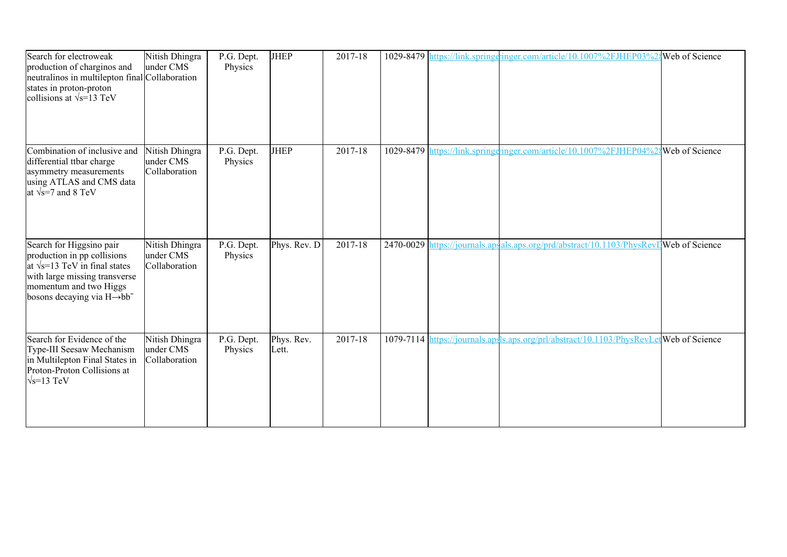| Search for electroweak<br>production of charginos and<br>neutralinos in multilepton final Collaboration<br>states in proton-proton<br>collisions at $\sqrt{s}$ =13 TeV                                 | Nitish Dhingra<br>under CMS                  | $\overline{P}$ .G. Dept.<br>Physics | <b>JHEP</b>         | 2017-18 |  | 1029-8479 https://link.springeringer.com/article/10.1007%2FJHEP03%24Web of Science     |  |
|--------------------------------------------------------------------------------------------------------------------------------------------------------------------------------------------------------|----------------------------------------------|-------------------------------------|---------------------|---------|--|----------------------------------------------------------------------------------------|--|
| Combination of inclusive and<br>differential ttbar charge<br>asymmetry measurements<br>using ATLAS and CMS data<br>at $\sqrt{s}$ =7 and 8 TeV                                                          | Nitish Dhingra<br>under CMS<br>Collaboration | P.G. Dept.<br>Physics               | JHEP                | 2017-18 |  | 1029-8479 https://link.springgringer.com/article/10.1007%2FJHEP04%28 Web of Science    |  |
| Search for Higgsino pair<br>production in pp collisions<br>at $\sqrt{s}$ =13 TeV in final states<br>with large missing transverse<br>momentum and two Higgs<br>bosons decaying via $H\rightarrow bb^-$ | Nitish Dhingra<br>under CMS<br>Collaboration | P.G. Dept.<br>Physics               | Phys. Rev. D        | 2017-18 |  | 2470-0029 https://journals.apsals.aps.org/prd/abstract/10.1103/PhysRevIJWeb of Science |  |
| Search for Evidence of the<br>Type-III Seesaw Mechanism<br>in Multilepton Final States in<br>Proton-Proton Collisions at<br>$\sqrt{s}$ =13 TeV                                                         | Nitish Dhingra<br>under CMS<br>Collaboration | P.G. Dept.<br>Physics               | Phys. Rev.<br>Lett. | 2017-18 |  | 1079-7114 https://journals.apsls.aps.org/prl/abstract/10.1103/PhysRevLetWeb of Science |  |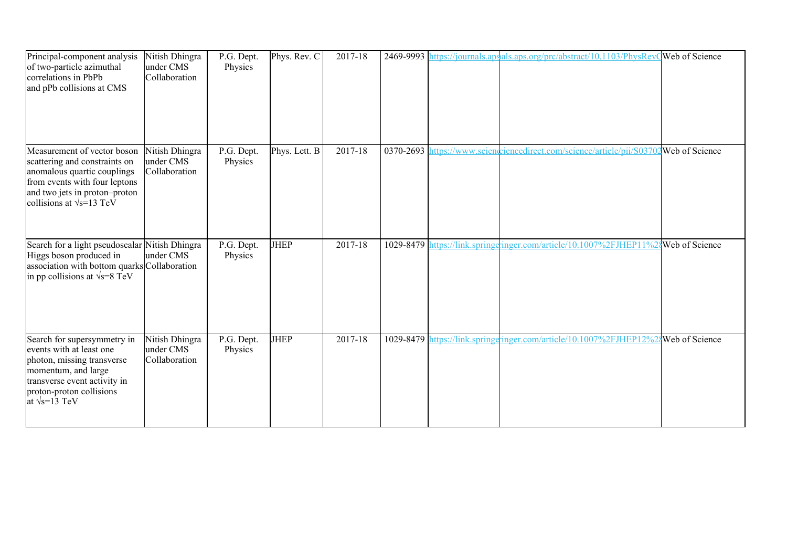| Principal-component analysis<br>of two-particle azimuthal<br>correlations in PbPb<br>and pPb collisions at CMS                                                                                    | Nitish Dhingra<br>under CMS<br>Collaboration | P.G. Dept.<br>Physics | Phys. Rev. C  | 2017-18 |  | 2469-9993 https://journals.apsals.aps.org/prc/abstract/10.1103/PhysRevQWeb of Science |                       |
|---------------------------------------------------------------------------------------------------------------------------------------------------------------------------------------------------|----------------------------------------------|-----------------------|---------------|---------|--|---------------------------------------------------------------------------------------|-----------------------|
| Measurement of vector boson<br>scattering and constraints on<br>anomalous quartic couplings<br>from events with four leptons<br>and two jets in proton-proton<br>collisions at $\sqrt{s}$ =13 TeV | Nitish Dhingra<br>under CMS<br>Collaboration | P.G. Dept.<br>Physics | Phys. Lett. B | 2017-18 |  | 0370-2693 https://www.sciengriencedirect.com/science/article/pii/S03702Web of Science |                       |
| Search for a light pseudoscalar Nitish Dhingra<br>Higgs boson produced in<br>association with bottom quarks Collaboration<br>in pp collisions at $\sqrt{s}$ =8 TeV                                | under CMS                                    | P.G. Dept.<br>Physics | <b>JHEP</b>   | 2017-18 |  | 1029-8479 https://link.springgringer.com/article/10.1007%2FJHEP11%2                   | <b>Web</b> of Science |
| Search for supersymmetry in<br>events with at least one<br>photon, missing transverse<br>momentum, and large<br>transverse event activity in<br>proton-proton collisions<br>at $\sqrt{s}$ =13 TeV | Nitish Dhingra<br>under CMS<br>Collaboration | P.G. Dept.<br>Physics | <b>JHEP</b>   | 2017-18 |  | 1029-8479 https://link.springeringer.com/article/10.1007%2FJHEP12%2                   | Web of Science        |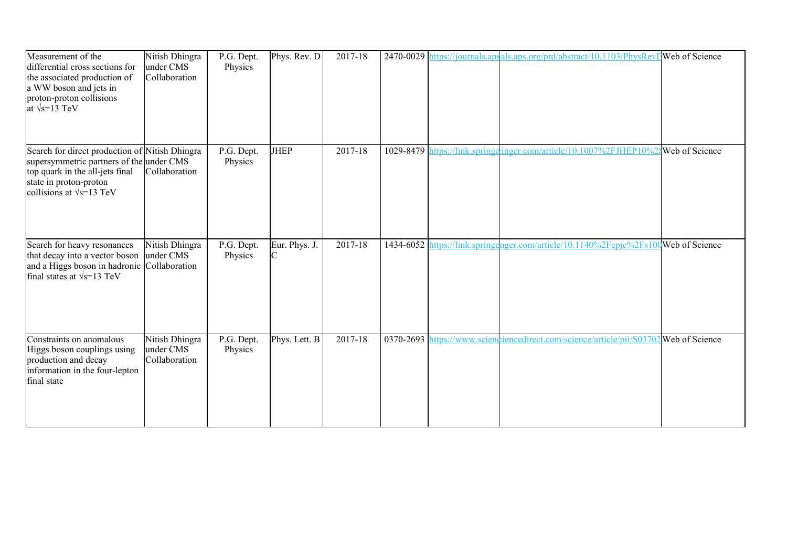| Measurement of the<br>differential cross sections for<br>the associated production of<br>a WW boson and jets in<br>proton-proton collisions<br>at $\sqrt{s}$ =13 TeV                        | Nitish Dhingra<br>under CMS<br>Collaboration | P.G. Dept.<br>Physics | Phys. Rev. D  | 2017-18     |           | 2470-0029 https://journals.apsals.aps.org/prd/abstract/10.1103/PhysRevI Web of Science |  |
|---------------------------------------------------------------------------------------------------------------------------------------------------------------------------------------------|----------------------------------------------|-----------------------|---------------|-------------|-----------|----------------------------------------------------------------------------------------|--|
| Search for direct production of Nitish Dhingra<br>supersymmetric partners of the under CMS<br>top quark in the all-jets final<br>state in proton-proton<br>collisions at $\sqrt{s}$ =13 TeV | Collaboration                                | P.G. Dept.<br>Physics | <b>JHEP</b>   | $2017 - 18$ | 1029-8479 | https://link.springeringer.com/article/10.1007%2FJHEP10%28Web of Science               |  |
| Search for heavy resonances<br>that decay into a vector boson<br>and a Higgs boson in hadronic Collaboration<br>final states at $\sqrt{s}$ =13 TeV                                          | Nitish Dhingra<br>under CMS                  | P.G. Dept.<br>Physics | Eur. Phys. J. | 2017-18     |           | 1434-6052 https://link.springenger.com/article/10.1140%2Fepjc%2Fs100Web of Science     |  |
| Constraints on anomalous<br>Higgs boson couplings using<br>production and decay<br>information in the four-lepton<br>final state                                                            | Nitish Dhingra<br>under CMS<br>Collaboration | P.G. Dept.<br>Physics | Phys. Lett. B | 2017-18     |           | 0370-2693 https://www.scienceincedirect.com/science/article/pii/S03702 Web of Science  |  |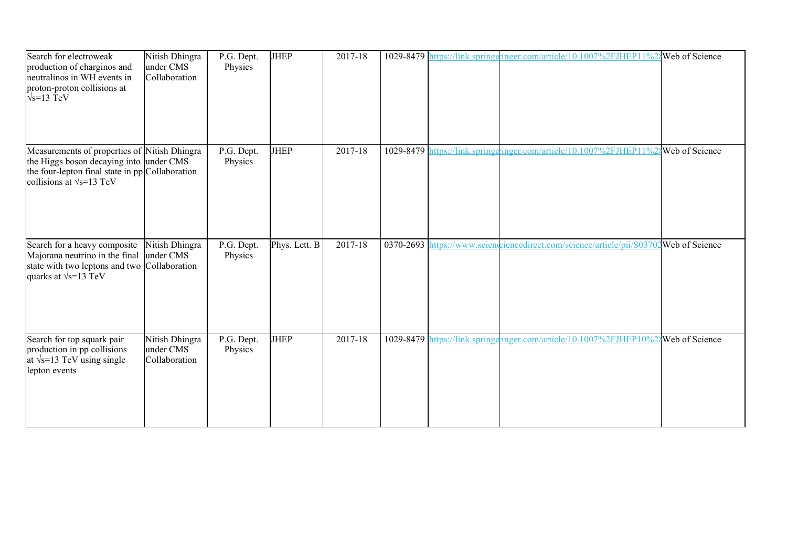| Search for electroweak<br>production of charginos and<br>neutralinos in WH events in<br>proton-proton collisions at<br>$\sqrt{s}$ =13 TeV                                      | Nitish Dhingra<br>under CMS<br>Collaboration | P.G. Dept.<br>Physics | <b>JHEP</b>   | 2017-18 |  | 1029-8479 https://link.springeringer.com/article/10.1007%2FJHEP11%2{Web of Science      |  |
|--------------------------------------------------------------------------------------------------------------------------------------------------------------------------------|----------------------------------------------|-----------------------|---------------|---------|--|-----------------------------------------------------------------------------------------|--|
| Measurements of properties of Nitish Dhingra<br>the Higgs boson decaying into under CMS<br>the four-lepton final state in pp Collaboration<br>collisions at $\sqrt{s}$ =13 TeV |                                              | P.G. Dept.<br>Physics | <b>JHEP</b>   | 2017-18 |  | 1029-8479 https://link.springeringer.com/article/10.1007%2FJHEP11%28 Web of Science     |  |
| Search for a heavy composite<br>Majorana neutrino in the final<br>state with two leptons and two Collaboration<br>quarks at $\sqrt{s}$ =13 TeV                                 | Nitish Dhingra<br>under CMS                  | P.G. Dept.<br>Physics | Phys. Lett. B | 2017-18 |  | 0370-2693 https://www.sciencomiencedirect.com/science/article/pii/S03702 Web of Science |  |
| Search for top squark pair<br>production in pp collisions<br>at $\sqrt{s}$ =13 TeV using single<br>lepton events                                                               | Nitish Dhingra<br>under CMS<br>Collaboration | P.G. Dept.<br>Physics | <b>JHEP</b>   | 2017-18 |  | 1029-8479 https://link.springeringer.com/article/10.1007%2FJHEP10%24Web of Science      |  |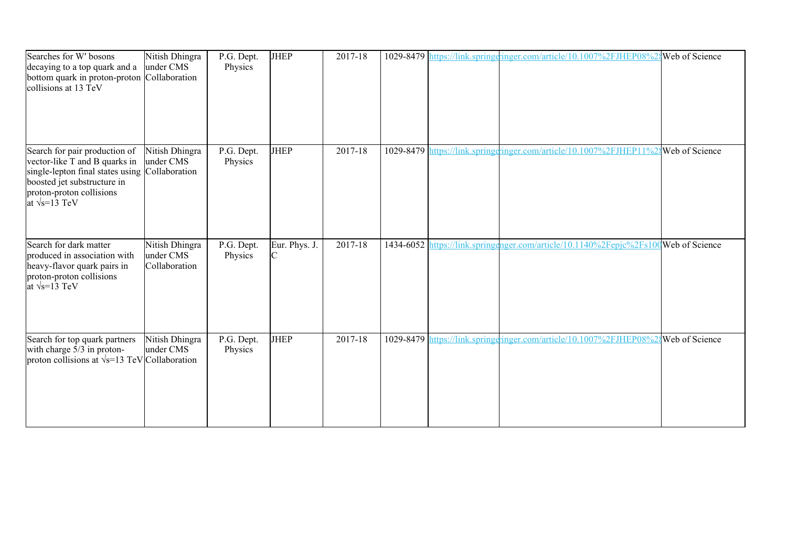| Searches for W' bosons<br>decaying to a top quark and a<br>bottom quark in proton-proton Collaboration<br>collisions at 13 TeV                                                                       | Nitish Dhingra<br>under CMS                  | P.G. Dept.<br>Physics | <b>JHEP</b>   | 2017-18 |  | 1029-8479 https://link.springeringer.com/article/10.1007%2FJHEP08%24Web of Science  |  |
|------------------------------------------------------------------------------------------------------------------------------------------------------------------------------------------------------|----------------------------------------------|-----------------------|---------------|---------|--|-------------------------------------------------------------------------------------|--|
| Search for pair production of<br>vector-like T and B quarks in<br>single-lepton final states using Collaboration<br>boosted jet substructure in<br>proton-proton collisions<br>at $\sqrt{s}$ =13 TeV | Nitish Dhingra<br>under CMS                  | P.G. Dept.<br>Physics | <b>JHEP</b>   | 2017-18 |  | 1029-8479 https://link.springeringer.com/article/10.1007%2FJHEP11%28 Web of Science |  |
| Search for dark matter<br>produced in association with<br>heavy-flavor quark pairs in<br>proton-proton collisions<br>at $\sqrt{s}$ =13 TeV                                                           | Nitish Dhingra<br>under CMS<br>Collaboration | P.G. Dept.<br>Physics | Eur. Phys. J. | 2017-18 |  | 1434-6052 https://link.springenger.com/article/10.1140%2Fepjc%2Fs100Web of Science  |  |
| Search for top quark partners<br>with charge 5/3 in proton-<br>proton collisions at $\sqrt{s}$ =13 TeV Collaboration                                                                                 | Nitish Dhingra<br>under CMS                  | P.G. Dept.<br>Physics | <b>JHEP</b>   | 2017-18 |  | 1029-8479 https://link.springeringer.com/article/10.1007%2FJHEP08%24Web of Science  |  |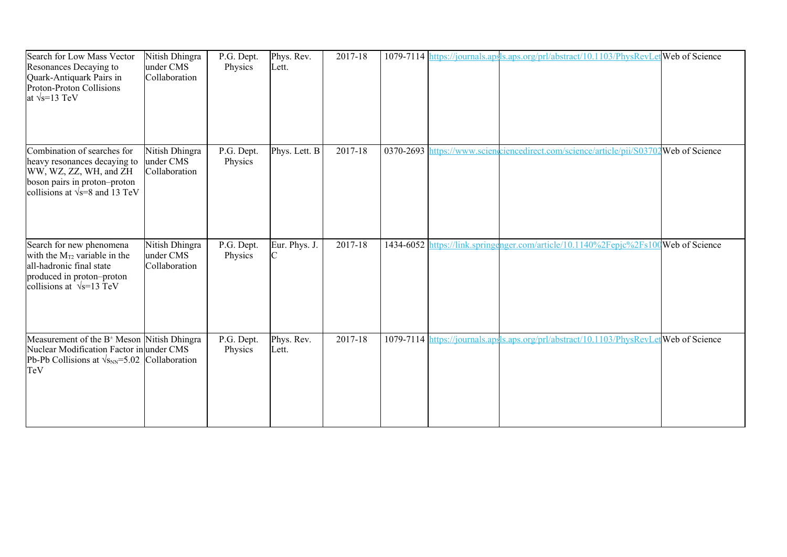| Search for Low Mass Vector<br>Resonances Decaying to<br>Quark-Antiquark Pairs in<br>Proton-Proton Collisions<br>at $\sqrt{s}$ =13 TeV                           | Nitish Dhingra<br>under CMS<br>Collaboration | P.G. Dept.<br>Physics | Phys. Rev.<br>Lett. | 2017-18 |           | 1079-7114 https://journals.apsls.aps.org/prl/abstract/10.1103/PhysRevLetWeb of Science |  |
|-----------------------------------------------------------------------------------------------------------------------------------------------------------------|----------------------------------------------|-----------------------|---------------------|---------|-----------|----------------------------------------------------------------------------------------|--|
| Combination of searches for<br>heavy resonances decaying to<br>WW, WZ, ZZ, WH, and ZH<br>boson pairs in proton-proton<br>collisions at $\sqrt{s}$ =8 and 13 TeV | Nitish Dhingra<br>under CMS<br>Collaboration | P.G. Dept.<br>Physics | Phys. Lett. B       | 2017-18 | 0370-2693 | https://www.scienciencedirect.com/science/article/pii/S03702Web of Science             |  |
| Search for new phenomena<br>with the $M_{T2}$ variable in the<br>all-hadronic final state<br>produced in proton-proton<br>collisions at $\sqrt{s}$ =13 TeV      | Nitish Dhingra<br>under CMS<br>Collaboration | P.G. Dept.<br>Physics | Eur. Phys. J.<br>ІС | 2017-18 |           | 1434-6052 https://link.springenger.com/article/10.1140%2Fepjc%2Fs100Web of Science     |  |
| Measurement of the $B^{\pm}$ Meson Nitish Dhingra<br>Nuclear Modification Factor in under CMS<br>Pb-Pb Collisions at $\sqrt{s_{NN}}$ =5.02 Collaboration<br>TeV |                                              | P.G. Dept.<br>Physics | Phys. Rev.<br>Lett. | 2017-18 |           | 1079-7114 https://journals.apsls.aps.org/prl/abstract/10.1103/PhysRevLetWeb of Science |  |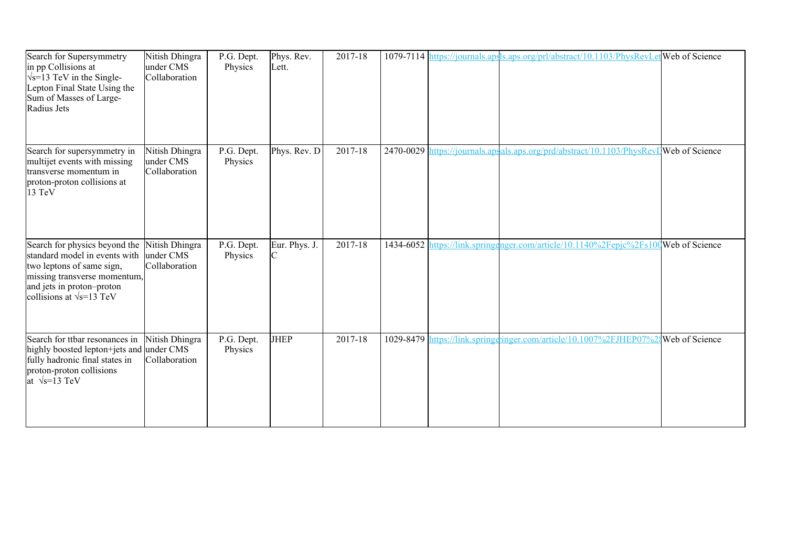| Search for Supersymmetry<br>in pp Collisions at<br>$\sqrt{s}$ =13 TeV in the Single-<br>Lepton Final State Using the<br>Sum of Masses of Large-<br>Radius Jets                                         | Nitish Dhingra<br>under CMS<br>Collaboration | P.G. Dept.<br>Physics | Phys. Rev.<br>Lett. | 2017-18     |  | 1079-7114 https://journals.apsls.aps.org/prl/abstract/10.1103/PhysRevLetWeb of Science |  |
|--------------------------------------------------------------------------------------------------------------------------------------------------------------------------------------------------------|----------------------------------------------|-----------------------|---------------------|-------------|--|----------------------------------------------------------------------------------------|--|
| Search for supersymmetry in<br>multijet events with missing<br>transverse momentum in<br>proton-proton collisions at<br>13 TeV                                                                         | Nitish Dhingra<br>under CMS<br>Collaboration | P.G. Dept.<br>Physics | Phys. Rev. D        | $2017 - 18$ |  | 2470-0029 https://journals.apsals.aps.org/prd/abstract/10.1103/PhysRevDWeb of Science  |  |
| Search for physics beyond the<br>standard model in events with under CMS<br>two leptons of same sign,<br>missing transverse momentum,<br>and jets in proton-proton<br>collisions at $\sqrt{s}$ =13 TeV | Nitish Dhingra<br>Collaboration              | P.G. Dept.<br>Physics | Eur. Phys. J.       | 2017-18     |  | 1434-6052 https://link.springenger.com/article/10.1140%2Fepjc%2Fs100Web of Science     |  |
| Search for ttbar resonances in<br>highly boosted lepton+jets and under CMS<br>fully hadronic final states in<br>proton-proton collisions<br>at $\sqrt{s}$ =13 TeV                                      | Nitish Dhingra<br>Collaboration              | P.G. Dept.<br>Physics | <b>JHEP</b>         | 2017-18     |  | 1029-8479 https://link.springeringer.com/article/10.1007%2FJHEP07%24Web of Science     |  |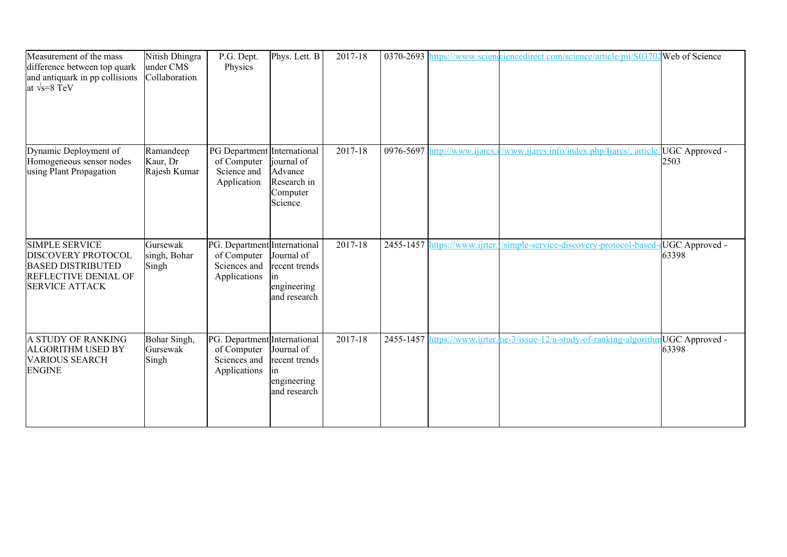| Measurement of the mass<br>difference between top quark<br>and antiquark in pp collisions<br>at $\sqrt{s} = 8 \text{ TeV}$      | Nitish Dhingra<br>under CMS<br>Collaboration | P.G. Dept.<br>Physics                                                       | $\overline{\text{Phys.}$ Lett. B                                  | 2017-18     |                              | 0370-2693 https://www.scienceiencedirect.com/science/article/pii/S03702Web of Science  |                         |
|---------------------------------------------------------------------------------------------------------------------------------|----------------------------------------------|-----------------------------------------------------------------------------|-------------------------------------------------------------------|-------------|------------------------------|----------------------------------------------------------------------------------------|-------------------------|
| Dynamic Deployment of<br>Homogeneous sensor nodes<br>using Plant Propagation                                                    | Ramandeep<br>Kaur, Dr<br>Rajesh Kumar        | PG Department International<br>of Computer<br>Science and<br>Application    | journal of<br>Advance<br>Research in<br>Computer<br>Science       | $2017 - 18$ | 0976-5697 http://www.ijarcs. | /www.ijarcs.info/index.php/Ijarcs/, article                                            | UGC Approved -<br>2503  |
| <b>SIMPLE SERVICE</b><br>DISCOVERY PROTOCOL<br><b>BASED DISTRIBUTED</b><br><b>REFLECTIVE DENIAL OF</b><br><b>SERVICE ATTACK</b> | Gursewak<br>singh, Bohar<br>Singh            | PG. Department International<br>of Computer<br>Sciences and<br>Applications | Journal of<br>recent trends<br>lin<br>engineering<br>and research | 2017-18     |                              | 2455-1457 https://www.ijrter.l/simple-service-discovery-protocol-based-dUGC Approved - | 63398                   |
| A STUDY OF RANKING<br><b>ALGORITHM USED BY</b><br><b>VARIOUS SEARCH</b><br><b>ENGINE</b>                                        | Bohar Singh,<br>Gursewak<br>Singh            | PG. Department International<br>of Computer<br>Sciences and<br>Applications | Journal of<br>recent trends<br>lin<br>engineering<br>and research | 2017-18     |                              | 2455-1457 https://www.ijrter.me-3/issue-12/a-study-of-ranking-algorithm                | UGC Approved -<br>63398 |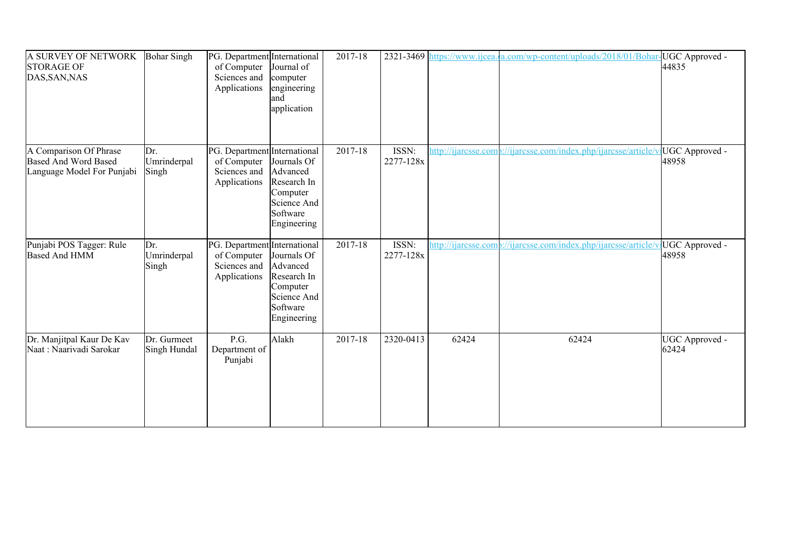| A SURVEY OF NETWORK<br><b>STORAGE OF</b><br>DAS, SAN, NAS                           | <b>Bohar Singh</b>          | PG. Department International<br>of Computer<br>Sciences and<br>Applications | Journal of<br>computer<br>engineering<br>land<br>application                                 | 2017-18 | 2321-3469          |       | https://www.ijcea.com/wp-content/uploads/2018/01/Bohar-UGC Approved -           | 44835                   |
|-------------------------------------------------------------------------------------|-----------------------------|-----------------------------------------------------------------------------|----------------------------------------------------------------------------------------------|---------|--------------------|-------|---------------------------------------------------------------------------------|-------------------------|
| A Comparison Of Phrase<br><b>Based And Word Based</b><br>Language Model For Punjabi | Dr.<br>Umrinderpal<br>Singh | PG. Department International<br>of Computer<br>Sciences and<br>Applications | Journals Of<br>Advanced<br>Research In<br>Computer<br>Science And<br>Software<br>Engineering | 2017-18 | ISSN:<br>2277-128x |       | http://ijarcsse.comp://ijarcsse.com/index.php/ijarcsse/article/v                | UGC Approved -<br>48958 |
| Punjabi POS Tagger: Rule<br><b>Based And HMM</b>                                    | Dr.<br>Umrinderpal<br>Singh | PG. Department International<br>of Computer<br>Sciences and<br>Applications | Journals Of<br>Advanced<br>Research In<br>Computer<br>Science And<br>Software<br>Engineering | 2017-18 | ISSN:<br>2277-128x |       | http://ijarcsse.comb://ijarcsse.com/index.php/ijarcsse/article/vlUGC Approved - | 48958                   |
| Dr. Manjitpal Kaur De Kav<br>Naat: Naarivadi Sarokar                                | Dr. Gurmeet<br>Singh Hundal | P.G.<br>Department of<br>Punjabi                                            | Alakh                                                                                        | 2017-18 | 2320-0413          | 62424 | 62424                                                                           | UGC Approved -<br>62424 |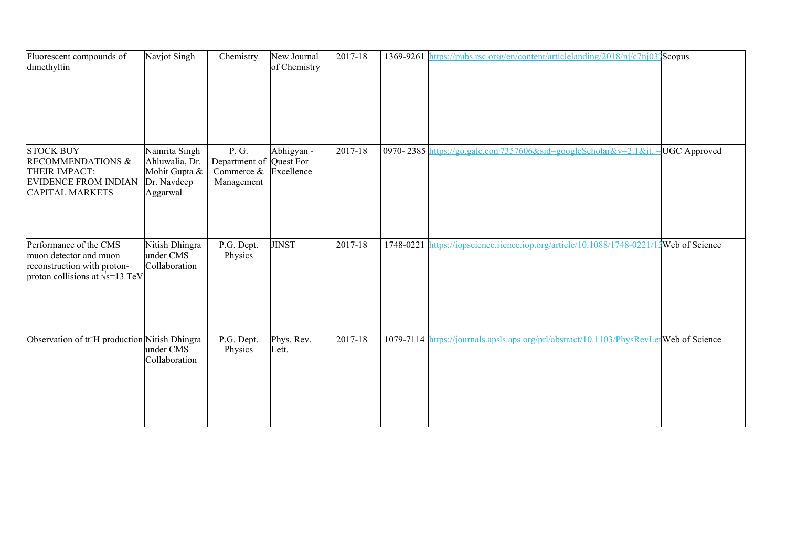| Fluorescent compounds of<br>dimethyltin                                                                                    | Navjot Singh                                                                | Chemistry                                                                  | New Journal<br>of Chemistry | 2017-18 |  | 1369-9261 https://pubs.rsc.org/en/content/articlelanding/2018/nj/c7nj03]Scopus         |                |
|----------------------------------------------------------------------------------------------------------------------------|-----------------------------------------------------------------------------|----------------------------------------------------------------------------|-----------------------------|---------|--|----------------------------------------------------------------------------------------|----------------|
| <b>STOCK BUY</b><br><b>RECOMMENDATIONS &amp;</b><br>THEIR IMPACT:<br><b>EVIDENCE FROM INDIAN</b><br><b>CAPITAL MARKETS</b> | Namrita Singh<br>Ahluwalia, Dr.<br>Mohit Gupta &<br>Dr. Navdeep<br>Aggarwal | P. G.<br>Department of Quest For<br>Commerce $\&$ Excellence<br>Management | Abhigyan -                  | 2017-18 |  | 0970-2385 https://go.gale.com/7357606&sid=googleScholar&v=2.1⁢,                        | UGC Approved   |
| Performance of the CMS<br>muon detector and muon<br>reconstruction with proton-<br>proton collisions at $\sqrt{s}$ =13 TeV | Nitish Dhingra<br>under CMS<br>Collaboration                                | P.G. Dept.<br>Physics                                                      | <b>JINST</b>                | 2017-18 |  | 1748-0221 https://iopscience.ience.iop.org/article/10.1088/1748-0221/                  | Web of Science |
| Observation of tt <sup>-</sup> H production Nitish Dhingra                                                                 | under CMS<br>Collaboration                                                  | P.G. Dept.<br>Physics                                                      | Phys. Rev.<br>Lett.         | 2017-18 |  | 1079-7114 https://journals.apsls.aps.org/prl/abstract/10.1103/PhysRevLetWeb of Science |                |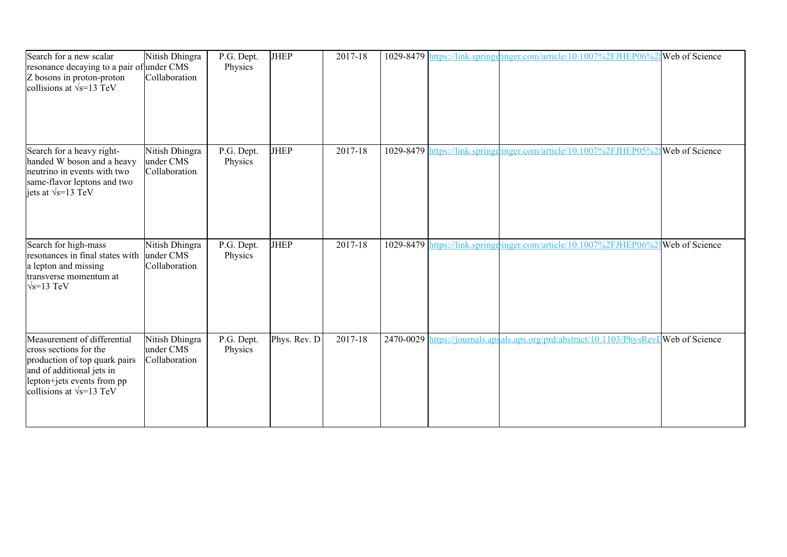| Search for a new scalar<br>resonance decaying to a pair of under CMS<br>Z bosons in proton-proton<br>collisions at $\sqrt{s}$ =13 TeV                                                 | Nitish Dhingra<br>Collaboration              | P.G. Dept.<br>Physics | <b>JHEP</b>  | 2017-18 |  | 1029-8479 https://link.springeringer.com/article/10.1007%2FJHEP06%2{Web of Science     |  |
|---------------------------------------------------------------------------------------------------------------------------------------------------------------------------------------|----------------------------------------------|-----------------------|--------------|---------|--|----------------------------------------------------------------------------------------|--|
| Search for a heavy right-<br>handed W boson and a heavy<br>neutrino in events with two<br>same-flavor leptons and two<br>jets at $\sqrt{s}$ =13 TeV                                   | Nitish Dhingra<br>under CMS<br>Collaboration | P.G. Dept.<br>Physics | <b>JHEP</b>  | 2017-18 |  | 1029-8479 https://link.springgringer.com/article/10.1007%2FJHEP05%28 Web of Science    |  |
| Search for high-mass<br>resonances in final states with<br>a lepton and missing<br>transverse momentum at<br>$\sqrt{s}$ =13 TeV                                                       | Nitish Dhingra<br>under CMS<br>Collaboration | P.G. Dept.<br>Physics | <b>JHEP</b>  | 2017-18 |  | 1029-8479 https://link.springeringer.com/article/10.1007%2FJHEP06%2\$Web of Science    |  |
| Measurement of differential<br>cross sections for the<br>production of top quark pairs<br>and of additional jets in<br>lepton+jets events from pp<br>collisions at $\sqrt{s}$ =13 TeV | Nitish Dhingra<br>under CMS<br>Collaboration | P.G. Dept.<br>Physics | Phys. Rev. D | 2017-18 |  | 2470-0029 https://journals.apsals.aps.org/prd/abstract/10.1103/PhysRevI Web of Science |  |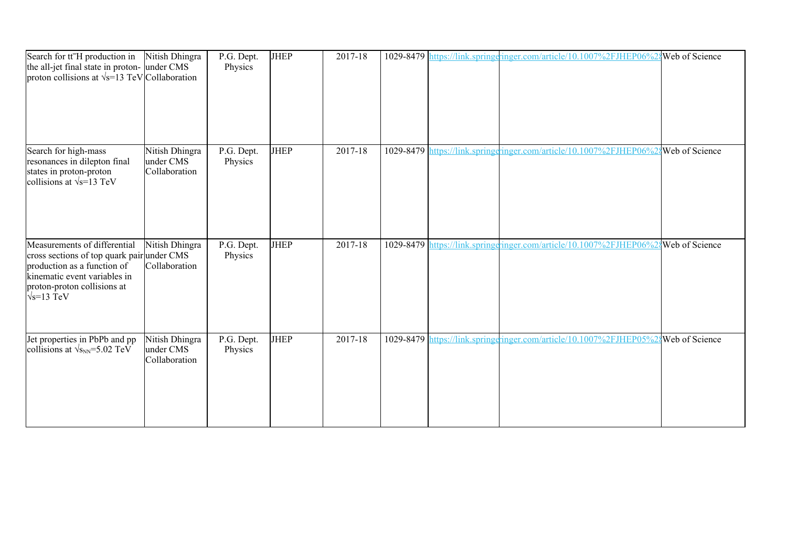| Search for tt <sup>-</sup> H production in<br>the all-jet final state in proton- under CMS<br>proton collisions at $\sqrt{s}$ =13 TeV Collaboration                                            | Nitish Dhingra                               | P.G. Dept.<br>Physics | <b>JHEP</b> | 2017-18 |           | 1029-8479 https://link.springeringer.com/article/10.1007%2FJHEP06%24Web of Science |                |
|------------------------------------------------------------------------------------------------------------------------------------------------------------------------------------------------|----------------------------------------------|-----------------------|-------------|---------|-----------|------------------------------------------------------------------------------------|----------------|
| Search for high-mass<br>resonances in dilepton final<br>states in proton-proton<br>collisions at $\sqrt{s}$ =13 TeV                                                                            | Nitish Dhingra<br>under CMS<br>Collaboration | P.G. Dept.<br>Physics | JHEP        | 2017-18 | 1029-8479 | https://link.springeringer.com/article/10.1007%2FJHEP06%28Web of Science           |                |
| Measurements of differential<br>cross sections of top quark pair under CMS<br>production as a function of<br>kinematic event variables in<br>proton-proton collisions at<br>$\sqrt{s}$ =13 TeV | Nitish Dhingra<br>Collaboration              | P.G. Dept.<br>Physics | <b>JHEP</b> | 2017-18 |           | 1029-8479 https://link.springgringer.com/article/10.1007%2FJHEP06%2 Web of Science |                |
| Jet properties in PbPb and pp<br>collisions at $\sqrt{s_{NN}}$ =5.02 TeV                                                                                                                       | Nitish Dhingra<br>under CMS<br>Collaboration | P.G. Dept.<br>Physics | <b>JHEP</b> | 2017-18 |           | 1029-8479 https://link.springeringer.com/article/10.1007%2FJHEP05%2                | Web of Science |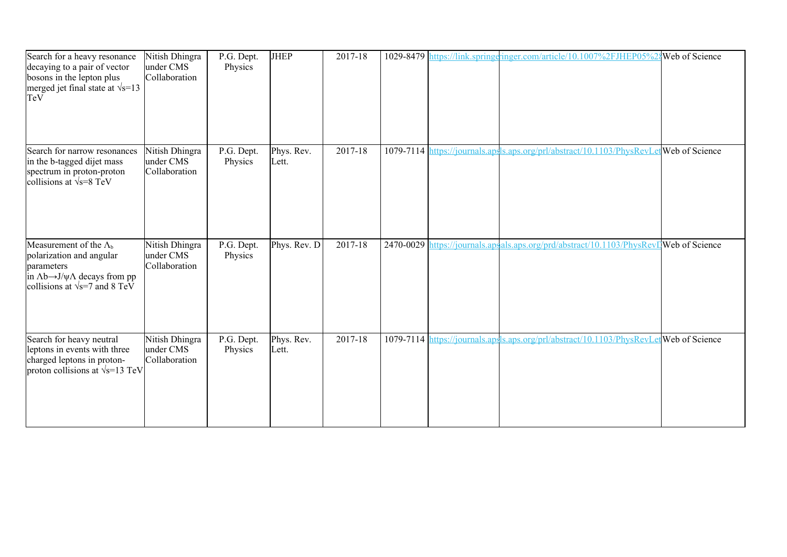| Search for a heavy resonance<br>decaying to a pair of vector<br>bosons in the lepton plus<br>merged jet final state at $\sqrt{s}$ =13<br>TeV                                        | Nitish Dhingra<br>under CMS<br>Collaboration | P.G. Dept.<br>Physics | <b>JHEP</b>         | 2017-18 |  | 1029-8479 https://link.springeringer.com/article/10.1007%2FJHEP05%2{Web of Science      |  |
|-------------------------------------------------------------------------------------------------------------------------------------------------------------------------------------|----------------------------------------------|-----------------------|---------------------|---------|--|-----------------------------------------------------------------------------------------|--|
| Search for narrow resonances<br>in the b-tagged dijet mass<br>spectrum in proton-proton<br>collisions at $\sqrt{s} = 8$ TeV                                                         | Nitish Dhingra<br>under CMS<br>Collaboration | P.G. Dept.<br>Physics | Phys. Rev.<br>Lett. | 2017-18 |  | 1079-7114 https://journals.apsls.aps.org/prl/abstract/10.1103/PhysRevLet Web of Science |  |
| Measurement of the $\Lambda_{b}$<br>polarization and angular<br>parameters<br>in $\Lambda$ b $\rightarrow$ J/ $\psi\Lambda$ decays from pp<br>collisions at $\sqrt{s}$ =7 and 8 TeV | Nitish Dhingra<br>under CMS<br>Collaboration | P.G. Dept.<br>Physics | Phys. Rev. D        | 2017-18 |  | 2470-0029 https://journals.apsals.aps.org/prd/abstract/10.1103/PhysRevDWeb of Science   |  |
| Search for heavy neutral<br>leptons in events with three<br>charged leptons in proton-<br>proton collisions at $\sqrt{s}$ =13 TeV                                                   | Nitish Dhingra<br>under CMS<br>Collaboration | P.G. Dept.<br>Physics | Phys. Rev.<br>Lett. | 2017-18 |  | 1079-7114 https://journals.apsls.aps.org/prl/abstract/10.1103/PhysRevLetWeb of Science  |  |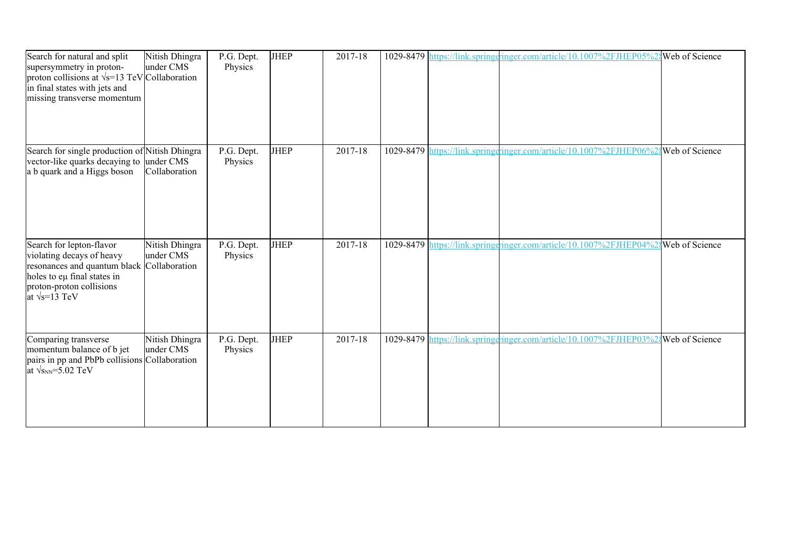| Search for natural and split<br>supersymmetry in proton-<br>proton collisions at $\sqrt{s}$ =13 TeV Collaboration<br>in final states with jets and<br>missing transverse momentum       | Nitish Dhingra<br>under CMS | $\overline{P}$ .G. Dept.<br>Physics | <b>JHEP</b> | 2017-18 |  | 1029-8479 https://link.springeringer.com/article/10.1007%2FJHEP05%2{Web of Science  |  |
|-----------------------------------------------------------------------------------------------------------------------------------------------------------------------------------------|-----------------------------|-------------------------------------|-------------|---------|--|-------------------------------------------------------------------------------------|--|
| Search for single production of Nitish Dhingra<br>vector-like quarks decaying to under CMS<br>a b quark and a Higgs boson                                                               | Collaboration               | P.G. Dept.<br>Physics               | <b>JHEP</b> | 2017-18 |  | 1029-8479 https://link.springeringer.com/article/10.1007%2FJHEP06%2{Web of Science  |  |
| Search for lepton-flavor<br>violating decays of heavy<br>resonances and quantum black Collaboration<br>holes to eµ final states in<br>proton-proton collisions<br>at $\sqrt{s}$ =13 TeV | Nitish Dhingra<br>under CMS | P.G. Dept.<br>Physics               | <b>JHEP</b> | 2017-18 |  | 1029-8479 https://link.springeringer.com/article/10.1007%2FJHEP04%28 Web of Science |  |
| Comparing transverse<br>momentum balance of b jet<br>pairs in pp and PbPb collisions Collaboration<br>at $\sqrt{s_{NN}}$ =5.02 TeV                                                      | Nitish Dhingra<br>under CMS | P.G. Dept.<br>Physics               | <b>JHEP</b> | 2017-18 |  | 1029-8479 https://link.springeringer.com/article/10.1007%2FJHEP03%28 Web of Science |  |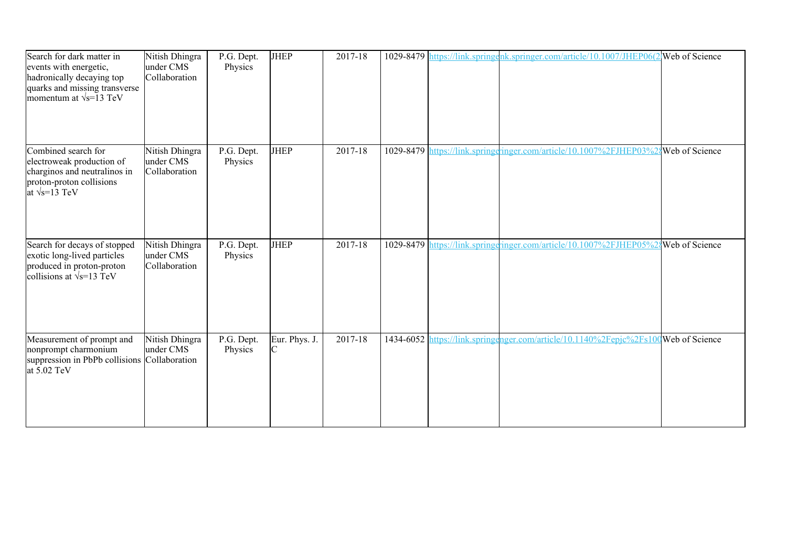| Search for dark matter in<br>events with energetic,<br>hadronically decaying top<br>quarks and missing transverse<br>momentum at $\sqrt{s}$ =13 TeV | Nitish Dhingra<br>under CMS<br>Collaboration | P.G. Dept.<br>Physics | <b>JHEP</b>                   | 2017-18     |  | 1029-8479 https://link.springenk.springer.com/article/10.1007/JHEP06(2 Web of Science |  |
|-----------------------------------------------------------------------------------------------------------------------------------------------------|----------------------------------------------|-----------------------|-------------------------------|-------------|--|---------------------------------------------------------------------------------------|--|
| Combined search for<br>electroweak production of<br>charginos and neutralinos in<br>proton-proton collisions<br>at $\sqrt{s}$ =13 TeV               | Nitish Dhingra<br>under CMS<br>Collaboration | P.G. Dept.<br>Physics | <b>JHEP</b>                   | $2017 - 18$ |  | 1029-8479 https://link.springeringer.com/article/10.1007%2FJHEP03%2{Web of Science    |  |
| Search for decays of stopped<br>exotic long-lived particles<br>produced in proton-proton<br>collisions at $\sqrt{s}$ =13 TeV                        | Nitish Dhingra<br>under CMS<br>Collaboration | P.G. Dept.<br>Physics | <b>JHEP</b>                   | 2017-18     |  | 1029-8479 https://link.springgringer.com/article/10.1007%2FJHEP05%28Web of Science    |  |
| Measurement of prompt and<br>nonprompt charmonium<br>suppression in PbPb collisions Collaboration<br>at 5.02 TeV                                    | Nitish Dhingra<br>under CMS                  | P.G. Dept.<br>Physics | Eur. Phys. J.<br>$\mathsf{C}$ | 2017-18     |  | 1434-6052 https://link.springenger.com/article/10.1140%2Fepjc%2Fs100Web of Science    |  |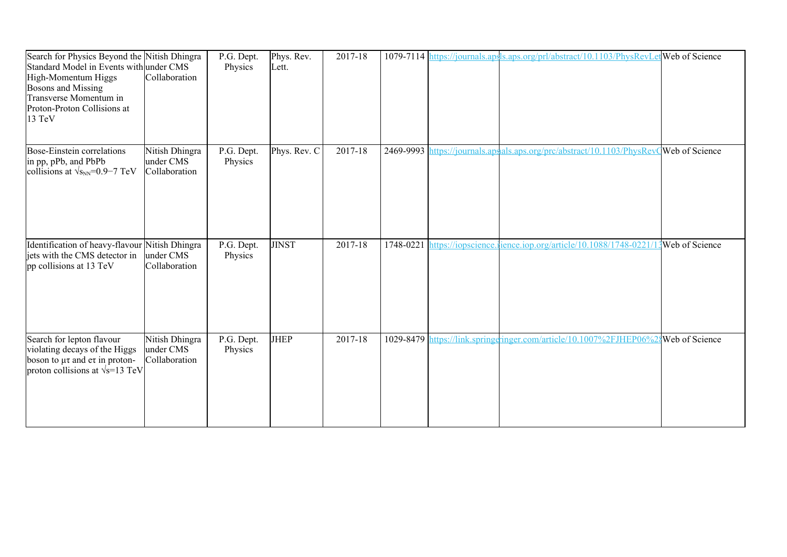| Search for Physics Beyond the Nitish Dhingra<br>Standard Model in Events with under CMS<br>High-Momentum Higgs<br><b>Bosons and Missing</b><br>Transverse Momentum in<br>Proton-Proton Collisions at<br>13 TeV | Collaboration                                | P.G. Dept.<br>Physics | Phys. Rev.<br>Lett. | 2017-18 |           | 1079-7114 https://journals.apsls.aps.org/prl/abstract/10.1103/PhysRevLetWeb of Science |  |
|----------------------------------------------------------------------------------------------------------------------------------------------------------------------------------------------------------------|----------------------------------------------|-----------------------|---------------------|---------|-----------|----------------------------------------------------------------------------------------|--|
| Bose-Einstein correlations<br>in pp, pPb, and PbPb<br>collisions at $\sqrt{s_{NN}}$ =0.9–7 TeV                                                                                                                 | Nitish Dhingra<br>under CMS<br>Collaboration | P.G. Dept.<br>Physics | Phys. Rev. C        | 2017-18 |           | 2469-9993 https://journals.apsals.aps.org/prc/abstract/10.1103/PhysRevQWeb of Science  |  |
| Identification of heavy-flavour Nitish Dhingra<br>jets with the CMS detector in<br>pp collisions at 13 TeV                                                                                                     | under CMS<br>Collaboration                   | P.G. Dept.<br>Physics | <b>JINST</b>        | 2017-18 | 1748-0221 | https://iopscience.ience.iop.org/article/10.1088/1748-0221/13 Web of Science           |  |
| Search for lepton flavour<br>violating decays of the Higgs<br>boson to $\mu\tau$ and et in proton-<br>proton collisions at $\sqrt{s}$ =13 TeV                                                                  | Nitish Dhingra<br>under CMS<br>Collaboration | P.G. Dept.<br>Physics | <b>JHEP</b>         | 2017-18 |           | 1029-8479 https://link.springeringer.com/article/10.1007%2FJHEP06%2\$Web of Science    |  |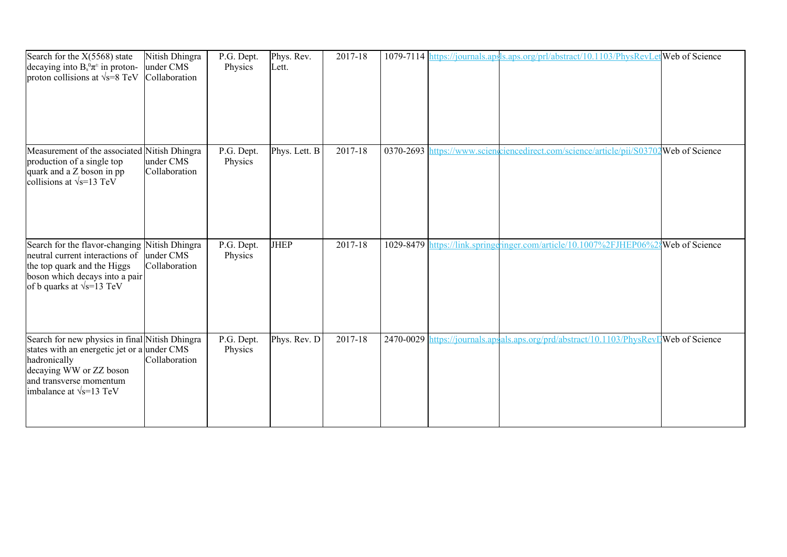| Search for the X(5568) state<br>decaying into $B_s^0 \pi^{\pm}$ in proton-<br>proton collisions at $\sqrt{s}$ =8 TeV                                                                                   | Nitish Dhingra<br>under CMS<br>Collaboration | P.G. Dept.<br>Physics | Phys. Rev.<br>Lett. | 2017-18 |                                | 1079-7114 https://journals.apsls.aps.org/prl/abstract/10.1103/PhysRevLetWeb of Science |                       |
|--------------------------------------------------------------------------------------------------------------------------------------------------------------------------------------------------------|----------------------------------------------|-----------------------|---------------------|---------|--------------------------------|----------------------------------------------------------------------------------------|-----------------------|
| Measurement of the associated Nitish Dhingra<br>production of a single top<br>quark and a Z boson in pp<br>collisions at $\sqrt{s}$ =13 TeV                                                            | under CMS<br>Collaboration                   | P.G. Dept.<br>Physics | Phys. Lett. B       | 2017-18 | 0370-2693 $\vert$ <sub>1</sub> | https://www.scienceiencedirect.com/science/article/pii/S03702Web of Science            |                       |
| Search for the flavor-changing Nitish Dhingra<br>neutral current interactions of<br>the top quark and the Higgs<br>boson which decays into a pair<br>of b quarks at $\sqrt{s}$ =13 TeV                 | under CMS<br>Collaboration                   | P.G. Dept.<br>Physics | JHEP                | 2017-18 |                                | 1029-8479 https://link.springeringer.com/article/10.1007%2FJHEP06%                     | <b>Web</b> of Science |
| Search for new physics in final Nitish Dhingra<br>states with an energetic jet or a under CMS<br>hadronically<br>decaying WW or ZZ boson<br>and transverse momentum<br>imbalance at $\sqrt{s}$ =13 TeV | Collaboration                                | P.G. Dept.<br>Physics | Phys. Rev. D        | 2017-18 |                                | 2470-0029 https://journals.apsals.aps.org/prd/abstract/10.1103/PhysRevIJWeb of Science |                       |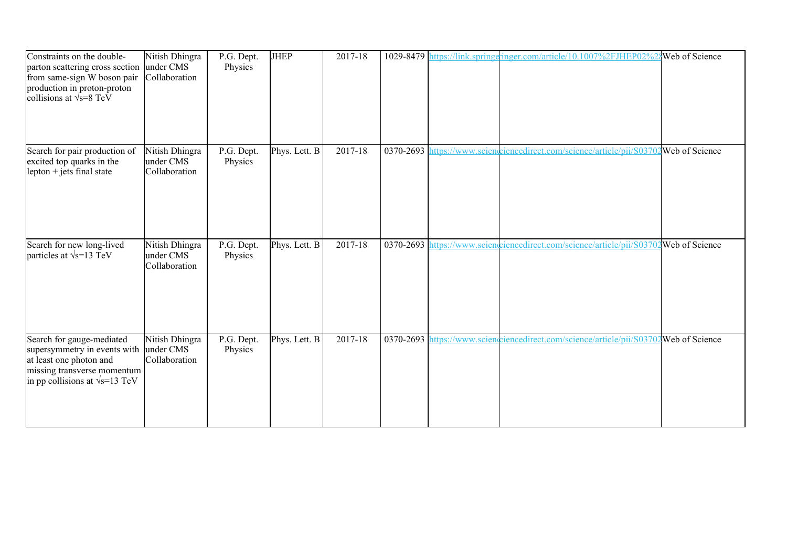| Constraints on the double-<br>parton scattering cross section<br>from same-sign W boson pair<br>production in proton-proton<br>collisions at $\sqrt{s} = 8$ TeV | Nitish Dhingra<br>under CMS<br>Collaboration | P.G. Dept.<br>Physics | <b>JHEP</b>   | 2017-18 |  | 1029-8479 https://link.springeringer.com/article/10.1007%2FJHEP02%2                   | <b>Web</b> of Science |
|-----------------------------------------------------------------------------------------------------------------------------------------------------------------|----------------------------------------------|-----------------------|---------------|---------|--|---------------------------------------------------------------------------------------|-----------------------|
| Search for pair production of<br>excited top quarks in the<br>lepton $+$ jets final state                                                                       | Nitish Dhingra<br>under CMS<br>Collaboration | P.G. Dept.<br>Physics | Phys. Lett. B | 2017-18 |  | 0370-2693 https://www.scienceiencedirect.com/science/article/pii/S03702Web of Science |                       |
| Search for new long-lived<br>particles at $\sqrt{s}$ =13 TeV                                                                                                    | Nitish Dhingra<br>under CMS<br>Collaboration | P.G. Dept.<br>Physics | Phys. Lett. B | 2017-18 |  | 0370-2693 https://www.sciencelirect.com/science/article/pii/S03702Web of Science      |                       |
| Search for gauge-mediated<br>supersymmetry in events with<br>at least one photon and<br>missing transverse momentum<br>in pp collisions at $\sqrt{s}$ =13 TeV   | Nitish Dhingra<br>under CMS<br>Collaboration | P.G. Dept.<br>Physics | Phys. Lett. B | 2017-18 |  | 0370-2693 https://www.scienceiencedirect.com/science/article/pii/S03702Web of Science |                       |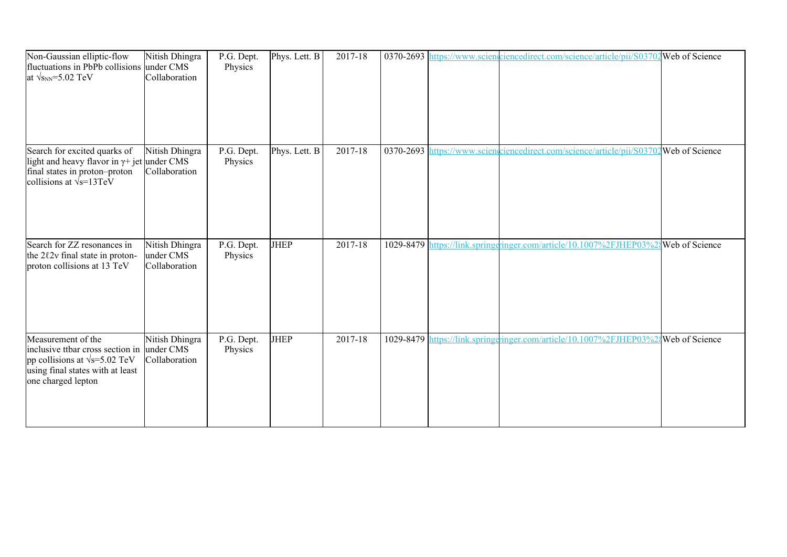| Non-Gaussian elliptic-flow<br>fluctuations in PbPb collisions under CMS<br>at $\sqrt{s_{NN}}$ =5.02 TeV                                                             | Nitish Dhingra<br>Collaboration              | P.G. Dept.<br>Physics | Phys. Lett. B | 2017-18 |  | 0370-2693 https://www.scienceiencedirect.com/science/article/pii/S03702 Web of Science |                |
|---------------------------------------------------------------------------------------------------------------------------------------------------------------------|----------------------------------------------|-----------------------|---------------|---------|--|----------------------------------------------------------------------------------------|----------------|
| Search for excited quarks of<br>light and heavy flavor in $\gamma$ + jet under CMS<br>final states in proton-proton<br>collisions at $\sqrt{s}$ =13TeV              | Nitish Dhingra<br>Collaboration              | P.G. Dept.<br>Physics | Phys. Lett. B | 2017-18 |  | 0370-2693 https://www.scienceiencedirect.com/science/article/pii/S03702Web of Science  |                |
| Search for ZZ resonances in<br>the 202v final state in proton-<br>proton collisions at 13 TeV                                                                       | Nitish Dhingra<br>under CMS<br>Collaboration | P.G. Dept.<br>Physics | <b>JHEP</b>   | 2017-18 |  | 1029-8479 https://link.springeringer.com/article/10.1007%2FJHEP03%2                    | Web of Science |
| Measurement of the<br>inclusive ttbar cross section in under CMS<br>pp collisions at $\sqrt{s}$ =5.02 TeV<br>using final states with at least<br>one charged lepton | Nitish Dhingra<br>Collaboration              | P.G. Dept.<br>Physics | <b>JHEP</b>   | 2017-18 |  | 1029-8479 https://link.springqinger.com/article/10.1007%2FJHEP03%                      | Web of Science |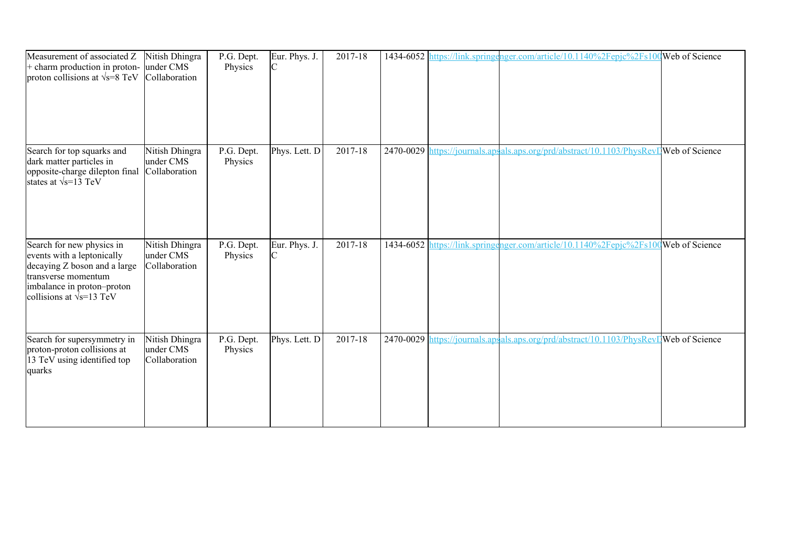| Measurement of associated Z<br>+ charm production in proton-<br>proton collisions at $\sqrt{s}$ =8 TeV                                                                           | Nitish Dhingra<br>under CMS<br>Collaboration | P.G. Dept.<br>Physics | Eur. Phys. J.<br>IC | 2017-18 |           | 1434-6052 https://link.springenger.com/article/10.1140%2Fepjc%2Fs100Web of Science |  |
|----------------------------------------------------------------------------------------------------------------------------------------------------------------------------------|----------------------------------------------|-----------------------|---------------------|---------|-----------|------------------------------------------------------------------------------------|--|
| Search for top squarks and<br>dark matter particles in<br>opposite-charge dilepton final<br>states at $\sqrt{s}$ =13 TeV                                                         | Nitish Dhingra<br>under CMS<br>Collaboration | P.G. Dept.<br>Physics | Phys. Lett. D       | 2017-18 | 2470-0029 | https://journals.apsals.aps.org/prd/abstract/10.1103/PhysRevLWeb of Science        |  |
| Search for new physics in<br>events with a leptonically<br>decaying Z boson and a large<br>transverse momentum<br>imbalance in proton-proton<br>collisions at $\sqrt{s}$ =13 TeV | Nitish Dhingra<br>under CMS<br>Collaboration | P.G. Dept.<br>Physics | Eur. Phys. J.       | 2017-18 |           | 1434-6052 https://link.springenger.com/article/10.1140%2Fepjc%2Fs100Web of Science |  |
| Search for supersymmetry in<br>proton-proton collisions at<br>13 TeV using identified top<br>quarks                                                                              | Nitish Dhingra<br>under CMS<br>Collaboration | P.G. Dept.<br>Physics | Phys. Lett. D       | 2017-18 | 2470-0029 | https://journals.apsals.aps.org/prd/abstract/10.1103/PhysRevDWeb of Science        |  |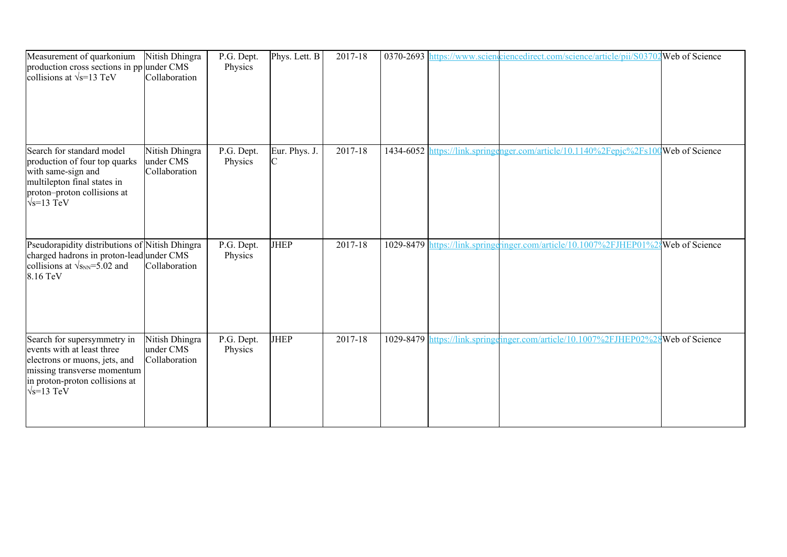| Measurement of quarkonium<br>production cross sections in pp under CMS<br>collisions at $\sqrt{s}$ =13 TeV                                                                        | Nitish Dhingra<br>Collaboration              | P.G. Dept.<br>Physics | Phys. Lett. B      | 2017-18     |  | 0370-2693 https://www.scienciencedirect.com/science/article/pii/S03702 Web of Science |                         |
|-----------------------------------------------------------------------------------------------------------------------------------------------------------------------------------|----------------------------------------------|-----------------------|--------------------|-------------|--|---------------------------------------------------------------------------------------|-------------------------|
| Search for standard model<br>production of four top quarks<br>with same-sign and<br>multilepton final states in<br>proton-proton collisions at<br>$\sqrt{s}$ =13 TeV              | Nitish Dhingra<br>under CMS<br>Collaboration | P.G. Dept.<br>Physics | Eur. Phys. J.<br>C | $2017 - 18$ |  | 1434-6052 https://link.springenger.com/article/10.1140%2Fepjc%2Fs100Web of Science    |                         |
| Pseudorapidity distributions of Nitish Dhingra<br>charged hadrons in proton-lead under CMS<br>collisions at $\sqrt{s_{NN}}$ =5.02 and<br>8.16 TeV                                 | Collaboration                                | P.G. Dept.<br>Physics | <b>JHEP</b>        | 2017-18     |  | 1029-8479 https://link.springeringer.com/article/10.1007%2FJHEP01%2                   | Web of Science          |
| Search for supersymmetry in<br>events with at least three<br>electrons or muons, jets, and<br>missing transverse momentum<br>in proton-proton collisions at<br>$\sqrt{s}$ =13 TeV | Nitish Dhingra<br>under CMS<br>Collaboration | P.G. Dept.<br>Physics | <b>JHEP</b>        | 2017-18     |  | 1029-8479 https://link.springeinger.com/article/10.1007%2FJHEP02%2                    | <b>S</b> Web of Science |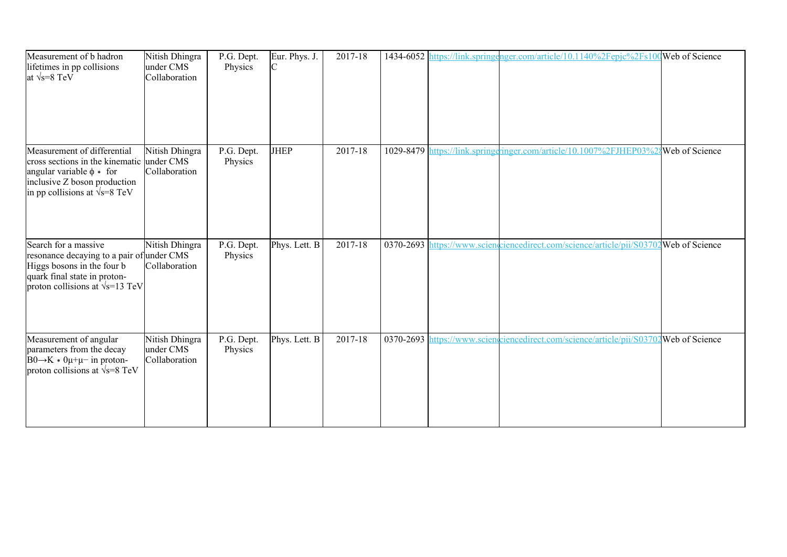| Measurement of b hadron<br>lifetimes in pp collisions<br>at $\sqrt{s} = 8$ TeV                                                                                                     | Nitish Dhingra<br>under CMS<br>Collaboration | P.G. Dept.<br>Physics | Eur. Phys. J. | 2017-18     |           | 1434-6052 https://link.springenger.com/article/10.1140%2Fepjc%2Fs100Web of Science     |  |
|------------------------------------------------------------------------------------------------------------------------------------------------------------------------------------|----------------------------------------------|-----------------------|---------------|-------------|-----------|----------------------------------------------------------------------------------------|--|
| Measurement of differential<br>cross sections in the kinematic under CMS<br>angular variable $\phi *$ for<br>inclusive Z boson production<br>in pp collisions at $\sqrt{s}$ =8 TeV | Nitish Dhingra<br>Collaboration              | P.G. Dept.<br>Physics | <b>JHEP</b>   | $2017 - 18$ | 1029-8479 | https://link.springeringer.com/article/10.1007%2FJHEP03%2gWeb of Science               |  |
| Search for a massive<br>resonance decaying to a pair of under CMS<br>Higgs bosons in the four b<br>quark final state in proton-<br>proton collisions at $\sqrt{s}$ =13 TeV         | Nitish Dhingra<br>Collaboration              | P.G. Dept.<br>Physics | Phys. Lett. B | 2017-18     |           | 0370-2693 https://www.scienceiencedirect.com/science/article/pii/S03702Web of Science  |  |
| Measurement of angular<br>parameters from the decay<br>$B0 \rightarrow K * 0\mu + \mu -$ in proton-<br>proton collisions at $\sqrt{s}$ =8 TeV                                      | Nitish Dhingra<br>under CMS<br>Collaboration | P.G. Dept.<br>Physics | Phys. Lett. B | 2017-18     |           | 0370-2693 https://www.scienceiencedirect.com/science/article/pii/S03702 Web of Science |  |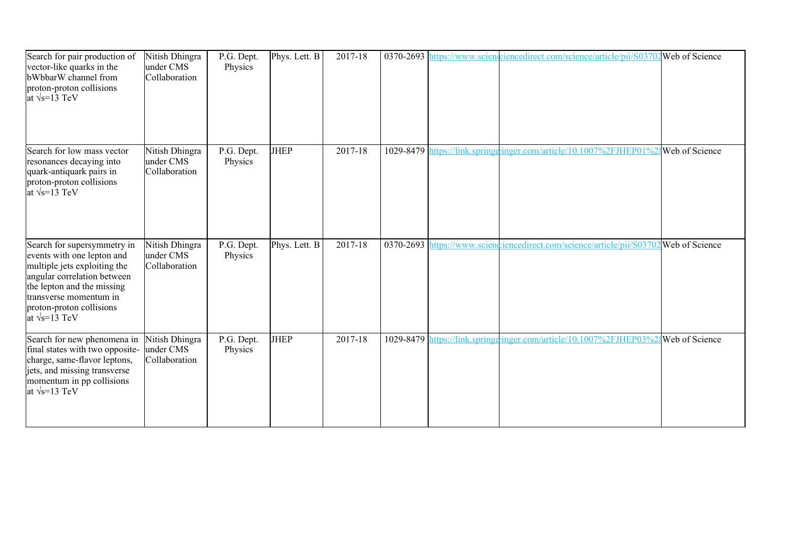| Search for pair production of<br>vector-like quarks in the<br>bWbbarW channel from<br>proton-proton collisions<br>at $\sqrt{s}$ =13 TeV                                                                                               | Nitish Dhingra<br>under CMS<br>Collaboration | P.G. Dept.<br>Physics | Phys. Lett. B | 2017-18 | 0370-2693 $\vert$ <sub>1</sub> | https://www.sciencedirect.com/science/article/pii/S03702Web of Science                  |  |
|---------------------------------------------------------------------------------------------------------------------------------------------------------------------------------------------------------------------------------------|----------------------------------------------|-----------------------|---------------|---------|--------------------------------|-----------------------------------------------------------------------------------------|--|
| Search for low mass vector<br>resonances decaying into<br>quark-antiquark pairs in<br>proton-proton collisions<br>at $\sqrt{s}$ =13 TeV                                                                                               | Nitish Dhingra<br>under CMS<br>Collaboration | P.G. Dept.<br>Physics | <b>JHEP</b>   | 2017-18 | 1029-8479                      | nttps://link.springeringer.com/article/10.1007%2FJHEP01%2gWeb of Science                |  |
| Search for supersymmetry in<br>events with one lepton and<br>multiple jets exploiting the<br>angular correlation between<br>the lepton and the missing<br>transverse momentum in<br>proton-proton collisions<br>at $\sqrt{s}$ =13 TeV | Nitish Dhingra<br>under CMS<br>Collaboration | P.G. Dept.<br>Physics | Phys. Lett. B | 2017-18 |                                | 0370-2693 https://www.sciencelinecedirect.com/science/article/pii/S03702 Web of Science |  |
| Search for new phenomena in<br>final states with two opposite-<br>charge, same-flavor leptons,<br>jets, and missing transverse<br>momentum in pp collisions<br>at $\sqrt{s}$ =13 TeV                                                  | Nitish Dhingra<br>under CMS<br>Collaboration | P.G. Dept.<br>Physics | <b>JHEP</b>   | 2017-18 |                                | 1029-8479 https://link.springeringer.com/article/10.1007%2FJHEP03%2{Web of Science      |  |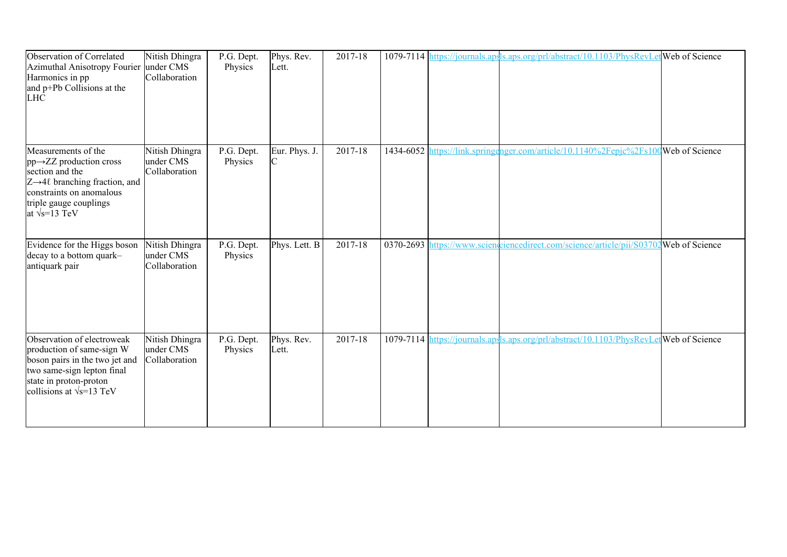| Observation of Correlated<br>Azimuthal Anisotropy Fourier under CMS<br>Harmonics in pp<br>and p+Pb Collisions at the<br><b>LHC</b>                                                                            | Nitish Dhingra<br>Collaboration              | P.G. Dept.<br>Physics | Phys. Rev.<br>Lett. | 2017-18 |           | 1079-7114 https://journals.apsls.aps.org/prl/abstract/10.1103/PhysRevLetWeb of Science |  |
|---------------------------------------------------------------------------------------------------------------------------------------------------------------------------------------------------------------|----------------------------------------------|-----------------------|---------------------|---------|-----------|----------------------------------------------------------------------------------------|--|
| Measurements of the<br>$pp \rightarrow ZZ$ production cross<br>section and the<br>$Z\rightarrow 4\ell$ branching fraction, and<br>constraints on anomalous<br>triple gauge couplings<br>at $\sqrt{s}$ =13 TeV | Nitish Dhingra<br>under CMS<br>Collaboration | P.G. Dept.<br>Physics | Eur. Phys. J.<br>C  | 2017-18 | 1434-6052 | https://link.springenger.com/article/10.1140%2Fepjc%2Fs100Web of Science               |  |
| Evidence for the Higgs boson<br>decay to a bottom quark-<br>antiquark pair                                                                                                                                    | Nitish Dhingra<br>under CMS<br>Collaboration | P.G. Dept.<br>Physics | Phys. Lett. B       | 2017-18 |           | 0370-2693 https://www.scienceiencedirect.com/science/article/pii/S03702Web of Science  |  |
| Observation of electroweak<br>production of same-sign W<br>boson pairs in the two jet and<br>two same-sign lepton final<br>state in proton-proton<br>collisions at $\sqrt{s}$ =13 TeV                         | Nitish Dhingra<br>under CMS<br>Collaboration | P.G. Dept.<br>Physics | Phys. Rev.<br>Lett. | 2017-18 |           | 1079-7114 https://journals.apsls.aps.org/prl/abstract/10.1103/PhysRevLetWeb of Science |  |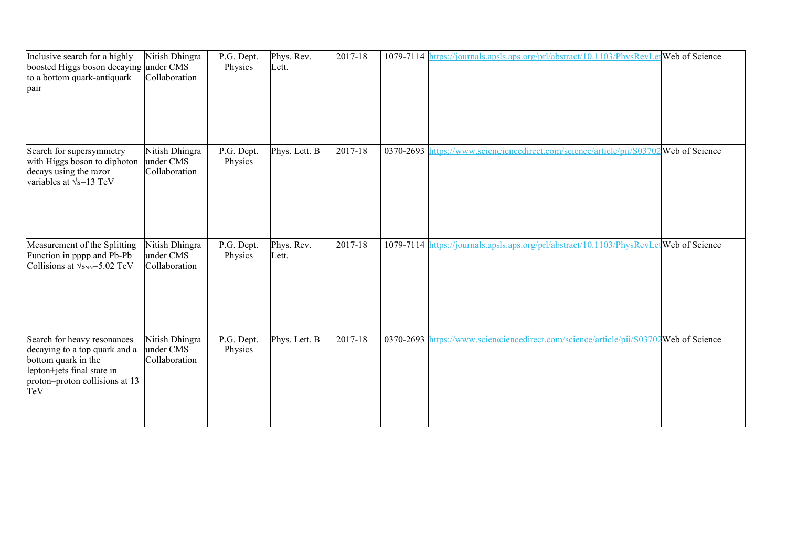| Inclusive search for a highly<br>boosted Higgs boson decaying under CMS<br>to a bottom quark-antiquark<br>pair                                             | Nitish Dhingra<br>Collaboration              | P.G. Dept.<br>Physics | Phys. Rev.<br>Lett. | 2017-18     |  | 1079-7114 https://journals.apsls.aps.org/prl/abstract/10.1103/PhysRevLetWeb of Science |                       |
|------------------------------------------------------------------------------------------------------------------------------------------------------------|----------------------------------------------|-----------------------|---------------------|-------------|--|----------------------------------------------------------------------------------------|-----------------------|
| Search for supersymmetry<br>with Higgs boson to diphoton<br>decays using the razor<br>variables at $\sqrt{s}$ =13 TeV                                      | Nitish Dhingra<br>under CMS<br>Collaboration | P.G. Dept.<br>Physics | Phys. Lett. B       | $2017 - 18$ |  | 0370-2693 https://www.sciencedirect.com/science/article/pii/S0370                      | <b>Web</b> of Science |
| Measurement of the Splitting<br>Function in pppp and Pb-Pb<br>Collisions at $\sqrt{s_{NN}}$ =5.02 TeV                                                      | Nitish Dhingra<br>under CMS<br>Collaboration | P.G. Dept.<br>Physics | Phys. Rev.<br>Lett. | 2017-18     |  | 1079-7114 https://journals.apsls.aps.org/prl/abstract/10.1103/PhysRevLetweb of Science |                       |
| Search for heavy resonances<br>decaying to a top quark and a<br>bottom quark in the<br>lepton+jets final state in<br>proton-proton collisions at 13<br>TeV | Nitish Dhingra<br>under CMS<br>Collaboration | P.G. Dept.<br>Physics | Phys. Lett. B       | 2017-18     |  | 0370-2693 https://www.scienceiencedirect.com/science/article/pii/S03702Web of Science  |                       |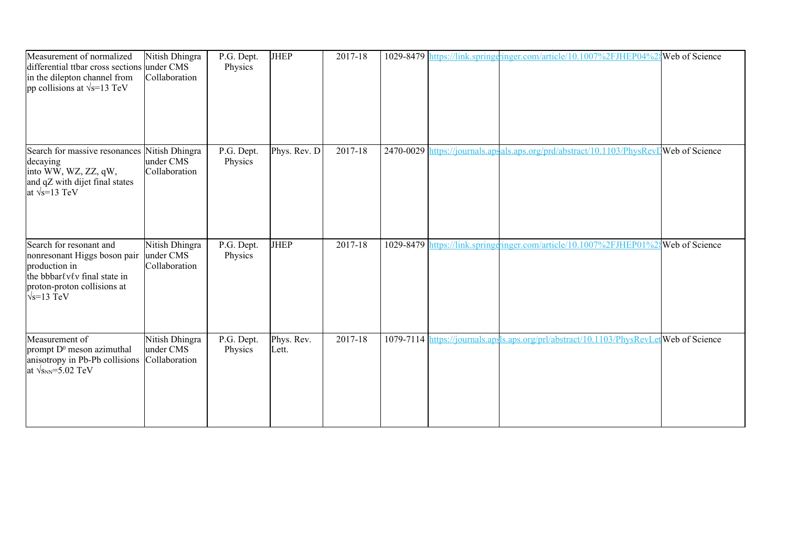| Measurement of normalized<br>differential ttbar cross sections under CMS<br>in the dilepton channel from<br>pp collisions at $\sqrt{s}$ =13 TeV               | Nitish Dhingra<br>Collaboration              | P.G. Dept.<br>Physics | <b>JHEP</b>         | 2017-18 |  | 1029-8479 https://link.springeringer.com/article/10.1007%2FJHEP04%24Web of Science     |  |
|---------------------------------------------------------------------------------------------------------------------------------------------------------------|----------------------------------------------|-----------------------|---------------------|---------|--|----------------------------------------------------------------------------------------|--|
| Search for massive resonances Nitish Dhingra<br>decaying<br>into WW, WZ, ZZ, qW,<br>and qZ with dijet final states<br>at $\sqrt{s}$ =13 TeV                   | under CMS<br>Collaboration                   | P.G. Dept.<br>Physics | Phys. Rev. D        | 2017-18 |  | 2470-0029 https://journals.apsals.aps.org/prd/abstract/10.1103/PhysRevIWeb of Science  |  |
| Search for resonant and<br>nonresonant Higgs boson pair<br>production in<br>the bbbarlvlv final state in<br>proton-proton collisions at<br>$\sqrt{s}$ =13 TeV | Nitish Dhingra<br>under CMS<br>Collaboration | P.G. Dept.<br>Physics | <b>JHEP</b>         | 2017-18 |  | 1029-8479 https://link.springeringer.com/article/10.1007%2FJHEP01%2\$Web of Science    |  |
| Measurement of<br>prompt D <sup>0</sup> meson azimuthal<br>anisotropy in Pb-Pb collisions<br>at $\sqrt{s_{NN}}$ =5.02 TeV                                     | Nitish Dhingra<br>under CMS<br>Collaboration | P.G. Dept.<br>Physics | Phys. Rev.<br>Lett. | 2017-18 |  | 1079-7114 https://journals.apsls.aps.org/prl/abstract/10.1103/PhysRevLetWeb of Science |  |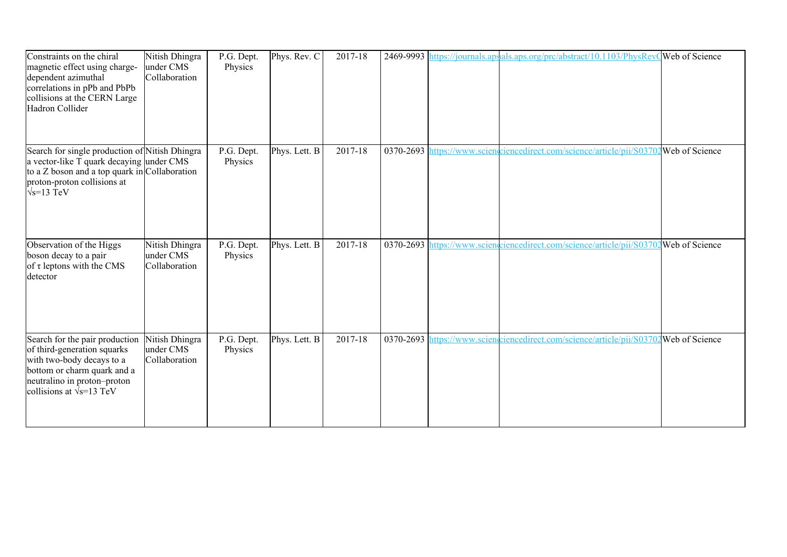| Constraints on the chiral<br>magnetic effect using charge-<br>dependent azimuthal<br>correlations in pPb and PbPb<br>collisions at the CERN Large<br>Hadron Collider                               | Nitish Dhingra<br>under CMS<br>Collaboration | P.G. Dept.<br>Physics | Phys. Rev. C  | 2017-18     |           | 2469-9993 https://journals.apsals.aps.org/prc/abstract/10.1103/PhysRevQWeb of Science |  |
|----------------------------------------------------------------------------------------------------------------------------------------------------------------------------------------------------|----------------------------------------------|-----------------------|---------------|-------------|-----------|---------------------------------------------------------------------------------------|--|
| Search for single production of Nitish Dhingra<br>a vector-like T quark decaying under CMS<br>to a $Z$ boson and a top quark in Collaboration<br>proton-proton collisions at<br>$\sqrt{s}$ =13 TeV |                                              | P.G. Dept.<br>Physics | Phys. Lett. B | $2017 - 18$ | 0370-2693 | https://www.scienciencedirect.com/science/article/pii/S03702Web of Science            |  |
| Observation of the Higgs<br>boson decay to a pair<br>of $\tau$ leptons with the CMS<br>detector                                                                                                    | Nitish Dhingra<br>under CMS<br>Collaboration | P.G. Dept.<br>Physics | Phys. Lett. B | 2017-18     |           | 0370-2693 https://www.scienceiencedirect.com/science/article/pii/S03702Web of Science |  |
| Search for the pair production<br>of third-generation squarks<br>with two-body decays to a<br>bottom or charm quark and a<br>neutralino in proton-proton<br>collisions at $\sqrt{s}$ =13 TeV       | Nitish Dhingra<br>under CMS<br>Collaboration | P.G. Dept.<br>Physics | Phys. Lett. B | 2017-18     |           | 0370-2693 https://www.scienceiencedirect.com/science/article/pii/S03702Web of Science |  |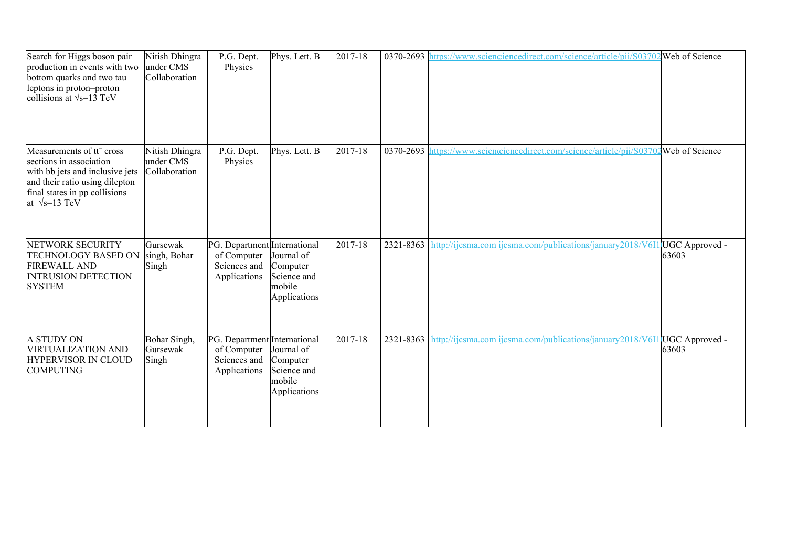| Search for Higgs boson pair<br>production in events with two<br>bottom quarks and two tau<br>leptons in proton-proton<br>collisions at $\sqrt{s}$ =13 TeV                                       | Nitish Dhingra<br>under CMS<br>Collaboration | P.G. Dept.<br>Physics                                                       | Phys. Lett. B                                                   | 2017-18 |           |                   | 0370-2693 https://www.sciencedirect.com/science/article/pii/S03702 Web of Science     |       |
|-------------------------------------------------------------------------------------------------------------------------------------------------------------------------------------------------|----------------------------------------------|-----------------------------------------------------------------------------|-----------------------------------------------------------------|---------|-----------|-------------------|---------------------------------------------------------------------------------------|-------|
| Measurements of tt <sup>-</sup> cross<br>sections in association<br>with bb jets and inclusive jets<br>and their ratio using dilepton<br>final states in pp collisions<br>at $\sqrt{s}$ =13 TeV | Nitish Dhingra<br>under CMS<br>Collaboration | P.G. Dept.<br>Physics                                                       | Phys. Lett. B                                                   | 2017-18 |           |                   | 0370-2693 https://www.scienceiencedirect.com/science/article/pii/S03702Web of Science |       |
| NETWORK SECURITY<br>TECHNOLOGY BASED ON<br><b>FIREWALL AND</b><br><b>INTRUSION DETECTION</b><br><b>SYSTEM</b>                                                                                   | Gursewak<br>singh, Bohar<br>Singh            | PG. Department International<br>of Computer<br>Sciences and<br>Applications | Journal of<br>Computer<br>Science and<br>mobile<br>Applications | 2017-18 | 2321-8363 | http://ijcsma.com | icsma.com/publications/january2018/V611 UGC Approved -                                | 63603 |
| A STUDY ON<br><b>VIRTUALIZATION AND</b><br>HYPERVISOR IN CLOUD<br><b>COMPUTING</b>                                                                                                              | Bohar Singh,<br>Gursewak<br>Singh            | PG. Department International<br>of Computer<br>Sciences and<br>Applications | Journal of<br>Computer<br>Science and<br>mobile<br>Applications | 2017-18 | 2321-8363 |                   | http://ijcsma.com/jcsma.com/publications/january2018/V611JUGC Approved -              | 63603 |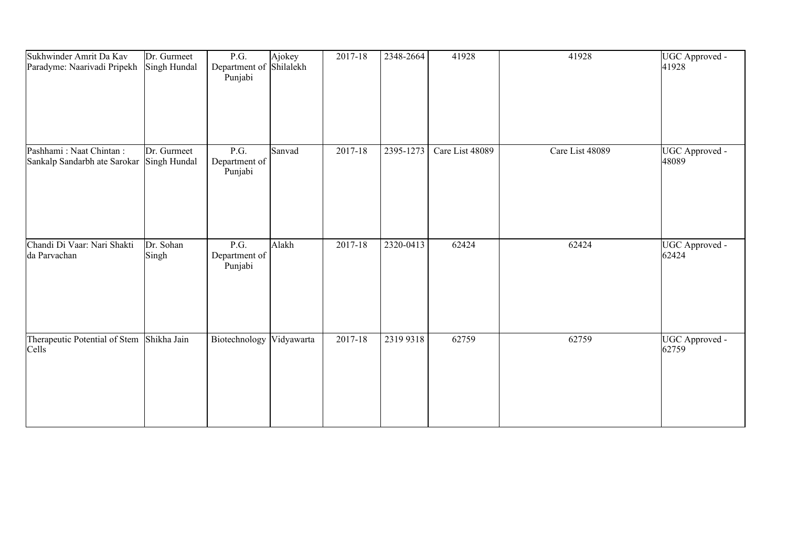| Sukhwinder Amrit Da Kav<br>Paradyme: Naarivadi Pripekh  | Dr. Gurmeet<br>Singh Hundal | P.G.<br>Department of Shilalekh<br>Punjabi | Ajokey | 2017-18     | 2348-2664 | 41928           | 41928           | UGC Approved -<br>41928 |
|---------------------------------------------------------|-----------------------------|--------------------------------------------|--------|-------------|-----------|-----------------|-----------------|-------------------------|
| Pashhami: Naat Chintan:<br>Sankalp Sandarbh ate Sarokar | Dr. Gurmeet<br>Singh Hundal | P.G.<br>Department of<br>Punjabi           | Sanvad | $2017 - 18$ | 2395-1273 | Care List 48089 | Care List 48089 | UGC Approved -<br>48089 |
| Chandi Di Vaar: Nari Shakti<br>da Parvachan             | Dr. Sohan<br>Singh          | P.G.<br>Department of<br>Punjabi           | Alakh  | 2017-18     | 2320-0413 | 62424           | 62424           | UGC Approved -<br>62424 |
| Therapeutic Potential of Stem<br>Cells                  | Shikha Jain                 | Biotechnology Vidyawarta                   |        | $2017 - 18$ | 2319 9318 | 62759           | 62759           | UGC Approved -<br>62759 |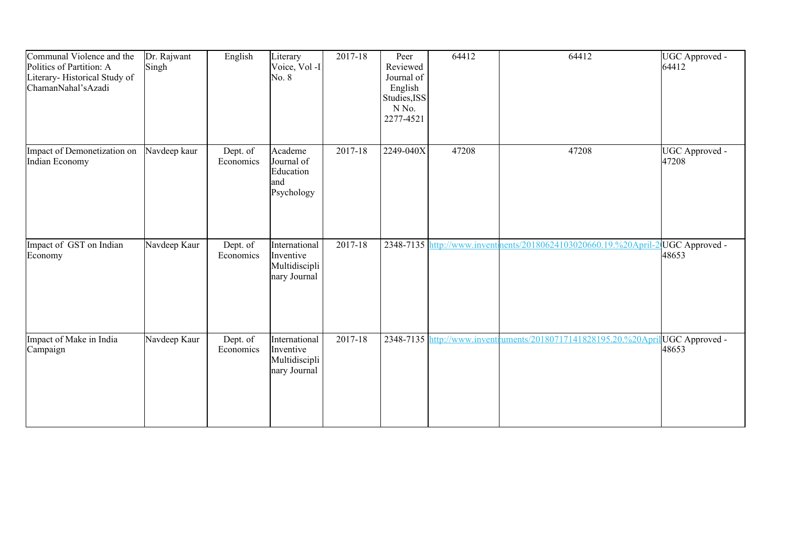| Communal Violence and the<br>Politics of Partition: A<br>Literary-Historical Study of<br>ChamanNahal'sAzadi | Dr. Rajwant<br>Singh | English               | Literary<br>Voice, Vol -I<br>No. 8                          | 2017-18 | Peer<br>Reviewed<br>Journal of<br>English<br>Studies, ISS<br>N No.<br>2277-4521 | 64412 | 64412                                                                           | UGC Approved -<br>64412 |
|-------------------------------------------------------------------------------------------------------------|----------------------|-----------------------|-------------------------------------------------------------|---------|---------------------------------------------------------------------------------|-------|---------------------------------------------------------------------------------|-------------------------|
| Impact of Demonetization on<br>Indian Economy                                                               | Navdeep kaur         | Dept. of<br>Economics | Academe<br>Journal of<br>Education<br>and<br>Psychology     | 2017-18 | 2249-040X                                                                       | 47208 | 47208                                                                           | UGC Approved -<br>47208 |
| Impact of GST on Indian<br>Economy                                                                          | Navdeep Kaur         | Dept. of<br>Economics | International<br>Inventive<br>Multidiscipli<br>nary Journal | 2017-18 |                                                                                 |       | 2348-7135 http://www.inventments/20180624103020660.19.%20April-2 UGC Approved - | 48653                   |
| Impact of Make in India<br>Campaign                                                                         | Navdeep Kaur         | Dept. of<br>Economics | International<br>Inventive<br>Multidiscipli<br>nary Journal | 2017-18 |                                                                                 |       | 2348-7135 http://www.inventruments/20180717141828195.20.%20Apri                 | UGC Approved -<br>48653 |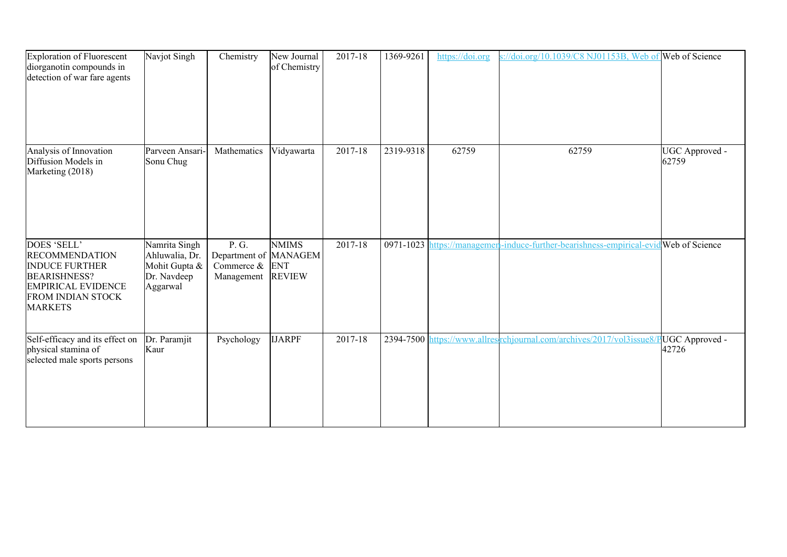| Exploration of Fluorescent<br>diorganotin compounds in<br>detection of war fare agents                                                                          | Navjot Singh                                                                | Chemistry                                                         | New Journal<br>of Chemistry   | 2017-18 | 1369-9261 | https://doi.org | $\frac{1}{2}$ //doi.org/10.1039/C8 NJ01153B, Web of Web of Science                   |                                 |
|-----------------------------------------------------------------------------------------------------------------------------------------------------------------|-----------------------------------------------------------------------------|-------------------------------------------------------------------|-------------------------------|---------|-----------|-----------------|--------------------------------------------------------------------------------------|---------------------------------|
| Analysis of Innovation<br>Diffusion Models in<br>Marketing (2018)                                                                                               | Parveen Ansari-<br>Sonu Chug                                                | Mathematics                                                       | Vidyawarta                    | 2017-18 | 2319-9318 | 62759           | 62759                                                                                | UGC Approved -<br>62759         |
| DOES 'SELL'<br><b>RECOMMENDATION</b><br><b>INDUCE FURTHER</b><br><b>BEARISHNESS?</b><br><b>EMPIRICAL EVIDENCE</b><br><b>FROM INDIAN STOCK</b><br><b>MARKETS</b> | Namrita Singh<br>Ahluwalia, Dr.<br>Mohit Gupta &<br>Dr. Navdeep<br>Aggarwal | P. G.<br>Department of MANAGEM<br>Commerce $\&$ ENT<br>Management | <b>NMIMS</b><br><b>REVIEW</b> | 2017-18 |           |                 | 0971-1023 https://managemen-induce-further-bearishness-empirical-evid Web of Science |                                 |
| Self-efficacy and its effect on<br>physical stamina of<br>selected male sports persons                                                                          | Dr. Paramjit<br>Kaur                                                        | Psychology                                                        | <b>IJARPF</b>                 | 2017-18 |           |                 | 2394-7500 https://www.allresirchjournal.com/archives/2017/vol3issue8/                | <b>PUGC</b> Approved -<br>42726 |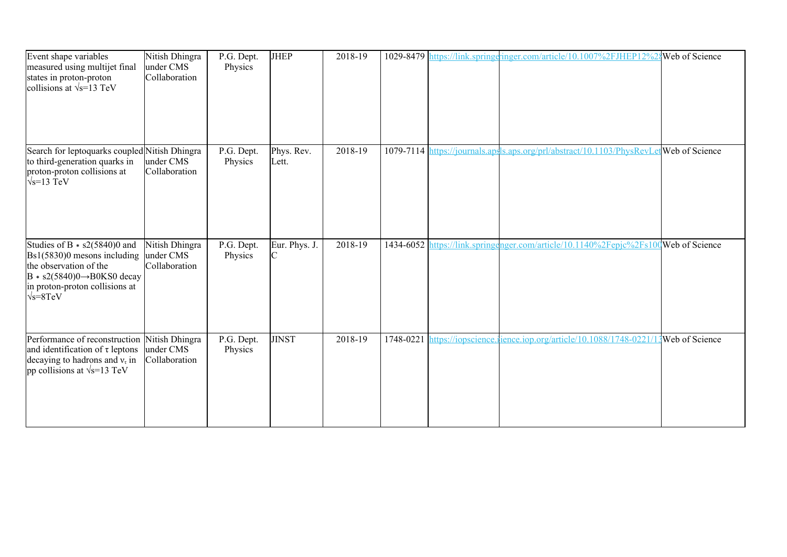| Event shape variables<br>measured using multijet final<br>states in proton-proton<br>collisions at $\sqrt{s}$ =13 TeV                                                                                                | Nitish Dhingra<br>under CMS<br>Collaboration | P.G. Dept.<br>Physics | <b>JHEP</b>         | 2018-19 |  | 1029-8479 https://link.springeringer.com/article/10.1007%2FJHEP12%2{Web of Science      |                |
|----------------------------------------------------------------------------------------------------------------------------------------------------------------------------------------------------------------------|----------------------------------------------|-----------------------|---------------------|---------|--|-----------------------------------------------------------------------------------------|----------------|
| Search for leptoquarks coupled Nitish Dhingra<br>to third-generation quarks in<br>proton-proton collisions at<br>$\sqrt{s}$ =13 TeV                                                                                  | under CMS<br>Collaboration                   | P.G. Dept.<br>Physics | Phys. Rev.<br>Lett. | 2018-19 |  | 1079-7114 https://journals.apsls.aps.org/prl/abstract/10.1103/PhysRevLet Web of Science |                |
| Studies of B $*$ s2(5840)0 and<br>$\text{Bs}1(5830)0$ mesons including under CMS<br>the observation of the<br>$B * s2(5840)0 \rightarrow B0KS0$ decay<br>in proton-proton collisions at<br>$\sqrt{s} = 8 \text{TeV}$ | Nitish Dhingra<br>Collaboration              | P.G. Dept.<br>Physics | Eur. Phys. J.<br>C  | 2018-19 |  | 1434-6052 https://link.springenger.com/article/10.1140%2Fepjc%2Fs100Web of Science      |                |
| Performance of reconstruction<br>and identification of $\tau$ leptons<br>decaying to hadrons and $v\tau$ in<br>pp collisions at $\sqrt{s}$ =13 TeV                                                                   | Nitish Dhingra<br>under CMS<br>Collaboration | P.G. Dept.<br>Physics | <b>JINST</b>        | 2018-19 |  | 1748-0221 https://iopscience.jience.jop.org/article/10.1088/1748-0221/                  | Web of Science |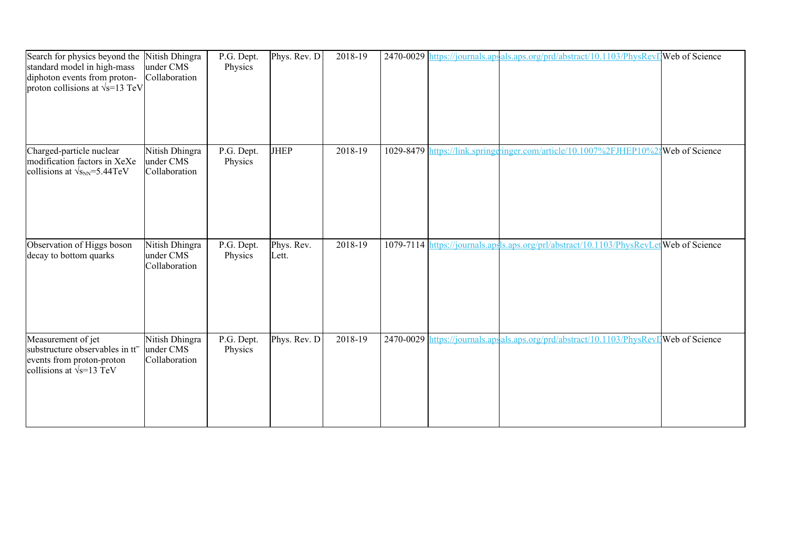| Search for physics beyond the<br>standard model in high-mass<br>diphoton events from proton-<br>proton collisions at $\sqrt{s}$ =13 TeV | Nitish Dhingra<br>under CMS<br>Collaboration | P.G. Dept.<br>Physics | Phys. Rev. $D$      | 2018-19 |  | 2470-0029 https://journals.apsals.aps.org/prd/abstract/10.1103/PhysRevD Web of Science  |                |
|-----------------------------------------------------------------------------------------------------------------------------------------|----------------------------------------------|-----------------------|---------------------|---------|--|-----------------------------------------------------------------------------------------|----------------|
| Charged-particle nuclear<br>modification factors in XeXe<br>collisions at $\sqrt{s_{NN}}$ =5.44TeV                                      | Nitish Dhingra<br>under CMS<br>Collaboration | P.G. Dept.<br>Physics | <b>JHEP</b>         | 2018-19 |  | 1029-8479 https://link.springeringer.com/article/10.1007%2FJHEP10%                      | Web of Science |
| Observation of Higgs boson<br>decay to bottom quarks                                                                                    | Nitish Dhingra<br>under CMS<br>Collaboration | P.G. Dept.<br>Physics | Phys. Rev.<br>Lett. | 2018-19 |  | 1079-7114 https://journals.apsls.aps.org/prl/abstract/10.1103/PhysRevLet Web of Science |                |
| Measurement of jet<br>substructure observables in tt <sup>-</sup><br>events from proton-proton<br>collisions at $\sqrt{s}$ =13 TeV      | Nitish Dhingra<br>under CMS<br>Collaboration | P.G. Dept.<br>Physics | Phys. Rev. D        | 2018-19 |  | 2470-0029 https://journals.apsals.aps.org/prd/abstract/10.1103/PhysRevIJWeb of Science  |                |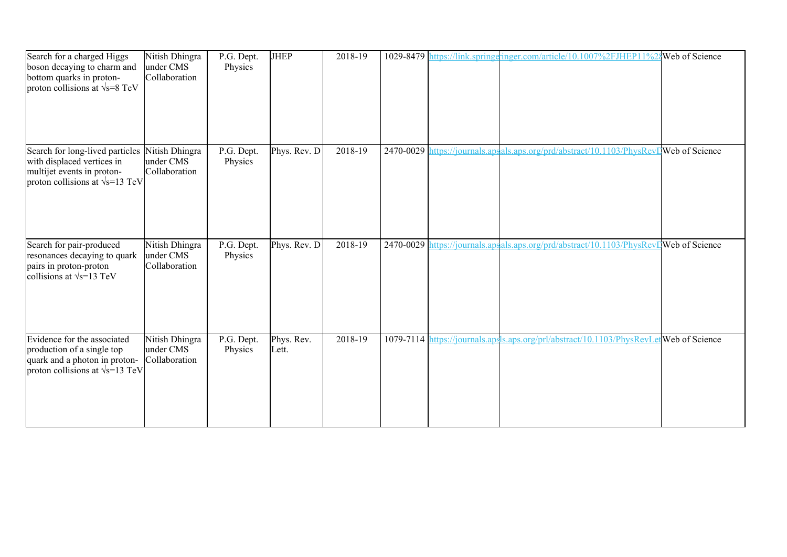| Search for a charged Higgs<br>boson decaying to charm and<br>bottom quarks in proton-<br>proton collisions at $\sqrt{s}$ =8 TeV        | Nitish Dhingra<br>under CMS<br>Collaboration | P.G. Dept.<br>Physics | <b>JHEP</b>         | 2018-19 |  | 1029-8479 https://link.springeringer.com/article/10.1007%2FJHEP11%2                    | <b>Web</b> of Science |
|----------------------------------------------------------------------------------------------------------------------------------------|----------------------------------------------|-----------------------|---------------------|---------|--|----------------------------------------------------------------------------------------|-----------------------|
| Search for long-lived particles<br>with displaced vertices in<br>multijet events in proton-<br>proton collisions at $\sqrt{s}$ =13 TeV | Nitish Dhingra<br>under CMS<br>Collaboration | P.G. Dept.<br>Physics | Phys. Rev. D        | 2018-19 |  | 2470-0029 https://journals.apsals.aps.org/prd/abstract/10.1103/PhysRevIWeb of Science  |                       |
| Search for pair-produced<br>resonances decaying to quark<br>pairs in proton-proton<br>collisions at $\sqrt{s}$ =13 TeV                 | Nitish Dhingra<br>under CMS<br>Collaboration | P.G. Dept.<br>Physics | Phys. Rev. D        | 2018-19 |  | 2470-0029 https://journals.apsals.aps.org/prd/abstract/10.1103/PhysRevIWeb of Science  |                       |
| Evidence for the associated<br>production of a single top<br>quark and a photon in proton-<br>proton collisions at $\sqrt{s}$ =13 TeV  | Nitish Dhingra<br>under CMS<br>Collaboration | P.G. Dept.<br>Physics | Phys. Rev.<br>Lett. | 2018-19 |  | 1079-7114 https://journals.apsls.aps.org/prl/abstract/10.1103/PhysRevLetWeb of Science |                       |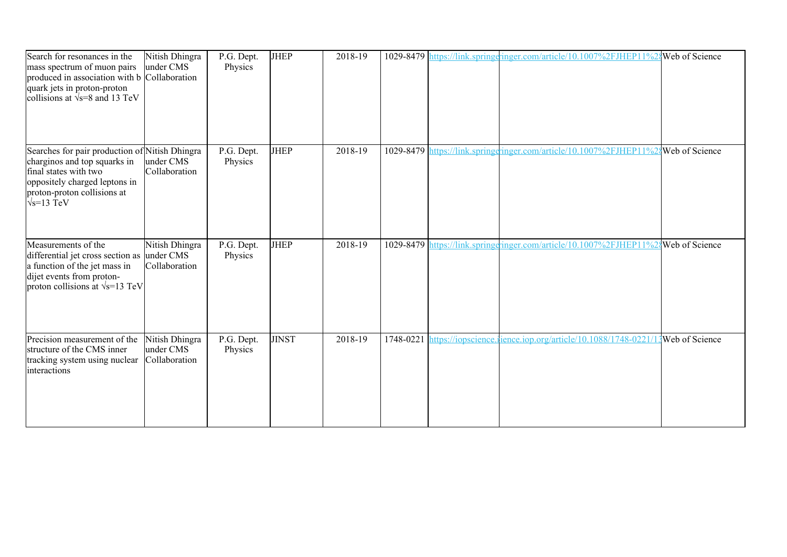| Search for resonances in the<br>mass spectrum of muon pairs<br>produced in association with b Collaboration<br>quark jets in proton-proton<br>collisions at $\sqrt{s}$ =8 and 13 TeV          | Nitish Dhingra<br>under CMS                  | P.G. Dept.<br>Physics | <b>JHEP</b>  | 2018-19 |           | 1029-8479 https://link.springeringer.com/article/10.1007%2FJHEP11%24Web of Science |                |
|-----------------------------------------------------------------------------------------------------------------------------------------------------------------------------------------------|----------------------------------------------|-----------------------|--------------|---------|-----------|------------------------------------------------------------------------------------|----------------|
| Searches for pair production of Nitish Dhingra<br>charginos and top squarks in<br>final states with two<br>oppositely charged leptons in<br>proton-proton collisions at<br>$\sqrt{s}$ =13 TeV | under CMS<br>Collaboration                   | P.G. Dept.<br>Physics | <b>JHEP</b>  | 2018-19 | 1029-8479 | https://link.springeringer.com/article/10.1007%2FJHEP11%28 Web of Science          |                |
| Measurements of the<br>differential jet cross section as under CMS<br>a function of the jet mass in<br>dijet events from proton-<br>proton collisions at $\sqrt{s}$ =13 TeV                   | Nitish Dhingra<br>Collaboration              | P.G. Dept.<br>Physics | JHEP         | 2018-19 |           | 1029-8479 https://link.springgringer.com/article/10.1007%2FJHEP11%28Web of Science |                |
| Precision measurement of the<br>structure of the CMS inner<br>tracking system using nuclear<br>interactions                                                                                   | Nitish Dhingra<br>under CMS<br>Collaboration | P.G. Dept.<br>Physics | <b>JINST</b> | 2018-19 | 1748-0221 | nttps://iopscience.ience.iop.org/article/10.1088/1748-0221/                        | Web of Science |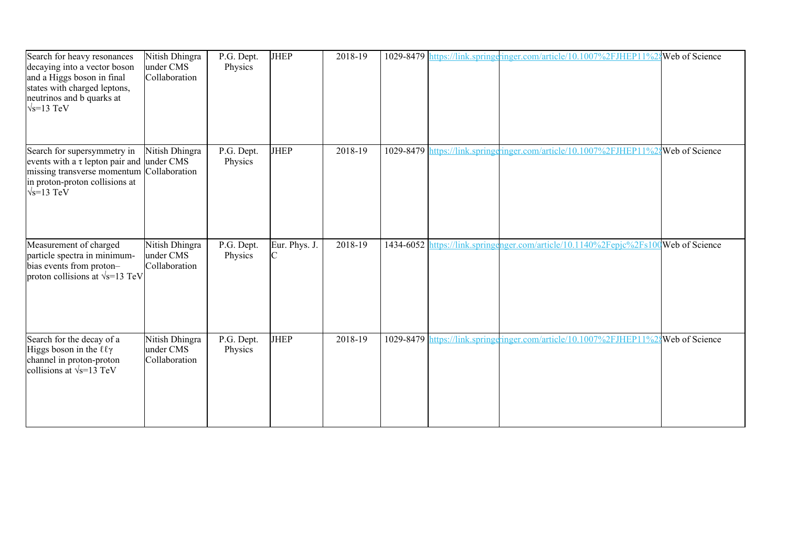| Search for heavy resonances<br>decaying into a vector boson<br>and a Higgs boson in final<br>states with charged leptons,<br>neutrinos and b quarks at<br>$\sqrt{s}$ =13 TeV       | Nitish Dhingra<br>under CMS<br>Collaboration | P.G. Dept.<br>Physics | <b>JHEP</b>   | 2018-19 |  | 1029-8479 https://link.springeringer.com/article/10.1007%2FJHEP11%2{Web of Science  |  |
|------------------------------------------------------------------------------------------------------------------------------------------------------------------------------------|----------------------------------------------|-----------------------|---------------|---------|--|-------------------------------------------------------------------------------------|--|
| Search for supersymmetry in<br>events with a $\tau$ lepton pair and under CMS<br>missing transverse momentum Collaboration<br>in proton-proton collisions at<br>$\sqrt{s}$ =13 TeV | Nitish Dhingra                               | P.G. Dept.<br>Physics | JHEP          | 2018-19 |  | 1029-8479 https://link.springeringer.com/article/10.1007%2FJHEP11%28 Web of Science |  |
| Measurement of charged<br>particle spectra in minimum-<br>bias events from proton-<br>proton collisions at $\sqrt{s}$ =13 TeV                                                      | Nitish Dhingra<br>under CMS<br>Collaboration | P.G. Dept.<br>Physics | Eur. Phys. J. | 2018-19 |  | 1434-6052 https://link.springenger.com/article/10.1140%2Fepjc%2Fs100Web of Science  |  |
| Search for the decay of a<br>Higgs boson in the $\ell\ell\gamma$<br>channel in proton-proton<br>collisions at $\sqrt{s}$ =13 TeV                                                   | Nitish Dhingra<br>under CMS<br>Collaboration | P.G. Dept.<br>Physics | <b>JHEP</b>   | 2018-19 |  | 1029-8479 https://link.springeringer.com/article/10.1007%2FJHEP11%24Web of Science  |  |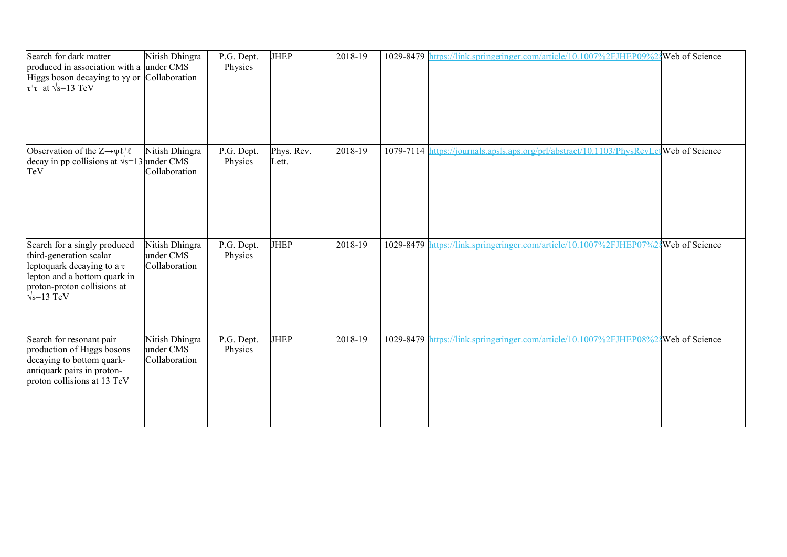| Search for dark matter<br>produced in association with a under CMS<br>Higgs boson decaying to $\gamma\gamma$ or Collaboration<br>$\overline{\tau^+\tau^-}$ at $\sqrt{s}$ =13 TeV | Nitish Dhingra                               | P.G. Dept.<br>Physics | <b>JHEP</b>         | 2018-19 |  | 1029-8479 https://link.springeringer.com/article/10.1007%2FJHEP09%2{Web of Science      |  |
|----------------------------------------------------------------------------------------------------------------------------------------------------------------------------------|----------------------------------------------|-----------------------|---------------------|---------|--|-----------------------------------------------------------------------------------------|--|
| Observation of the $Z \rightarrow \psi \ell^+ \ell^-$<br>decay in pp collisions at $\sqrt{s}$ =13 under CMS<br>TeV                                                               | Nitish Dhingra<br>Collaboration              | P.G. Dept.<br>Physics | Phys. Rev.<br>Lett. | 2018-19 |  | 1079-7114 https://journals.apsls.aps.org/prl/abstract/10.1103/PhysRevLet Web of Science |  |
| Search for a singly produced<br>third-generation scalar<br>leptoquark decaying to a $\tau$<br>lepton and a bottom quark in<br>proton-proton collisions at<br>$\sqrt{s}$ =13 TeV  | Nitish Dhingra<br>under CMS<br>Collaboration | P.G. Dept.<br>Physics | <b>JHEP</b>         | 2018-19 |  | 1029-8479 https://link.springeringer.com/article/10.1007%2FJHEP07%2\$Web of Science     |  |
| Search for resonant pair<br>production of Higgs bosons<br>decaying to bottom quark-<br>antiquark pairs in proton-<br>proton collisions at 13 TeV                                 | Nitish Dhingra<br>under CMS<br>Collaboration | P.G. Dept.<br>Physics | <b>JHEP</b>         | 2018-19 |  | 1029-8479 https://link.springeringer.com/article/10.1007%2FJHEP08%24Web of Science      |  |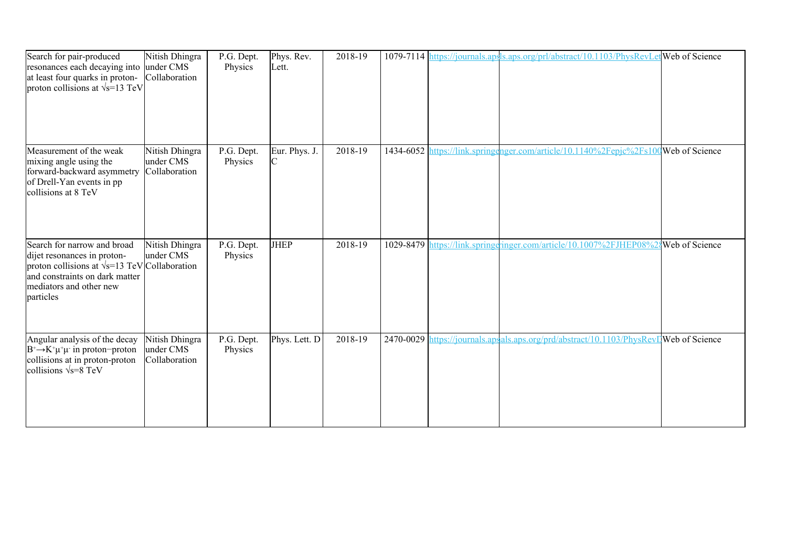| Search for pair-produced<br>resonances each decaying into<br>at least four quarks in proton-<br>proton collisions at $\sqrt{s}$ =13 TeV                                                       | Nitish Dhingra<br>under CMS<br>Collaboration | $\overline{P}$ .G. Dept.<br>Physics | Phys. Rev.<br>Lett. | 2018-19 |           | 1079-7114 https://journals.apsls.aps.org/prl/abstract/10.1103/PhysRevLetweb of Science |  |
|-----------------------------------------------------------------------------------------------------------------------------------------------------------------------------------------------|----------------------------------------------|-------------------------------------|---------------------|---------|-----------|----------------------------------------------------------------------------------------|--|
| Measurement of the weak<br>mixing angle using the<br>forward-backward asymmetry<br>of Drell-Yan events in pp<br>collisions at 8 TeV                                                           | Nitish Dhingra<br>under CMS<br>Collaboration | P.G. Dept.<br>Physics               | Eur. Phys. J.<br>ІС | 2018-19 | 1434-6052 | https://link.springenger.com/article/10.1140%2Fepjc%2Fs100Web of Science               |  |
| Search for narrow and broad<br>dijet resonances in proton-<br>proton collisions at $\sqrt{s}$ =13 TeV Collaboration<br>and constraints on dark matter<br>mediators and other new<br>particles | Nitish Dhingra<br>under CMS                  | P.G. Dept.<br>Physics               | <b>JHEP</b>         | 2018-19 |           | 1029-8479 https://link.springgringer.com/article/10.1007%2FJHEP08%24Web of Science     |  |
| Angular analysis of the decay<br>$B^+\rightarrow K^+\mu^+\mu^-$ in proton-proton<br>collisions at in proton-proton<br>collisions $\sqrt{s} = 8 \text{ TeV}$                                   | Nitish Dhingra<br>under CMS<br>Collaboration | P.G. Dept.<br>Physics               | Phys. Lett. D       | 2018-19 |           | 2470-0029 https://journals.apsals.aps.org/prd/abstract/10.1103/PhysRevIWeb of Science  |  |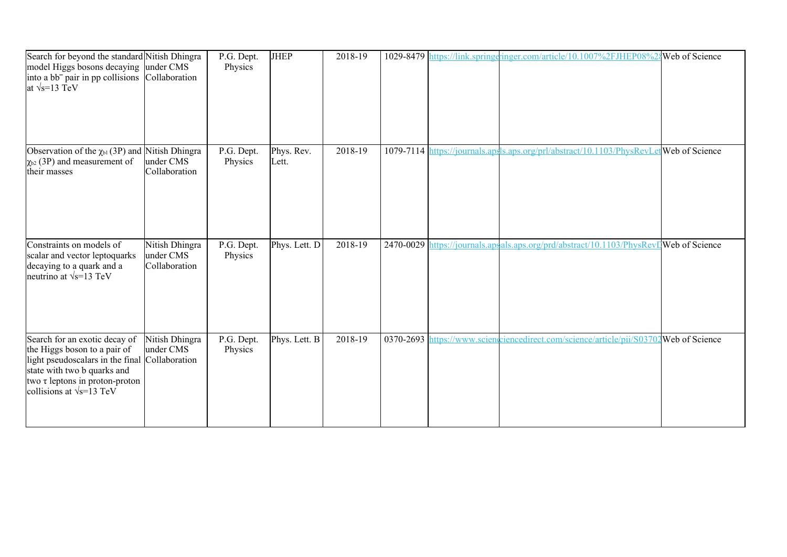| Search for beyond the standard Nitish Dhingra<br>model Higgs bosons decaying<br>into a bb <sup>-</sup> pair in pp collisions Collaboration<br>at $\sqrt{s}$ =13 TeV                                                  | under CMS                                    | P.G. Dept.<br>Physics | <b>JHEP</b>         | 2018-19 |  | 1029-8479 https://link.springeringer.com/article/10.1007%2FJHEP08%24Web of Science      |  |
|----------------------------------------------------------------------------------------------------------------------------------------------------------------------------------------------------------------------|----------------------------------------------|-----------------------|---------------------|---------|--|-----------------------------------------------------------------------------------------|--|
| Observation of the $\chi_{b1}(3P)$ and Nitish Dhingra<br>$\chi_{b2}$ (3P) and measurement of<br>their masses                                                                                                         | under CMS<br>Collaboration                   | P.G. Dept.<br>Physics | Phys. Rev.<br>Lett. | 2018-19 |  | 1079-7114 https://journals.apsls.aps.org/prl/abstract/10.1103/PhysRevLet Web of Science |  |
| Constraints on models of<br>scalar and vector leptoquarks<br>decaying to a quark and a<br>neutrino at $\sqrt{s}$ =13 TeV                                                                                             | Nitish Dhingra<br>under CMS<br>Collaboration | P.G. Dept.<br>Physics | Phys. Lett. D       | 2018-19 |  | 2470-0029 https://journals.apsals.aps.org/prd/abstract/10.1103/PhysRevDWeb of Science   |  |
| Search for an exotic decay of<br>the Higgs boson to a pair of<br>light pseudoscalars in the final Collaboration<br>state with two b quarks and<br>two τ leptons in proton-proton<br>collisions at $\sqrt{s}$ =13 TeV | Nitish Dhingra<br>under CMS                  | P.G. Dept.<br>Physics | Phys. Lett. B       | 2018-19 |  | 0370-2693 https://www.sciencelerect.com/science/article/pii/S03702Web of Science        |  |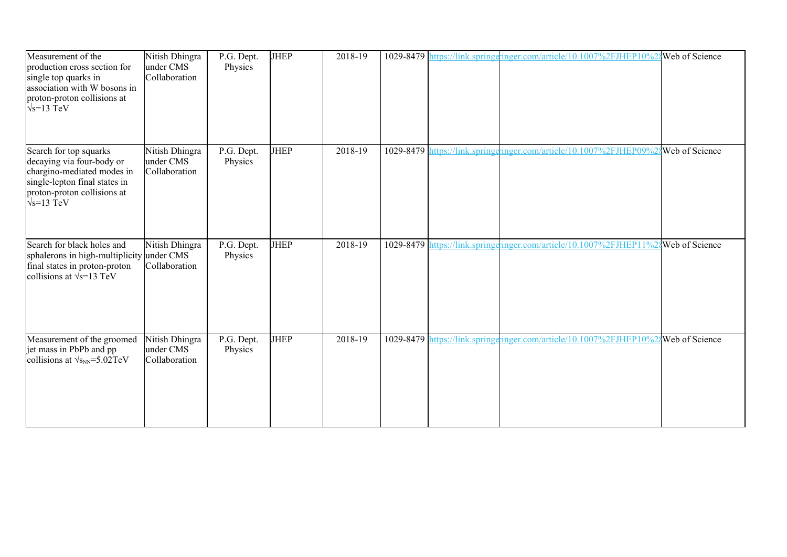| Measurement of the<br>production cross section for<br>single top quarks in<br>association with W bosons in<br>proton-proton collisions at<br>$\sqrt{s}$ =13 TeV         | Nitish Dhingra<br>under CMS<br>Collaboration | P.G. Dept.<br>Physics | <b>JHEP</b> | 2018-19 |  | 1029-8479 https://link.springeringer.com/article/10.1007%2FJHEP10%2{Web of Science |  |
|-------------------------------------------------------------------------------------------------------------------------------------------------------------------------|----------------------------------------------|-----------------------|-------------|---------|--|------------------------------------------------------------------------------------|--|
| Search for top squarks<br>decaying via four-body or<br>chargino-mediated modes in<br>single-lepton final states in<br>proton-proton collisions at<br>$\sqrt{s}$ =13 TeV | Nitish Dhingra<br>under CMS<br>Collaboration | P.G. Dept.<br>Physics | <b>JHEP</b> | 2018-19 |  | 1029-8479 https://link.springeringer.com/article/10.1007%2FJHEP09%2{Web of Science |  |
| Search for black holes and<br>sphalerons in high-multiplicity under CMS<br>final states in proton-proton<br>collisions at $\sqrt{s}$ =13 TeV                            | Nitish Dhingra<br>Collaboration              | P.G. Dept.<br>Physics | <b>JHEP</b> | 2018-19 |  | 1029-8479 https://link.springgringer.com/article/10.1007%2FJHEP11%28Web of Science |  |
| Measurement of the groomed<br>jet mass in PbPb and pp<br>collisions at $\sqrt{s_{NN}}$ =5.02TeV                                                                         | Nitish Dhingra<br>under CMS<br>Collaboration | P.G. Dept.<br>Physics | <b>JHEP</b> | 2018-19 |  | 1029-8479 https://link.springeringer.com/article/10.1007%2FJHEP10%24Web of Science |  |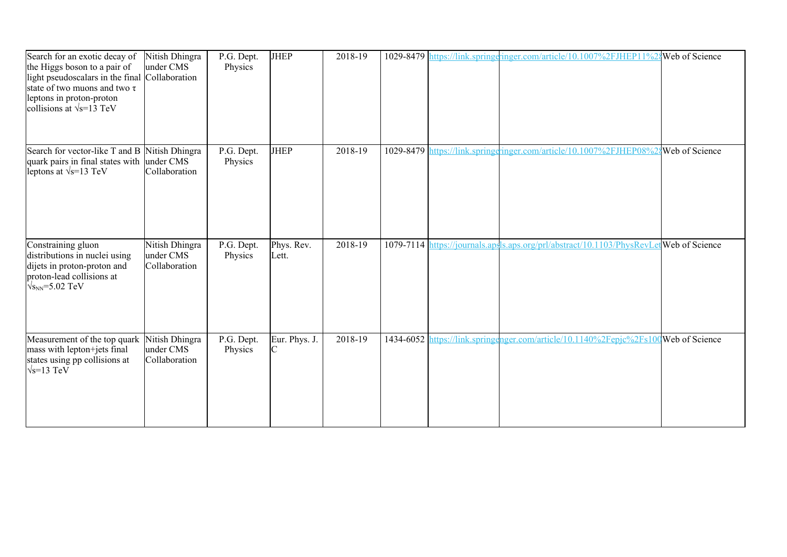| Search for an exotic decay of<br>the Higgs boson to a pair of<br>light pseudoscalars in the final Collaboration<br>state of two muons and two $\tau$<br>leptons in proton-proton<br>collisions at $\sqrt{s}$ =13 TeV | Nitish Dhingra<br>under CMS                  | P.G. Dept.<br>Physics | <b>JHEP</b>         | 2018-19 |  | 1029-8479 https://link.springeringer.com/article/10.1007%2FJHEP11%24Web of Science     |  |
|----------------------------------------------------------------------------------------------------------------------------------------------------------------------------------------------------------------------|----------------------------------------------|-----------------------|---------------------|---------|--|----------------------------------------------------------------------------------------|--|
| Search for vector-like T and B<br>quark pairs in final states with<br>leptons at $\sqrt{s}$ =13 TeV                                                                                                                  | Nitish Dhingra<br>under CMS<br>Collaboration | P.G. Dept.<br>Physics | <b>JHEP</b>         | 2018-19 |  | 1029-8479 https://link.springeringer.com/article/10.1007%2FJHEP08%24Web of Science     |  |
| Constraining gluon<br>distributions in nuclei using<br>dijets in proton-proton and<br>proton-lead collisions at<br>$\sqrt{s_{NN}}$ =5.02 TeV                                                                         | Nitish Dhingra<br>under CMS<br>Collaboration | P.G. Dept.<br>Physics | Phys. Rev.<br>Lett. | 2018-19 |  | 1079-7114 https://journals.apsls.aps.org/prl/abstract/10.1103/PhysRevLetWeb of Science |  |
| Measurement of the top quark<br>mass with lepton+jets final<br>states using pp collisions at<br>$\sqrt{s}$ =13 TeV                                                                                                   | Nitish Dhingra<br>under CMS<br>Collaboration | P.G. Dept.<br>Physics | Eur. Phys. J.       | 2018-19 |  | 1434-6052 https://link.springenger.com/article/10.1140%2Fepjc%2Fs100Web of Science     |  |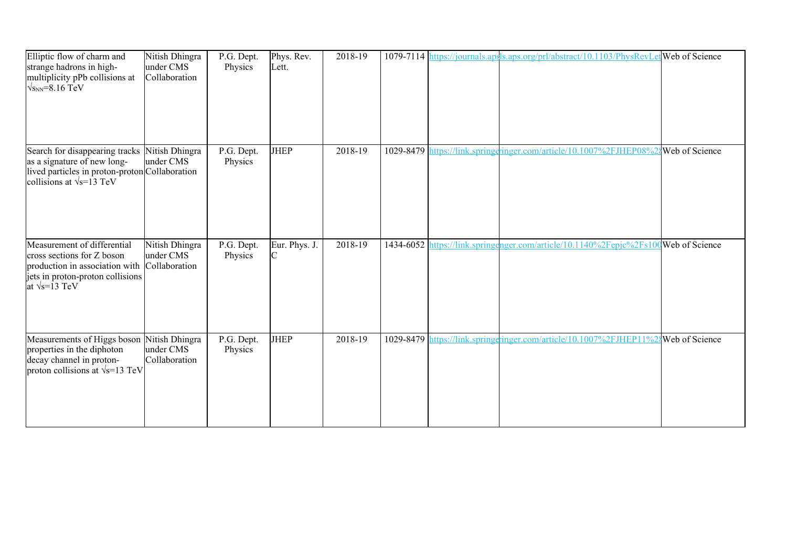| Elliptic flow of charm and<br>strange hadrons in high-<br>multiplicity pPb collisions at<br>$\sqrt{s_{NN}}$ =8.16 TeV                                              | Nitish Dhingra<br>under CMS<br>Collaboration | P.G. Dept.<br>Physics | Phys. Rev.<br>Lett. | 2018-19 |  | 1079-7114 https://journals.apsls.aps.org/prl/abstract/10.1103/PhysRevLet Web of Science |  |
|--------------------------------------------------------------------------------------------------------------------------------------------------------------------|----------------------------------------------|-----------------------|---------------------|---------|--|-----------------------------------------------------------------------------------------|--|
| Search for disappearing tracks Nitish Dhingra<br>as a signature of new long-<br>lived particles in proton-proton Collaboration<br>collisions at $\sqrt{s}$ =13 TeV | under CMS                                    | P.G. Dept.<br>Physics | <b>JHEP</b>         | 2018-19 |  | 1029-8479 https://link.springeringer.com/article/10.1007%2FJHEP08%2\$Web of Science     |  |
| Measurement of differential<br>cross sections for Z boson<br>production in association with<br>jets in proton-proton collisions<br>at $\sqrt{s}$ =13 TeV           | Nitish Dhingra<br>under CMS<br>Collaboration | P.G. Dept.<br>Physics | Eur. Phys. J.       | 2018-19 |  | 1434-6052 https://link.springenger.com/article/10.1140%2Fepjc%2Fs100Web of Science      |  |
| Measurements of Higgs boson Nitish Dhingra<br>properties in the diphoton<br>decay channel in proton-<br>proton collisions at $\sqrt{s}$ =13 TeV                    | under CMS<br>Collaboration                   | P.G. Dept.<br>Physics | <b>JHEP</b>         | 2018-19 |  | 1029-8479 https://link.springeringer.com/article/10.1007%2FJHEP11%24Web of Science      |  |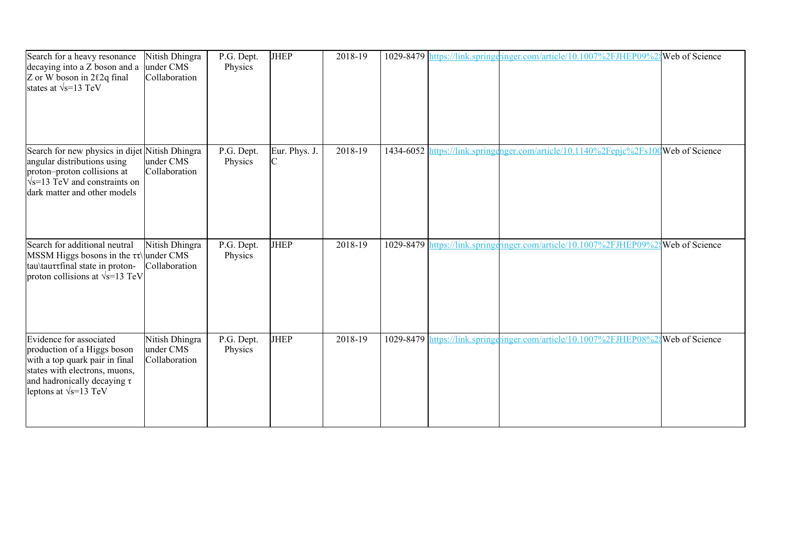| Search for a heavy resonance<br>decaying into a Z boson and a<br>Z or W boson in 2 $\ell$ 2q final<br>states at $\sqrt{s}$ =13 TeV                                                             | Nitish Dhingra<br>under CMS<br>Collaboration | $\overline{P}$ .G. Dept.<br>Physics | <b>JHEP</b>                     | 2018-19 |           | 1029-8479 https://link.springeringer.com/article/10.1007%2FJHEP09%2      | Web of Science        |
|------------------------------------------------------------------------------------------------------------------------------------------------------------------------------------------------|----------------------------------------------|-------------------------------------|---------------------------------|---------|-----------|--------------------------------------------------------------------------|-----------------------|
| Search for new physics in dijet Nitish Dhingra<br>angular distributions using<br>proton-proton collisions at<br>$\sqrt{s}$ =13 TeV and constraints on<br>dark matter and other models          | under CMS<br>Collaboration                   | P.G. Dept.<br>Physics               | Eur. Phys. J.<br>$\overline{C}$ | 2018-19 | 1434-6052 | https://link.springenger.com/article/10.1140%2Fepjc%2Fs100Web of Science |                       |
| Search for additional neutral<br>MSSM Higgs bosons in the $\tau\tau$ under CMS<br>tau\tauttinal state in proton-<br>proton collisions at $\sqrt{s}$ =13 TeV                                    | Nitish Dhingra<br>Collaboration              | P.G. Dept.<br>Physics               | <b>JHEP</b>                     | 2018-19 |           | 1029-8479 https://link.springeringer.com/article/10.1007%2FJHEP09%       | <b>Web</b> of Science |
| Evidence for associated<br>production of a Higgs boson<br>with a top quark pair in final<br>states with electrons, muons,<br>and hadronically decaying $\tau$<br>leptons at $\sqrt{s}$ =13 TeV | Nitish Dhingra<br>under CMS<br>Collaboration | P.G. Dept.<br>Physics               | <b>JHEP</b>                     | 2018-19 |           | 1029-8479 https://link.springeringer.com/article/10.1007%2FJHEP08%       | Web of Science        |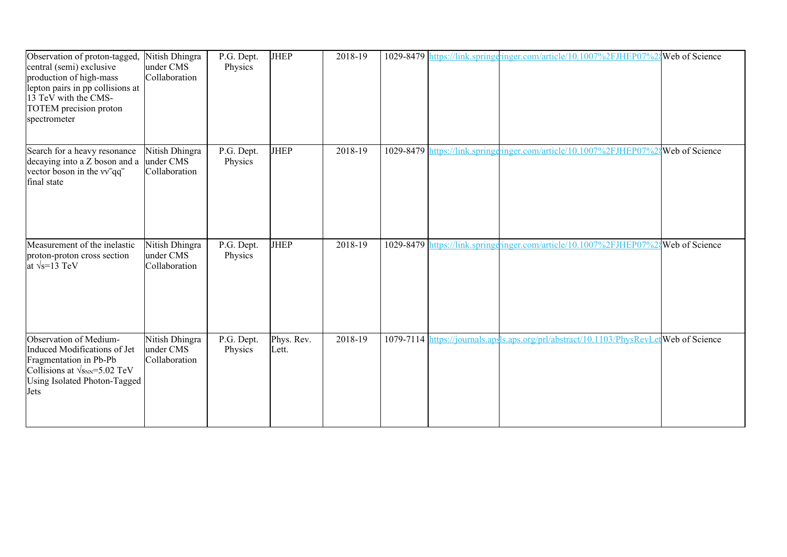| Observation of proton-tagged,<br>central (semi) exclusive<br>production of high-mass<br>lepton pairs in pp collisions at<br>13 TeV with the CMS-<br>TOTEM precision proton<br>spectrometer | Nitish Dhingra<br>under CMS<br>Collaboration | P.G. Dept.<br>Physics | <b>JHEP</b>         | 2018-19 |  | 1029-8479 https://link.springeringer.com/article/10.1007%2FJHEP07%2{Web of Science     |  |
|--------------------------------------------------------------------------------------------------------------------------------------------------------------------------------------------|----------------------------------------------|-----------------------|---------------------|---------|--|----------------------------------------------------------------------------------------|--|
| Search for a heavy resonance<br>decaying into a Z boson and a<br>vector boson in the vv <sup>-</sup> qq <sup>-</sup><br>final state                                                        | Nitish Dhingra<br>under CMS<br>Collaboration | P.G. Dept.<br>Physics | <b>JHEP</b>         | 2018-19 |  | 1029-8479 https://link.springeringer.com/article/10.1007%2FJHEP07%2 Web of Science     |  |
| Measurement of the inelastic<br>proton-proton cross section<br>at $\sqrt{s}$ =13 TeV                                                                                                       | Nitish Dhingra<br>under CMS<br>Collaboration | P.G. Dept.<br>Physics | <b>JHEP</b>         | 2018-19 |  | 1029-8479 https://link.springgringer.com/article/10.1007%2FJHEP07%28Web of Science     |  |
| Observation of Medium-<br>Induced Modifications of Jet<br>Fragmentation in Pb-Pb<br>Collisions at $\sqrt{s_{NN}}$ =5.02 TeV<br>Using Isolated Photon-Tagged<br>Jets                        | Nitish Dhingra<br>under CMS<br>Collaboration | P.G. Dept.<br>Physics | Phys. Rev.<br>Lett. | 2018-19 |  | 1079-7114 https://journals.apsls.aps.org/prl/abstract/10.1103/PhysRevLetWeb of Science |  |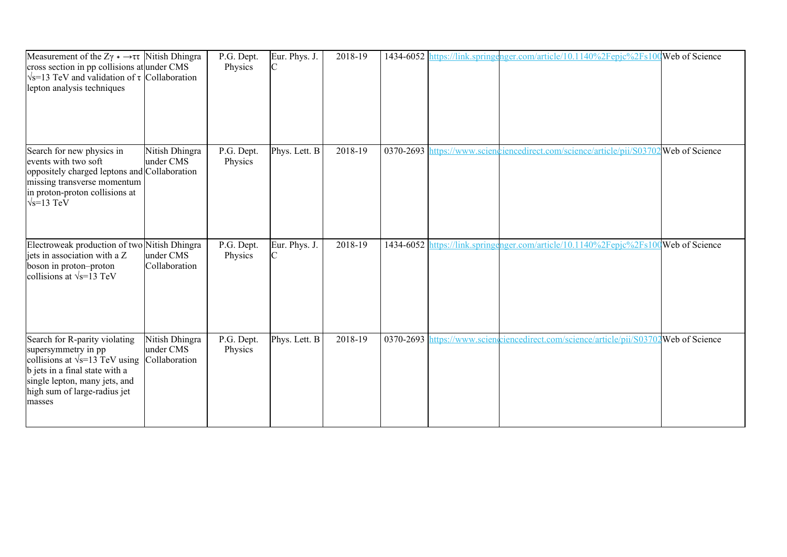| Measurement of the Z $\gamma$ * $\rightarrow \tau \tau$ Nitish Dhingra<br>cross section in pp collisions at under CMS<br>$\sqrt{s}$ =13 TeV and validation of $\tau$ Collaboration<br>lepton analysis techniques |                                              | P.G. Dept.<br>Physics | Eur. Phys. J. | 2018-19 | 1434-6052  k                   | https://link.springenger.com/article/10.1140%2Fepjc%2Fs100Web of Science           |  |
|------------------------------------------------------------------------------------------------------------------------------------------------------------------------------------------------------------------|----------------------------------------------|-----------------------|---------------|---------|--------------------------------|------------------------------------------------------------------------------------|--|
| Search for new physics in<br>events with two soft<br>oppositely charged leptons and Collaboration<br>missing transverse momentum<br>in proton-proton collisions at<br>$\sqrt{s}$ =13 TeV                         | Nitish Dhingra<br>under CMS                  | P.G. Dept.<br>Physics | Phys. Lett. B | 2018-19 | 0370-2693 $\vert$ <sub>1</sub> | https://www.scienceiencedirect.com/science/article/pii/S03702 Web of Science       |  |
| Electroweak production of two Nitish Dhingra<br>jets in association with a Z<br>boson in proton-proton<br>collisions at $\sqrt{s}$ =13 TeV                                                                       | under CMS<br>Collaboration                   | P.G. Dept.<br>Physics | Eur. Phys. J. | 2018-19 |                                | 1434-6052 https://link.springenger.com/article/10.1140%2Fepjc%2Fs100Web of Science |  |
| Search for R-parity violating<br>supersymmetry in pp<br>collisions at $\sqrt{s}$ =13 TeV using<br>b jets in a final state with a<br>single lepton, many jets, and<br>high sum of large-radius jet<br>masses      | Nitish Dhingra<br>under CMS<br>Collaboration | P.G. Dept.<br>Physics | Phys. Lett. B | 2018-19 |                                | 0370-2693 https://www.sciencelerect.com/science/article/pii/S03702Web of Science   |  |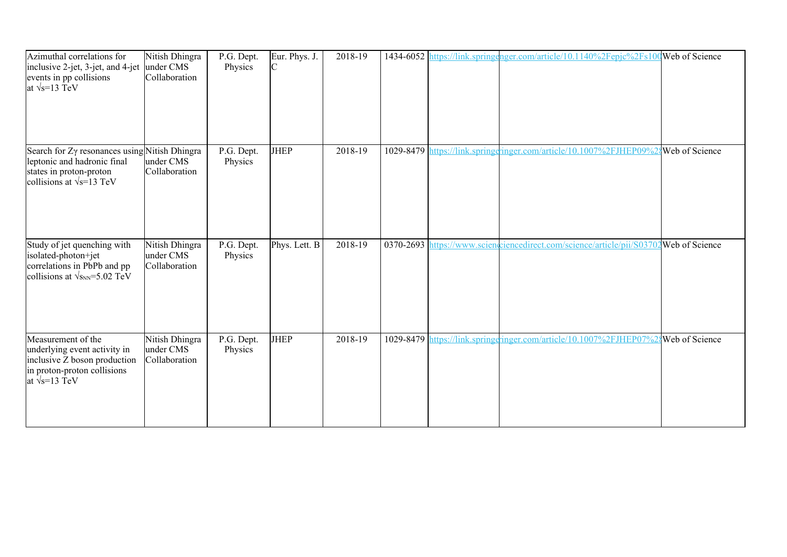| Azimuthal correlations for<br>inclusive 2-jet, 3-jet, and 4-jet                                                                             | Nitish Dhingra<br>under CMS                  | P.G. Dept.<br>Physics | Eur. Phys. J.<br>C | 2018-19 |  | 1434-6052 https://link.springenger.com/article/10.1140%2Fepjc%2Fs100 Web of Science |  |
|---------------------------------------------------------------------------------------------------------------------------------------------|----------------------------------------------|-----------------------|--------------------|---------|--|-------------------------------------------------------------------------------------|--|
| events in pp collisions<br>at $\sqrt{s}$ =13 TeV                                                                                            | Collaboration                                |                       |                    |         |  |                                                                                     |  |
| Search for Zy resonances using Nitish Dhingra<br>leptonic and hadronic final<br>states in proton-proton<br>collisions at $\sqrt{s}$ =13 TeV | under CMS<br>Collaboration                   | P.G. Dept.<br>Physics | <b>JHEP</b>        | 2018-19 |  | 1029-8479 https://link.springeringer.com/article/10.1007%2FJHEP09%28 Web of Science |  |
| Study of jet quenching with<br>isolated-photon+jet<br>correlations in PbPb and pp<br>collisions at $\sqrt{s_{NN}}$ =5.02 TeV                | Nitish Dhingra<br>under CMS<br>Collaboration | P.G. Dept.<br>Physics | Phys. Lett. B      | 2018-19 |  | 0370-2693 https://www.sciencelirect.com/science/article/pii/S03702Web of Science    |  |
| Measurement of the<br>underlying event activity in<br>inclusive Z boson production<br>in proton-proton collisions<br>at $\sqrt{s}$ =13 TeV  | Nitish Dhingra<br>under CMS<br>Collaboration | P.G. Dept.<br>Physics | <b>JHEP</b>        | 2018-19 |  | 1029-8479 https://link.springeringer.com/article/10.1007%2FJHEP07%2{Web of Science  |  |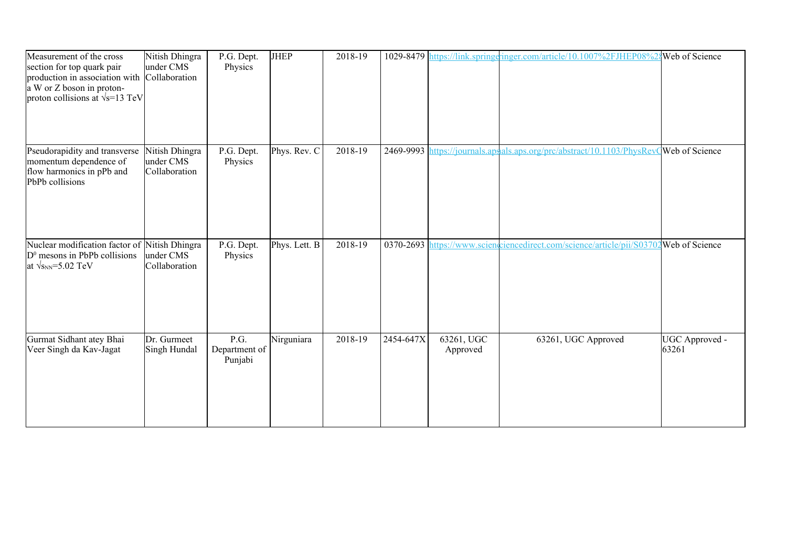| Measurement of the cross<br>section for top quark pair<br>production in association with Collaboration<br>a W or Z boson in proton-<br>proton collisions at $\sqrt{s}$ =13 TeV | Nitish Dhingra<br>under CMS                  | P.G. Dept.<br>Physics            | <b>JHEP</b>   | 2018-19 |                                |                        | 1029-8479 https://link.springeringer.com/article/10.1007%2FJHEP08%2{Web of Science |                         |
|--------------------------------------------------------------------------------------------------------------------------------------------------------------------------------|----------------------------------------------|----------------------------------|---------------|---------|--------------------------------|------------------------|------------------------------------------------------------------------------------|-------------------------|
| Pseudorapidity and transverse<br>momentum dependence of<br>flow harmonics in pPb and<br>PbPb collisions                                                                        | Nitish Dhingra<br>under CMS<br>Collaboration | P.G. Dept.<br>Physics            | Phys. Rev. C  | 2018-19 | 2469-9993                      |                        | https://journals.apsals.aps.org/prc/abstract/10.1103/PhysRevQWeb of Science        |                         |
| Nuclear modification factor of Nitish Dhingra<br>$D0$ mesons in PbPb collisions<br>at $\sqrt{s_{NN}}$ =5.02 TeV                                                                | under CMS<br>Collaboration                   | P.G. Dept.<br>Physics            | Phys. Lett. B | 2018-19 | 0370-2693 $\vert$ <sub>1</sub> |                        | https://www.sciencommedirect.com/science/article/pii/S03702 Web of Science         |                         |
| Gurmat Sidhant atey Bhai<br>Veer Singh da Kav-Jagat                                                                                                                            | Dr. Gurmeet<br>Singh Hundal                  | P.G.<br>Department of<br>Punjabi | Nirguniara    | 2018-19 | 2454-647X                      | 63261, UGC<br>Approved | 63261, UGC Approved                                                                | UGC Approved -<br>63261 |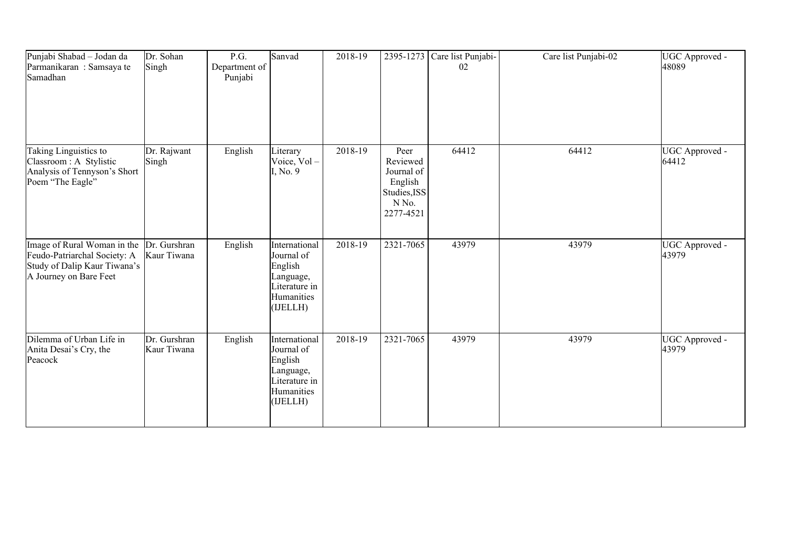| Punjabi Shabad - Jodan da<br>Parmanikaran: Samsaya te<br>Samadhan                                                     | Dr. Sohan<br>Singh          | P.G.<br>Department of<br>Punjabi | Sanvad                                                                                         | 2018-19 |                                                                                 | 2395-1273 Care list Punjabi-<br>02 | Care list Punjabi-02 | UGC Approved -<br>48089 |
|-----------------------------------------------------------------------------------------------------------------------|-----------------------------|----------------------------------|------------------------------------------------------------------------------------------------|---------|---------------------------------------------------------------------------------|------------------------------------|----------------------|-------------------------|
| Taking Linguistics to<br>Classroom : A Stylistic<br>Analysis of Tennyson's Short<br>Poem "The Eagle"                  | Dr. Rajwant<br>Singh        | English                          | Literary<br>Voice, Vol-<br>I, No. 9                                                            | 2018-19 | Peer<br>Reviewed<br>Journal of<br>English<br>Studies, ISS<br>N No.<br>2277-4521 | 64412                              | 64412                | UGC Approved -<br>64412 |
| Image of Rural Woman in the<br>Feudo-Patriarchal Society: A<br>Study of Dalip Kaur Tiwana's<br>A Journey on Bare Feet | Dr. Gurshran<br>Kaur Tiwana | English                          | International<br>Journal of<br>English<br>Language,<br>Literature in<br>Humanities<br>(IJELLH) | 2018-19 | 2321-7065                                                                       | 43979                              | 43979                | UGC Approved -<br>43979 |
| Dilemma of Urban Life in<br>Anita Desai's Cry, the<br>Peacock                                                         | Dr. Gurshran<br>Kaur Tiwana | English                          | International<br>Journal of<br>English<br>Language,<br>Literature in<br>Humanities<br>(IJELLH) | 2018-19 | 2321-7065                                                                       | 43979                              | 43979                | UGC Approved -<br>43979 |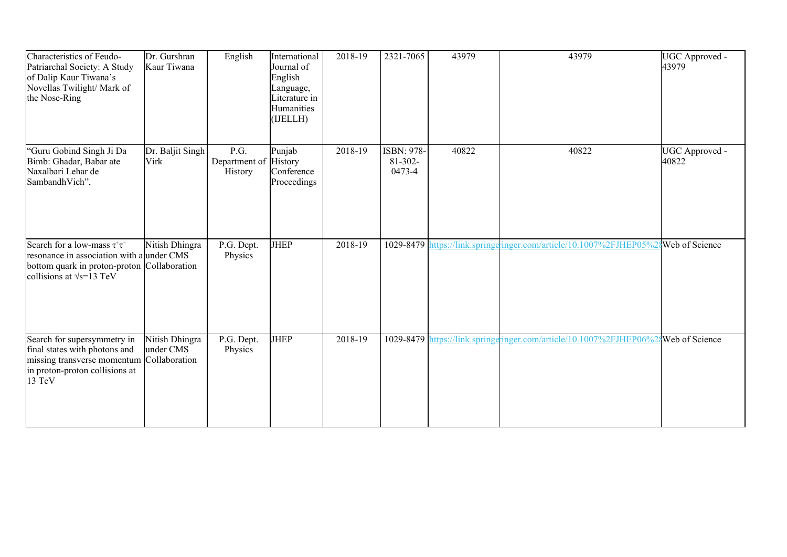| Characteristics of Feudo-<br>Patriarchal Society: A Study<br>of Dalip Kaur Tiwana's<br>Novellas Twilight/ Mark of<br>the Nose-Ring                                   | Dr. Gurshran<br>Kaur Tiwana                  | English                                  | International<br>Journal of<br>English<br>Language,<br>Literature in<br>Humanities<br>(IJELLH) | 2018-19 | 2321-7065                                   | 43979 | 43979                                                                     | UGC Approved -<br>43979 |
|----------------------------------------------------------------------------------------------------------------------------------------------------------------------|----------------------------------------------|------------------------------------------|------------------------------------------------------------------------------------------------|---------|---------------------------------------------|-------|---------------------------------------------------------------------------|-------------------------|
| "Guru Gobind Singh Ji Da<br>Bimb: Ghadar, Babar ate<br>Naxalbari Lehar de<br>SambandhVich",                                                                          | Dr. Baljit Singh<br>Virk                     | P.G.<br>Department of History<br>History | Punjab<br>Conference<br>Proceedings                                                            | 2018-19 | <b>ISBN: 978-</b><br>$81 - 302 -$<br>0473-4 | 40822 | 40822                                                                     | UGC Approved -<br>40822 |
| Search for a low-mass $\tau^+\tau^-$<br>resonance in association with a under CMS<br>bottom quark in proton-proton Collaboration<br>collisions at $\sqrt{s}$ =13 TeV | Nitish Dhingra                               | P.G. Dept.<br>Physics                    | <b>JHEP</b>                                                                                    | 2018-19 | 1029-8479                                   |       | https://link.springeringer.com/article/10.1007%2FJHEP05%28 Web of Science |                         |
| Search for supersymmetry in<br>final states with photons and<br>missing transverse momentum<br>in proton-proton collisions at<br>13 TeV                              | Nitish Dhingra<br>under CMS<br>Collaboration | P.G. Dept.<br>Physics                    | <b>JHEP</b>                                                                                    | 2018-19 | 1029-8479                                   |       | https://link.springeringer.com/article/10.1007%2FJHEP06%28Web of Science  |                         |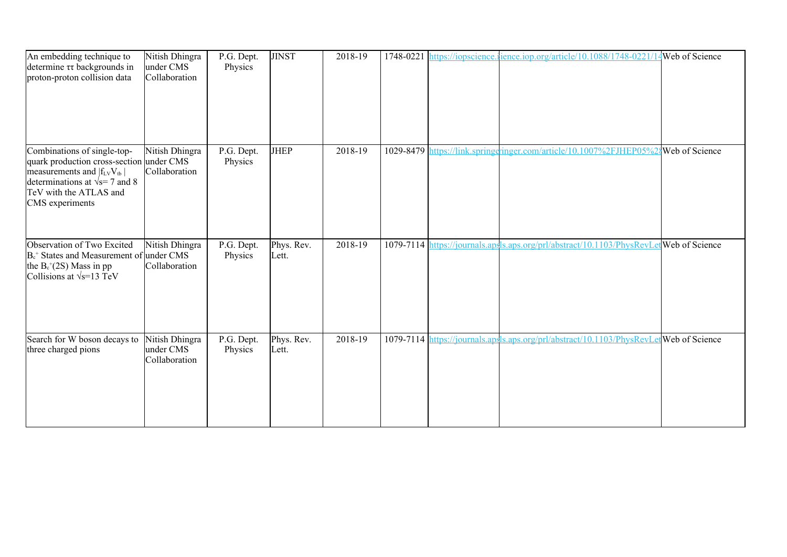| An embedding technique to<br>determine $\tau\tau$ backgrounds in<br>proton-proton collision data                                                                                                    | Nitish Dhingra<br>under CMS<br>Collaboration | P.G. Dept.<br>Physics | <b>JINST</b>        | 2018-19 |  | 1748-0221 https://iopscience.ience.iop.org/article/10.1088/1748-0221/1                  | 14Web of Science |
|-----------------------------------------------------------------------------------------------------------------------------------------------------------------------------------------------------|----------------------------------------------|-----------------------|---------------------|---------|--|-----------------------------------------------------------------------------------------|------------------|
| Combinations of single-top-<br>quark production cross-section under CMS<br>measurements and $ f_{LV}V_{tb} $<br>determinations at $\sqrt{s}$ = 7 and 8<br>TeV with the ATLAS and<br>CMS experiments | Nitish Dhingra<br>Collaboration              | P.G. Dept.<br>Physics | <b>JHEP</b>         | 2018-19 |  | 1029-8479 https://link.springeringer.com/article/10.1007%2FJHEP05%28 Web of Science     |                  |
| Observation of Two Excited<br>$B_c^+$ States and Measurement of under CMS<br>the $B_c^+(2S)$ Mass in pp<br>Collisions at $\sqrt{s}$ =13 TeV                                                         | Nitish Dhingra<br>Collaboration              | P.G. Dept.<br>Physics | Phys. Rev.<br>Lett. | 2018-19 |  | 1079-7114 https://journals.apsls.aps.org/prl/abstract/10.1103/PhysRevLetWeb of Science  |                  |
| Search for W boson decays to<br>three charged pions                                                                                                                                                 | Nitish Dhingra<br>under CMS<br>Collaboration | P.G. Dept.<br>Physics | Phys. Rev.<br>Lett. | 2018-19 |  | 1079-7114 https://journals.apsls.aps.org/prl/abstract/10.1103/PhysRevLet Web of Science |                  |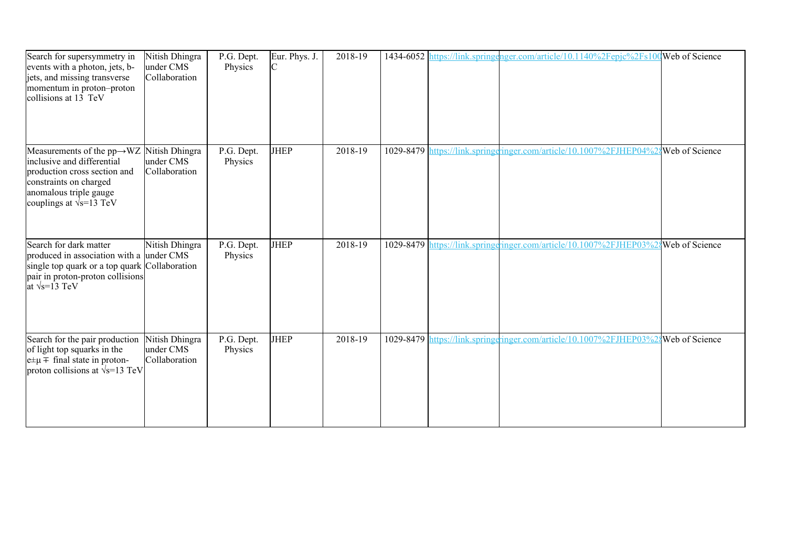| Search for supersymmetry in<br>events with a photon, jets, b-<br>jets, and missing transverse<br>momentum in proton-proton<br>collisions at 13 TeV                                           | Nitish Dhingra<br>under CMS<br>Collaboration | P.G. Dept.<br>Physics | Eur. Phys. J.<br>C | 2018-19 |  | 1434-6052 https://link.springenger.com/article/10.1140%2Fepjc%2Fs100Web of Science  |  |
|----------------------------------------------------------------------------------------------------------------------------------------------------------------------------------------------|----------------------------------------------|-----------------------|--------------------|---------|--|-------------------------------------------------------------------------------------|--|
| Measurements of the $pp \rightarrow WZ$<br>inclusive and differential<br>production cross section and<br>constraints on charged<br>anomalous triple gauge<br>couplings at $\sqrt{s}$ =13 TeV | Nitish Dhingra<br>under CMS<br>Collaboration | P.G. Dept.<br>Physics | <b>JHEP</b>        | 2018-19 |  | 1029-8479 https://link.springeringer.com/article/10.1007%2FJHEP04%28 Web of Science |  |
| Search for dark matter<br>produced in association with a under CMS<br>single top quark or a top quark Collaboration<br>pair in proton-proton collisions<br>at $\sqrt{s}$ =13 TeV             | Nitish Dhingra                               | P.G. Dept.<br>Physics | <b>JHEP</b>        | 2018-19 |  | 1029-8479 https://link.springgringer.com/article/10.1007%2FJHEP03%28Web of Science  |  |
| Search for the pair production<br>of light top squarks in the<br>$e^{\pm} \mu \pm$ final state in proton-<br>proton collisions at $\sqrt{s}$ =13 TeV                                         | Nitish Dhingra<br>under CMS<br>Collaboration | P.G. Dept.<br>Physics | <b>JHEP</b>        | 2018-19 |  | 1029-8479 https://link.springeringer.com/article/10.1007%2FJHEP03%24Web of Science  |  |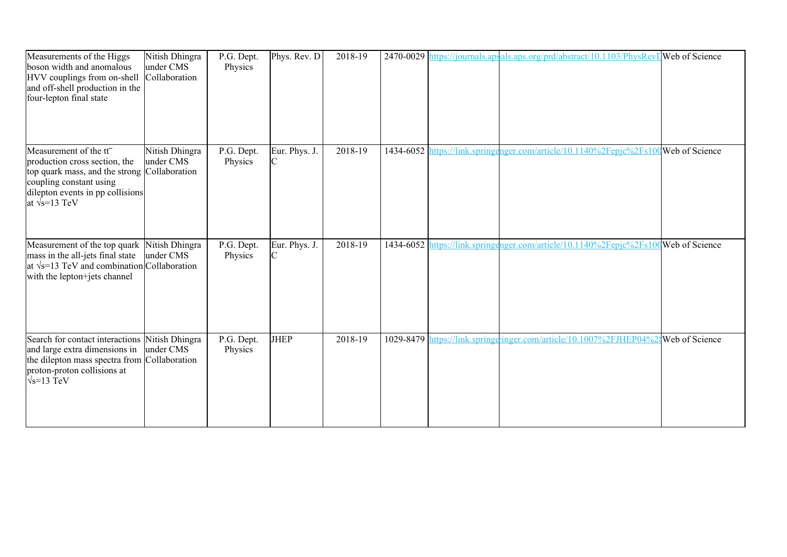| Measurements of the Higgs<br>boson width and anomalous<br>HVV couplings from on-shell<br>and off-shell production in the<br>four-lepton final state                                                         | Nitish Dhingra<br>under CMS<br>Collaboration | P.G. Dept.<br>Physics | Phys. Rev. D        | 2018-19 |           | 2470-0029 https://journals.apsals.aps.org/prd/abstract/10.1103/PhysRevDWeb of Science |  |
|-------------------------------------------------------------------------------------------------------------------------------------------------------------------------------------------------------------|----------------------------------------------|-----------------------|---------------------|---------|-----------|---------------------------------------------------------------------------------------|--|
| Measurement of the tt <sup>-</sup><br>production cross section, the<br>top quark mass, and the strong Collaboration<br>coupling constant using<br>dilepton events in pp collisions<br>at $\sqrt{s}$ =13 TeV | Nitish Dhingra<br>under CMS                  | P.G. Dept.<br>Physics | Eur. Phys. J.<br>ІС | 2018-19 | 1434-6052 | https://link.springenger.com/article/10.1140%2Fepjc%2Fs100Web of Science              |  |
| Measurement of the top quark<br>mass in the all-jets final state<br>at $\sqrt{s}$ =13 TeV and combination Collaboration<br>with the lepton+jets channel                                                     | Nitish Dhingra<br>under CMS                  | P.G. Dept.<br>Physics | Eur. Phys. J.       | 2018-19 |           | 1434-6052 https://link.springenger.com/article/10.1140%2Fepjc%2Fs100Web of Science    |  |
| Search for contact interactions<br>and large extra dimensions in<br>the dilepton mass spectra from Collaboration<br>proton-proton collisions at<br>$\sqrt{s}$ =13 TeV                                       | Nitish Dhingra<br>under CMS                  | P.G. Dept.<br>Physics | <b>JHEP</b>         | 2018-19 |           | 1029-8479 https://link.springeringer.com/article/10.1007%2FJHEP04%24Web of Science    |  |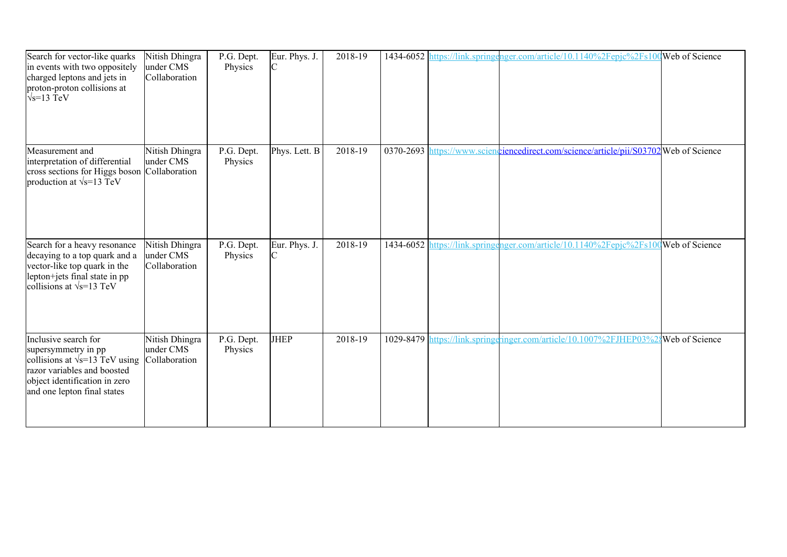| Search for vector-like quarks<br>in events with two oppositely<br>charged leptons and jets in<br>proton-proton collisions at<br>$\sqrt{s}$ =13 TeV                                   | Nitish Dhingra<br>under CMS<br>Collaboration | P.G. Dept.<br>Physics | Eur. Phys. J.<br>C | 2018-19 |               | 1434-6052 https://link.springenger.com/article/10.1140%2Fepjc%2Fs100 Web of Science |                |
|--------------------------------------------------------------------------------------------------------------------------------------------------------------------------------------|----------------------------------------------|-----------------------|--------------------|---------|---------------|-------------------------------------------------------------------------------------|----------------|
| Measurement and<br>interpretation of differential<br>cross sections for Higgs boson Collaboration<br>production at $\sqrt{s}$ =13 TeV                                                | Nitish Dhingra<br>under CMS                  | P.G. Dept.<br>Physics | Phys. Lett. B      | 2018-19 | $0370 - 2693$ | https://www.scienchivelinecedirect.com/science/article/pii/S03702 Web of Science    |                |
| Search for a heavy resonance<br>decaying to a top quark and a<br>vector-like top quark in the<br>lepton+jets final state in pp<br>collisions at $\sqrt{s}$ =13 TeV                   | Nitish Dhingra<br>under CMS<br>Collaboration | P.G. Dept.<br>Physics | Eur. Phys. J.      | 2018-19 |               | 1434-6052 https://link.springenger.com/article/10.1140%2Fepjc%2Fs100Web of Science  |                |
| Inclusive search for<br>supersymmetry in pp<br>collisions at $\sqrt{s}$ =13 TeV using<br>razor variables and boosted<br>object identification in zero<br>and one lepton final states | Nitish Dhingra<br>under CMS<br>Collaboration | P.G. Dept.<br>Physics | <b>JHEP</b>        | 2018-19 |               | 1029-8479 https://link.springeringer.com/article/10.1007%2FJHEP03%                  | Web of Science |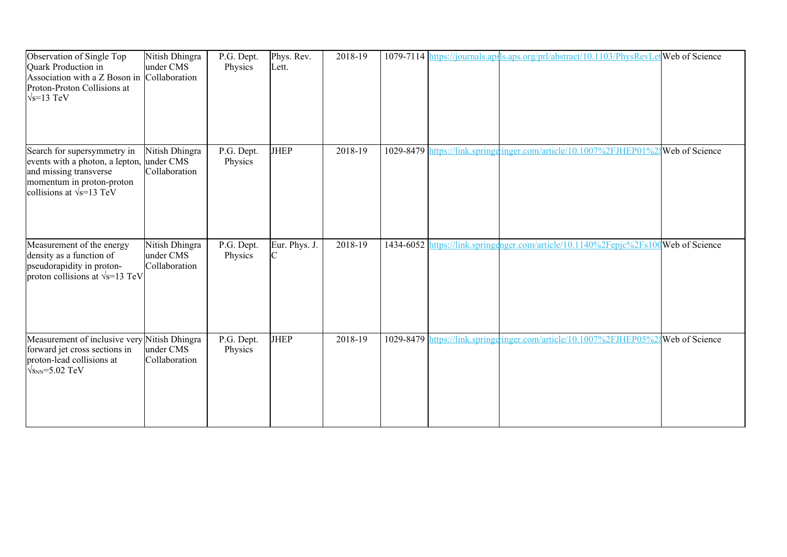| Observation of Single Top<br>Quark Production in<br>Association with a Z Boson in Collaboration<br>Proton-Proton Collisions at<br>$\sqrt{s}$ =13 TeV      | Nitish Dhingra<br>under CMS                  | P.G. Dept.<br>Physics | Phys. Rev.<br>Lett. | 2018-19 |           | 1079-7114 https://journals.apsls.aps.org/prl/abstract/10.1103/PhysRevLet Web of Science |  |
|-----------------------------------------------------------------------------------------------------------------------------------------------------------|----------------------------------------------|-----------------------|---------------------|---------|-----------|-----------------------------------------------------------------------------------------|--|
| Search for supersymmetry in<br>events with a photon, a lepton,<br>and missing transverse<br>momentum in proton-proton<br>collisions at $\sqrt{s}$ =13 TeV | Nitish Dhingra<br>under CMS<br>Collaboration | P.G. Dept.<br>Physics | <b>JHEP</b>         | 2018-19 | 1029-8479 | https://link.springeringer.com/article/10.1007%2FJHEP01%2gWeb of Science                |  |
| Measurement of the energy<br>density as a function of<br>pseudorapidity in proton-<br>proton collisions at $\sqrt{s}$ =13 TeV                             | Nitish Dhingra<br>under CMS<br>Collaboration | P.G. Dept.<br>Physics | Eur. Phys. J.       | 2018-19 | 1434-6052 | https://link.springenger.com/article/10.1140%2Fepjc%2Fs100Web of Science                |  |
| Measurement of inclusive very Nitish Dhingra<br>forward jet cross sections in<br>proton-lead collisions at<br>$\sqrt{s_{NN}}$ =5.02 TeV                   | under CMS<br>Collaboration                   | P.G. Dept.<br>Physics | <b>JHEP</b>         | 2018-19 |           | 1029-8479 https://link.springeringer.com/article/10.1007%2FJHEP05%2{Web of Science      |  |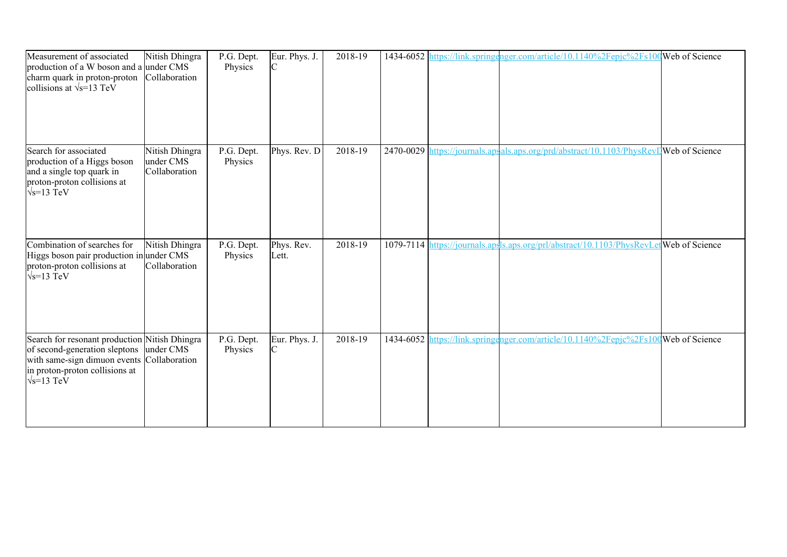| Measurement of associated<br>production of a W boson and a under CMS<br>charm quark in proton-proton<br>collisions at $\sqrt{s}$ =13 TeV                                                       | Nitish Dhingra<br>Collaboration              | P.G. Dept.<br>Physics | Eur. Phys. J.<br>C   | 2018-19 |  | 1434-6052 https://link.springenger.com/article/10.1140%2Fepjc%2Fs100 Web of Science    |  |
|------------------------------------------------------------------------------------------------------------------------------------------------------------------------------------------------|----------------------------------------------|-----------------------|----------------------|---------|--|----------------------------------------------------------------------------------------|--|
| Search for associated<br>production of a Higgs boson<br>and a single top quark in<br>proton-proton collisions at<br>$\sqrt{s}$ =13 TeV                                                         | Nitish Dhingra<br>under CMS<br>Collaboration | P.G. Dept.<br>Physics | Phys. Rev. D         | 2018-19 |  | 2470-0029 https://journals.apsals.aps.org/prd/abstract/10.1103/PhysRevIWeb of Science  |  |
| Combination of searches for<br>Higgs boson pair production in under CMS<br>proton-proton collisions at<br>$\sqrt{s}$ =13 TeV                                                                   | Nitish Dhingra<br>Collaboration              | P.G. Dept.<br>Physics | Phys. Rev.<br>Lett.  | 2018-19 |  | 1079-7114 https://journals.apsls.aps.org/prl/abstract/10.1103/PhysRevLetWeb of Science |  |
| Search for resonant production Nitish Dhingra<br>of second-generation sleptons under CMS<br>with same-sign dimuon events Collaboration<br>in proton-proton collisions at<br>$\sqrt{s}$ =13 TeV |                                              | P.G. Dept.<br>Physics | Eur. Phys. J.<br>IC. | 2018-19 |  | 1434-6052 https://link.springenger.com/article/10.1140%2Fepjc%2Fs100 Web of Science    |  |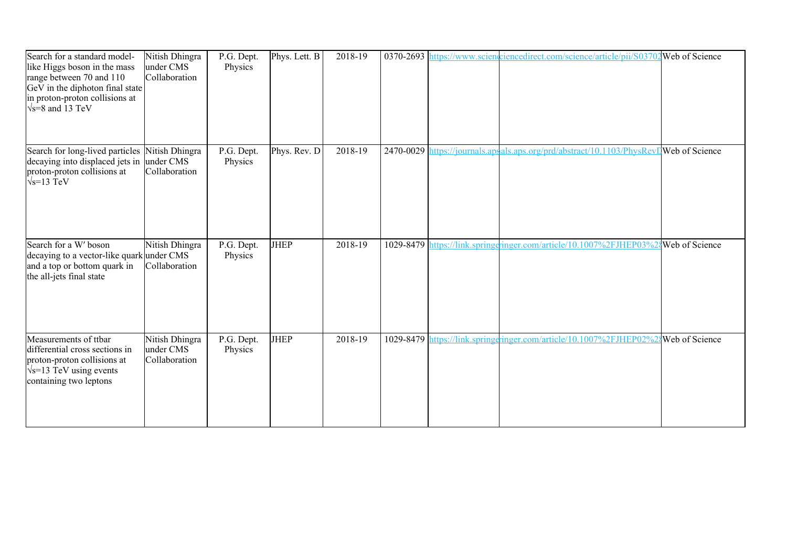| Search for a standard model-<br>like Higgs boson in the mass<br>range between 70 and 110<br>GeV in the diphoton final state<br>in proton-proton collisions at<br>$\sqrt{s}$ =8 and 13 TeV | Nitish Dhingra<br>under CMS<br>Collaboration | $\overline{P}$ .G. Dept.<br>Physics | Phys. Lett. B | 2018-19 |  | 0370-2693 https://www.scienciencedirect.com/science/article/pii/S03702 Web of Science |                |
|-------------------------------------------------------------------------------------------------------------------------------------------------------------------------------------------|----------------------------------------------|-------------------------------------|---------------|---------|--|---------------------------------------------------------------------------------------|----------------|
| Search for long-lived particles<br>decaying into displaced jets in<br>proton-proton collisions at<br>$\sqrt{s}$ =13 TeV                                                                   | Nitish Dhingra<br>under CMS<br>Collaboration | P.G. Dept.<br>Physics               | Phys. Rev. D  | 2018-19 |  | 2470-0029 https://journals.apsals.aps.org/prd/abstract/10.1103/PhysRevLWeb of Science |                |
| Search for a W' boson<br>decaying to a vector-like quark under CMS<br>and a top or bottom quark in<br>the all-jets final state                                                            | Nitish Dhingra<br>Collaboration              | P.G. Dept.<br>Physics               | <b>JHEP</b>   | 2018-19 |  | 1029-8479 https://link.springeringer.com/article/10.1007%2FJHEP03%2                   | Web of Science |
| Measurements of ttbar<br>differential cross sections in<br>proton-proton collisions at<br>$\sqrt{s}$ =13 TeV using events<br>containing two leptons                                       | Nitish Dhingra<br>under CMS<br>Collaboration | P.G. Dept.<br>Physics               | <b>JHEP</b>   | 2018-19 |  | 1029-8479 https://link.springeringer.com/article/10.1007%2FJHEP02%                    | Web of Science |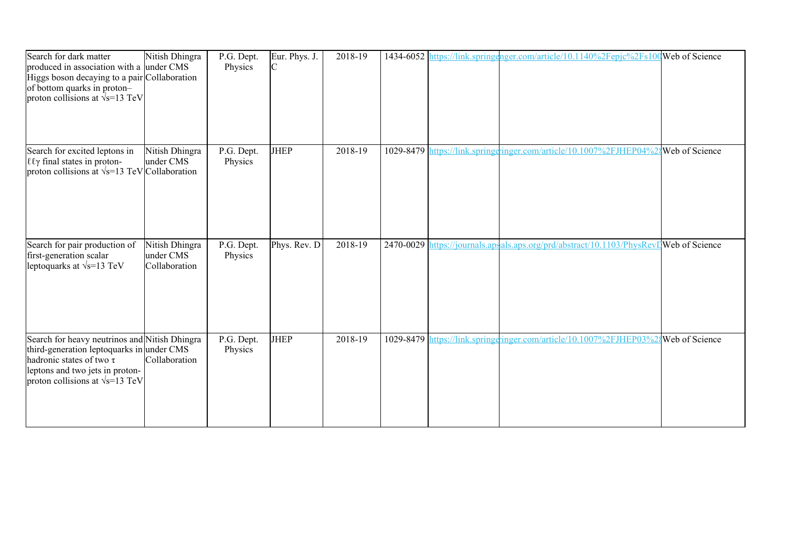| Search for dark matter<br>produced in association with a under CMS<br>Higgs boson decaying to a pair Collaboration<br>of bottom quarks in proton-<br>proton collisions at $\sqrt{x}$ =13 TeV              | Nitish Dhingra                               | P.G. Dept.<br>Physics | Eur. Phys. J.<br>IС | 2018-19 |           | 1434-6052 https://link.springenger.com/article/10.1140%2Fepjc%2Fs100Web of Science    |                       |
|-----------------------------------------------------------------------------------------------------------------------------------------------------------------------------------------------------------|----------------------------------------------|-----------------------|---------------------|---------|-----------|---------------------------------------------------------------------------------------|-----------------------|
| Search for excited leptons in<br>εεγ final states in proton-<br>proton collisions at $\sqrt{s}$ =13 TeV Collaboration                                                                                     | Nitish Dhingra<br>under CMS                  | P.G. Dept.<br>Physics | <b>JHEP</b>         | 2018-19 | 1029-8479 | https://link.springeringer.com/article/10.1007%2FJHEP04%2                             | <b>Web</b> of Science |
| Search for pair production of<br>first-generation scalar<br>leptoquarks at $\sqrt{s}$ =13 TeV                                                                                                             | Nitish Dhingra<br>under CMS<br>Collaboration | P.G. Dept.<br>Physics | Phys. Rev. D        | 2018-19 |           | 2470-0029 https://journals.apsals.aps.org/prd/abstract/10.1103/PhysRevDWeb of Science |                       |
| Search for heavy neutrinos and Nitish Dhingra<br>third-generation leptoquarks in under CMS<br>hadronic states of two $\tau$<br>leptons and two jets in proton-<br>proton collisions at $\sqrt{s}$ =13 TeV | Collaboration                                | P.G. Dept.<br>Physics | <b>JHEP</b>         | 2018-19 |           | 1029-8479 https://link.springeringer.com/article/10.1007%2FJHEP03%2{Web of Science    |                       |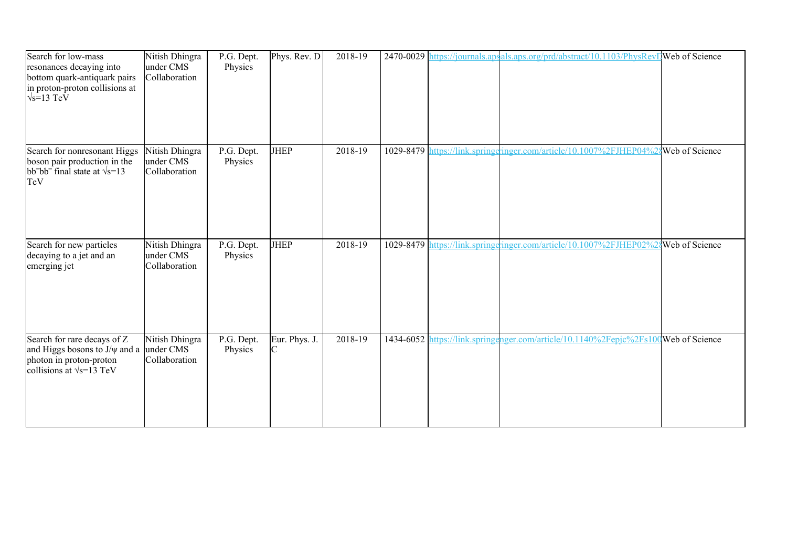| Search for low-mass<br>resonances decaying into<br>bottom quark-antiquark pairs<br>in proton-proton collisions at<br>$\sqrt{s}$ =13 TeV | Nitish Dhingra<br>under CMS<br>Collaboration | P.G. Dept.<br>Physics | Phys. Rev. D         | 2018-19 |  | 2470-0029 https://journals.apsals.aps.org/prd/abstract/10.1103/PhysRevI Web of Science |  |
|-----------------------------------------------------------------------------------------------------------------------------------------|----------------------------------------------|-----------------------|----------------------|---------|--|----------------------------------------------------------------------------------------|--|
| Search for nonresonant Higgs<br>boson pair production in the<br>$bb-bb-$ final state at $\sqrt{s}$ =13<br>TeV                           | Nitish Dhingra<br>under CMS<br>Collaboration | P.G. Dept.<br>Physics | JHEP                 | 2018-19 |  | 1029-8479 https://link.springeringer.com/article/10.1007%2FJHEP04%24Web of Science     |  |
| Search for new particles<br>decaying to a jet and an<br>emerging jet                                                                    | Nitish Dhingra<br>under CMS<br>Collaboration | P.G. Dept.<br>Physics | <b>JHEP</b>          | 2018-19 |  | 1029-8479 https://link.springgringer.com/article/10.1007%2FJHEP02%28Web of Science     |  |
| Search for rare decays of Z<br>and Higgs bosons to $J/\psi$ and a<br>photon in proton-proton<br>collisions at $\sqrt{s}$ =13 TeV        | Nitish Dhingra<br>under CMS<br>Collaboration | P.G. Dept.<br>Physics | Eur. Phys. J.<br>IC. | 2018-19 |  | 1434-6052 https://link.springenger.com/article/10.1140%2Fepjc%2Fs100Web of Science     |  |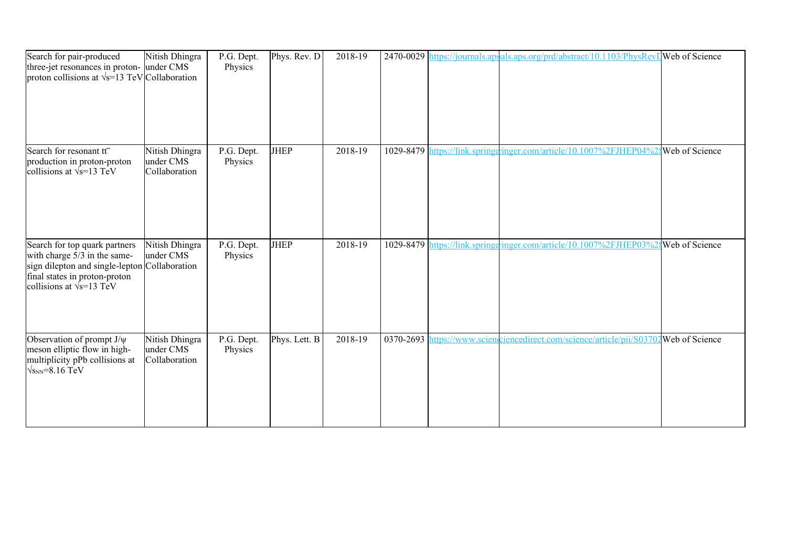| Search for pair-produced<br>three-jet resonances in proton- under CMS<br>proton collisions at $\sqrt{s}$ =13 TeV Collaboration                                                      | Nitish Dhingra                               | P.G. Dept.<br>Physics | Phys. Rev. D  | 2018-19 |  | 2470-0029 https://journals.apsals.aps.org/prd/abstract/10.1103/PhysRevD Web of Science |                |
|-------------------------------------------------------------------------------------------------------------------------------------------------------------------------------------|----------------------------------------------|-----------------------|---------------|---------|--|----------------------------------------------------------------------------------------|----------------|
| Search for resonant tt <sup>-</sup><br>production in proton-proton<br>collisions at $\sqrt{s}$ =13 TeV                                                                              | Nitish Dhingra<br>under CMS<br>Collaboration | P.G. Dept.<br>Physics | <b>JHEP</b>   | 2018-19 |  | 1029-8479 https://link.springeringer.com/article/10.1007%2FJHEP04%                     | Web of Science |
| Search for top quark partners<br>with charge 5/3 in the same-<br>sign dilepton and single-lepton Collaboration<br>final states in proton-proton<br>collisions at $\sqrt{s}$ =13 TeV | Nitish Dhingra<br>under CMS                  | P.G. Dept.<br>Physics | <b>JHEP</b>   | 2018-19 |  | 1029-8479 https://link.springeringer.com/article/10.1007%2FJHEP03%                     | Web of Science |
| Observation of prompt J/ $\psi$<br>meson elliptic flow in high-<br>multiplicity pPb collisions at<br>$\sqrt{s_{NN}}$ =8.16 TeV                                                      | Nitish Dhingra<br>under CMS<br>Collaboration | P.G. Dept.<br>Physics | Phys. Lett. B | 2018-19 |  | 0370-2693 https://www.scienceiencedirect.com/science/article/pii/S03702Web of Science  |                |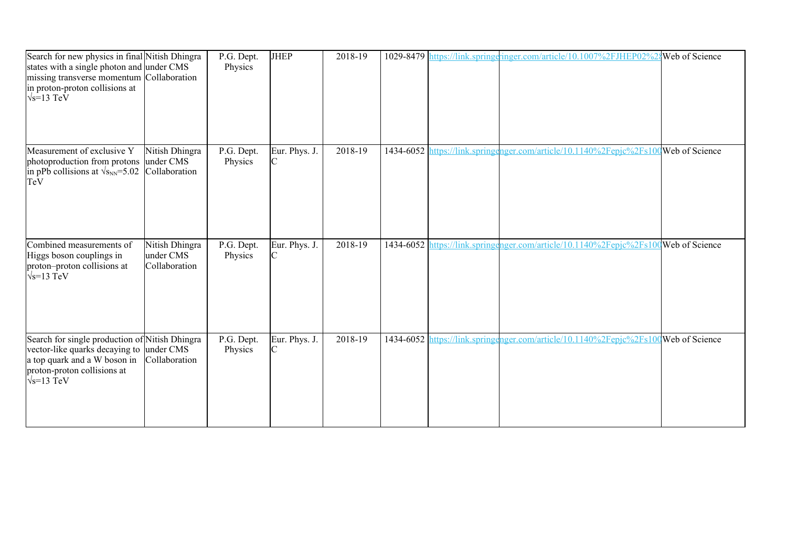| Search for new physics in final Nitish Dhingra<br>states with a single photon and under CMS<br>missing transverse momentum Collaboration<br>in proton-proton collisions at<br>$\sqrt{s}$ =13 TeV |                                              | P.G. Dept.<br>Physics | <b>JHEP</b>   | 2018-19 |  | 1029-8479 https://link.springeringer.com/article/10.1007%2FJHEP02%24Web of Science |  |
|--------------------------------------------------------------------------------------------------------------------------------------------------------------------------------------------------|----------------------------------------------|-----------------------|---------------|---------|--|------------------------------------------------------------------------------------|--|
| Measurement of exclusive Y<br>photoproduction from protons<br>in pPb collisions at $\sqrt{s_{NN}}$ =5.02<br>TeV                                                                                  | Nitish Dhingra<br>under CMS<br>Collaboration | P.G. Dept.<br>Physics | Eur. Phys. J. | 2018-19 |  | 1434-6052 https://link.springenger.com/article/10.1140%2Fepjc%2Fs100Web of Science |  |
| Combined measurements of<br>Higgs boson couplings in<br>proton-proton collisions at<br>$\sqrt{s}$ =13 TeV                                                                                        | Nitish Dhingra<br>under CMS<br>Collaboration | P.G. Dept.<br>Physics | Eur. Phys. J. | 2018-19 |  | 1434-6052 https://link.springenger.com/article/10.1140%2Fepjc%2Fs100Web of Science |  |
| Search for single production of Nitish Dhingra<br>vector-like quarks decaying to<br>a top quark and a W boson in<br>proton-proton collisions at<br>$\sqrt{s}$ =13 TeV                            | under CMS<br>Collaboration                   | P.G. Dept.<br>Physics | Eur. Phys. J. | 2018-19 |  | 1434-6052 https://link.springenger.com/article/10.1140%2Fepjc%2Fs100Web of Science |  |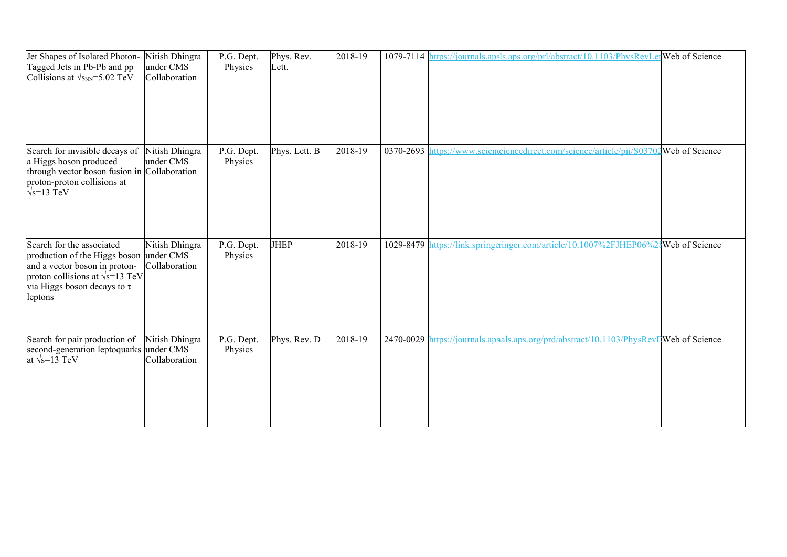| Jet Shapes of Isolated Photon-<br>Tagged Jets in Pb-Pb and pp<br>Collisions at $\sqrt{s_{NN}}$ =5.02 TeV                                                                                        | Nitish Dhingra<br>under CMS<br>Collaboration | P.G. Dept.<br>Physics | Phys. Rev.<br>Lett. | 2018-19 |  | 1079-7114 https://journals.apsls.aps.org/prl/abstract/10.1103/PhysRevLetWeb of Science |                       |
|-------------------------------------------------------------------------------------------------------------------------------------------------------------------------------------------------|----------------------------------------------|-----------------------|---------------------|---------|--|----------------------------------------------------------------------------------------|-----------------------|
| Search for invisible decays of<br>a Higgs boson produced<br>through vector boson fusion in Collaboration<br>proton-proton collisions at<br>$\sqrt{s}$ =13 TeV                                   | Nitish Dhingra<br>under CMS                  | P.G. Dept.<br>Physics | Phys. Lett. B       | 2018-19 |  | 0370-2693 https://www.sciencedirect.com/science/article/pii/S0370                      | 2Web of Science       |
| Search for the associated<br>production of the Higgs boson under CMS<br>and a vector boson in proton-<br>proton collisions at $\sqrt{s}$ =13 TeV<br>via Higgs boson decays to $\tau$<br>leptons | Nitish Dhingra<br>Collaboration              | P.G. Dept.<br>Physics | <b>JHEP</b>         | 2018-19 |  | 1029-8479 https://link.springeringer.com/article/10.1007%2FJHEP06%                     | <b>Web</b> of Science |
| Search for pair production of<br>second-generation leptoquarks under CMS<br>at $\sqrt{s}$ =13 TeV                                                                                               | Nitish Dhingra<br>Collaboration              | P.G. Dept.<br>Physics | Phys. Rev. D        | 2018-19 |  | 2470-0029 https://journals.apsals.aps.org/prd/abstract/10.1103/PhysRevIJWeb of Science |                       |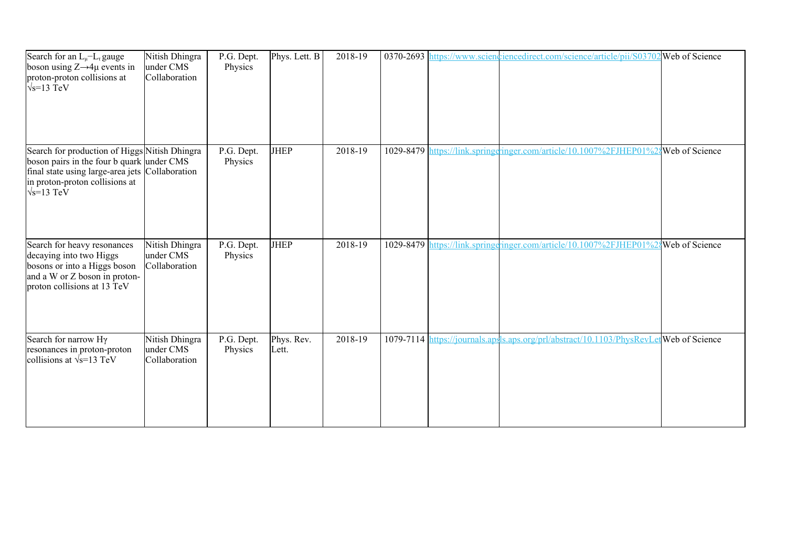| Search for an $L_{\mu}$ - $L_{\tau}$ gauge<br>boson using $Z \rightarrow 4\mu$ events in<br>proton-proton collisions at<br>$\sqrt{s}$ =13 TeV                                           | Nitish Dhingra<br>under CMS<br>Collaboration | P.G. Dept.<br>Physics | Phys. Lett. B       | 2018-19 |  | 0370-2693 https://www.scienchiencedirect.com/science/article/pii/S03702 Web of Science |  |
|-----------------------------------------------------------------------------------------------------------------------------------------------------------------------------------------|----------------------------------------------|-----------------------|---------------------|---------|--|----------------------------------------------------------------------------------------|--|
| Search for production of Higgs Nitish Dhingra<br>boson pairs in the four b quark under CMS<br>final state using large-area jets<br>in proton-proton collisions at<br>$\sqrt{s}$ =13 TeV | Collaboration                                | P.G. Dept.<br>Physics | <b>JHEP</b>         | 2018-19 |  | 1029-8479 https://link.springgringer.com/article/10.1007%2FJHEP01%2{Web of Science     |  |
| Search for heavy resonances<br>decaying into two Higgs<br>bosons or into a Higgs boson<br>and a W or Z boson in proton-<br>proton collisions at 13 TeV                                  | Nitish Dhingra<br>under CMS<br>Collaboration | P.G. Dept.<br>Physics | <b>JHEP</b>         | 2018-19 |  | 1029-8479 https://link.springeringer.com/article/10.1007%2FJHEP01%2{Web of Science     |  |
| Search for narrow Hy<br>resonances in proton-proton<br>collisions at $\sqrt{s}$ =13 TeV                                                                                                 | Nitish Dhingra<br>under CMS<br>Collaboration | P.G. Dept.<br>Physics | Phys. Rev.<br>Lett. | 2018-19 |  | 1079-7114 https://journals.apsls.aps.org/prl/abstract/10.1103/PhysRevLetWeb of Science |  |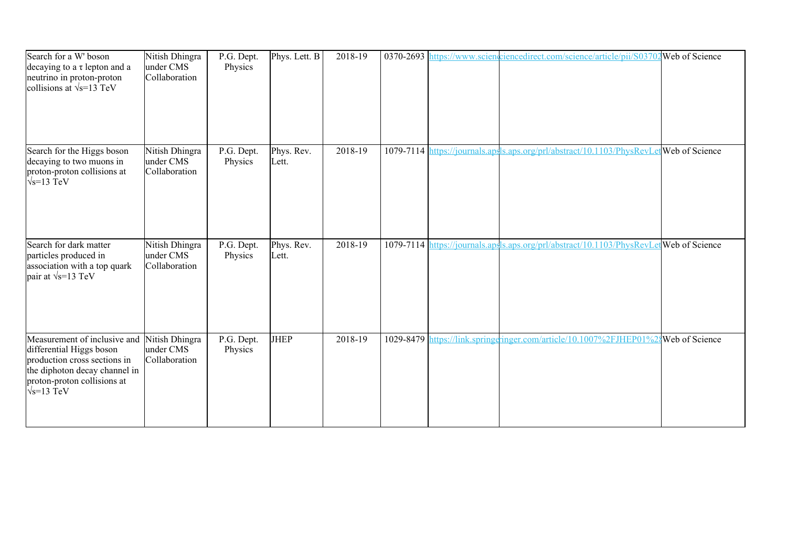| Search for a W' boson<br>decaying to a $\tau$ lepton and a<br>neutrino in proton-proton<br>collisions at $\sqrt{s}$ =13 TeV                                                    | Nitish Dhingra<br>under CMS<br>Collaboration | P.G. Dept.<br>Physics | Phys. Lett. B       | 2018-19 |  | 0370-2693 https://www.scienceiencedirect.com/science/article/pii/S03702 Web of Science  |  |
|--------------------------------------------------------------------------------------------------------------------------------------------------------------------------------|----------------------------------------------|-----------------------|---------------------|---------|--|-----------------------------------------------------------------------------------------|--|
| Search for the Higgs boson<br>decaying to two muons in<br>proton-proton collisions at<br>$\sqrt{s}$ =13 TeV                                                                    | Nitish Dhingra<br>under CMS<br>Collaboration | P.G. Dept.<br>Physics | Phys. Rev.<br>Lett. | 2018-19 |  | 1079-7114 https://journals.apsls.aps.org/prl/abstract/10.1103/PhysRevLet Web of Science |  |
| Search for dark matter<br>particles produced in<br>association with a top quark<br>pair at $\sqrt{s}$ =13 TeV                                                                  | Nitish Dhingra<br>under CMS<br>Collaboration | P.G. Dept.<br>Physics | Phys. Rev.<br>Lett. | 2018-19 |  | 1079-7114 https://journals.apsls.aps.org/prl/abstract/10.1103/PhysRevLetWeb of Science  |  |
| Measurement of inclusive and<br>differential Higgs boson<br>production cross sections in<br>the diphoton decay channel in<br>proton-proton collisions at<br>$\sqrt{s}$ =13 TeV | Nitish Dhingra<br>under CMS<br>Collaboration | P.G. Dept.<br>Physics | <b>JHEP</b>         | 2018-19 |  | 1029-8479 https://link.springeringer.com/article/10.1007%2FJHEP01%24Web of Science      |  |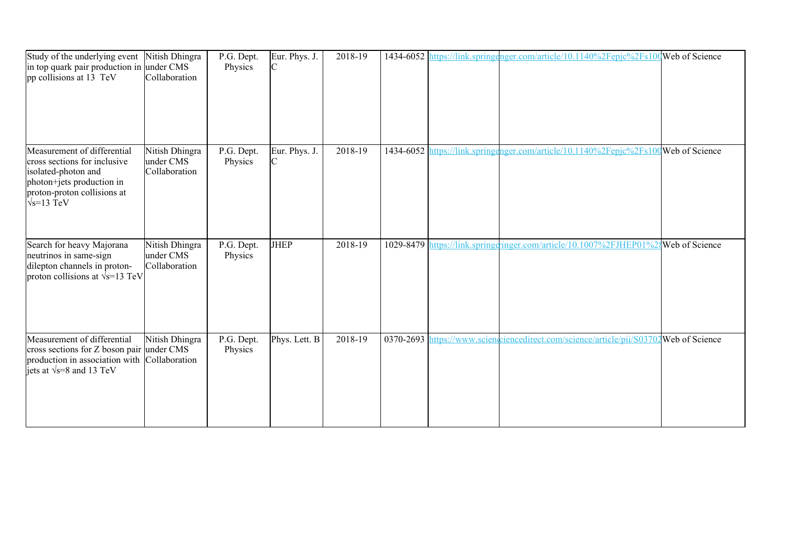| Study of the underlying event<br>in top quark pair production in under CMS<br>pp collisions at 13 TeV                                                                | Nitish Dhingra<br>Collaboration              | P.G. Dept.<br>Physics | Eur. Phys. J.<br>C            | 2018-19 |  | 1434-6052 https://link.springenger.com/article/10.1140%2Fepjc%2Fs100Web of Science    |                       |
|----------------------------------------------------------------------------------------------------------------------------------------------------------------------|----------------------------------------------|-----------------------|-------------------------------|---------|--|---------------------------------------------------------------------------------------|-----------------------|
| Measurement of differential<br>cross sections for inclusive<br>isolated-photon and<br>photon+jets production in<br>proton-proton collisions at<br>$\sqrt{s}$ =13 TeV | Nitish Dhingra<br>under CMS<br>Collaboration | P.G. Dept.<br>Physics | Eur. Phys. J.<br>$\mathsf{C}$ | 2018-19 |  | 1434-6052 https://link.springenger.com/article/10.1140%2Fepjc%2Fs100Web of Science    |                       |
| Search for heavy Majorana<br>neutrinos in same-sign<br>dilepton channels in proton-<br>proton collisions at $\sqrt{s}$ =13 TeV                                       | Nitish Dhingra<br>under CMS<br>Collaboration | P.G. Dept.<br>Physics | <b>JHEP</b>                   | 2018-19 |  | 1029-8479 https://link.springeringer.com/article/10.1007%2FJHEP01%2                   | <b>Web</b> of Science |
| Measurement of differential<br>cross sections for Z boson pair under CMS<br>production in association with Collaboration<br>jets at $\sqrt{s}$ =8 and 13 TeV         | Nitish Dhingra                               | P.G. Dept.<br>Physics | Phys. Lett. B                 | 2018-19 |  | 0370-2693 https://www.scienceiencedirect.com/science/article/pii/S03702Web of Science |                       |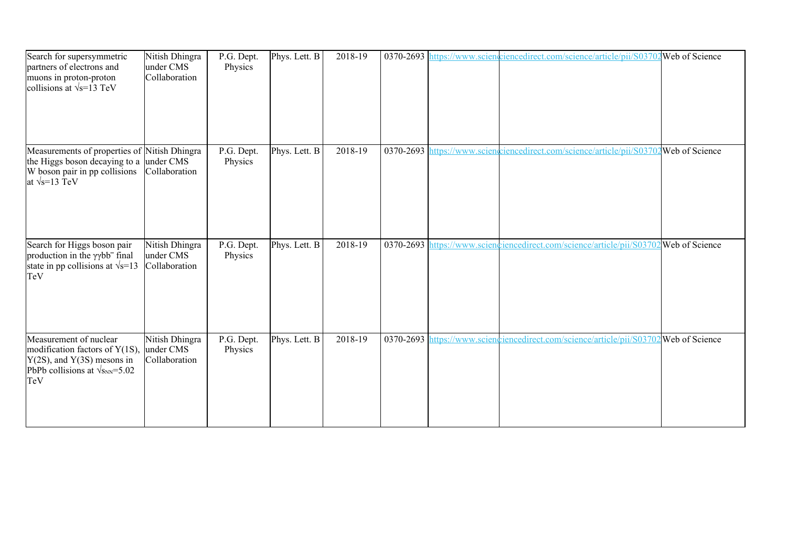| Search for supersymmetric<br>partners of electrons and<br>muons in proton-proton<br>collisions at $\sqrt{s}$ =13 TeV                              | Nitish Dhingra<br>under CMS<br>Collaboration | P.G. Dept.<br>Physics | Phys. Lett. B | 2018-19 |  | 0370-2693 https://www.scienciencedirect.com/science/article/pii/S03702 Web of Science   |                 |
|---------------------------------------------------------------------------------------------------------------------------------------------------|----------------------------------------------|-----------------------|---------------|---------|--|-----------------------------------------------------------------------------------------|-----------------|
| Measurements of properties of Nitish Dhingra<br>the Higgs boson decaying to a<br>W boson pair in pp collisions<br>at $\sqrt{s}$ =13 TeV           | under CMS<br>Collaboration                   | P.G. Dept.<br>Physics | Phys. Lett. B | 2018-19 |  | 0370-2693 https://www.scienceiencedirect.com/science/article/pii/S03702Web of Science   |                 |
| Search for Higgs boson pair<br>production in the yybb <sup>-</sup> final<br>state in pp collisions at $\sqrt{s}$ =13<br>TeV                       | Nitish Dhingra<br>under CMS<br>Collaboration | P.G. Dept.<br>Physics | Phys. Lett. B | 2018-19 |  | 0370-2693 https://www.sciencelinecedirect.com/science/article/pii/S03702 Web of Science |                 |
| Measurement of nuclear<br>modification factors of $Y(1S)$ ,<br>$Y(2S)$ , and $Y(3S)$ mesons in<br>PbPb collisions at $\sqrt{s_{NN}}$ =5.02<br>TeV | Nitish Dhingra<br>under CMS<br>Collaboration | P.G. Dept.<br>Physics | Phys. Lett. B | 2018-19 |  | 0370-2693 https://www.scienciencedirect.com/science/article/pii/S0370                   | 2Web of Science |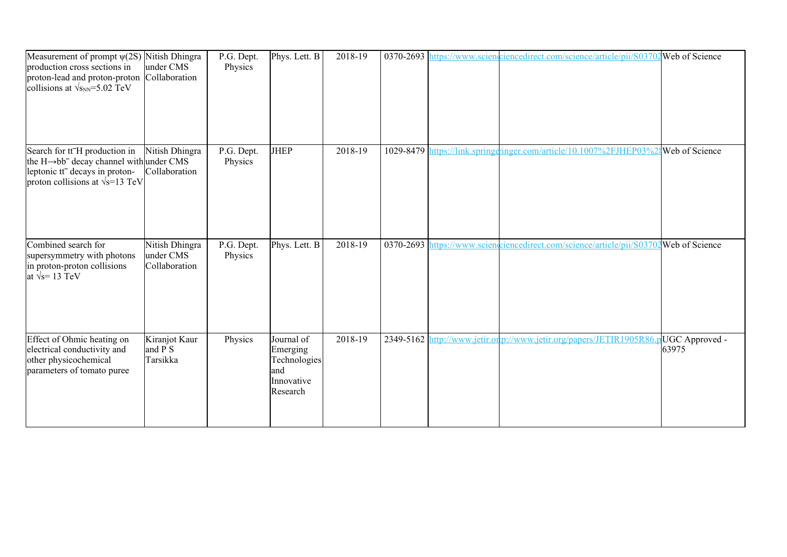| Measurement of prompt $\psi(2S)$ Nitish Dhingra<br>production cross sections in<br>proton-lead and proton-proton Collaboration<br>collisions at $\sqrt{s_{NN}}$ =5.02 TeV                    | under CMS                                    | P.G. Dept.<br>Physics | Phys. Lett. B                                                           | 2018-19 |  | 0370-2693 https://www.scienceiencedirect.com/science/article/pii/S03702 Web of Science |                         |
|----------------------------------------------------------------------------------------------------------------------------------------------------------------------------------------------|----------------------------------------------|-----------------------|-------------------------------------------------------------------------|---------|--|----------------------------------------------------------------------------------------|-------------------------|
| Search for tt <sup>-</sup> H production in<br>the $H \rightarrow bb^-$ decay channel with under CMS<br>leptonic tt <sup>-</sup> decays in proton-<br>proton collisions at $\sqrt{s}$ =13 TeV | Nitish Dhingra<br>Collaboration              | P.G. Dept.<br>Physics | <b>JHEP</b>                                                             | 2018-19 |  | 1029-8479 https://link.springeringer.com/article/10.1007%2FJHEP03%2{Web of Science     |                         |
| Combined search for<br>supersymmetry with photons<br>in proton-proton collisions<br>at $\sqrt{s}$ = 13 TeV                                                                                   | Nitish Dhingra<br>under CMS<br>Collaboration | P.G. Dept.<br>Physics | Phys. Lett. B                                                           | 2018-19 |  | 0370-2693 https://www.sciengriencedirect.com/science/article/pij/S03702 Web of Science |                         |
| Effect of Ohmic heating on<br>electrical conductivity and<br>other physicochemical<br>parameters of tomato puree                                                                             | Kiranjot Kaur<br>and P S<br>Tarsikka         | Physics               | Journal of<br>Emerging<br>Technologies<br>and<br>Innovative<br>Research | 2018-19 |  | 2349-5162 http://www.jetir.org//www.jetir.org/papers/JETIR1905R86                      | UGC Approved -<br>63975 |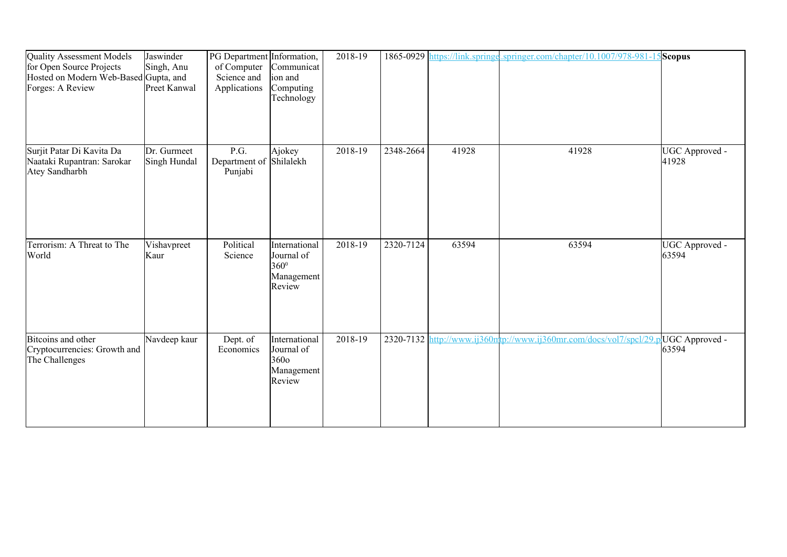| <b>Quality Assessment Models</b><br>for Open Source Projects<br>Hosted on Modern Web-Based Gupta, and<br>Forges: A Review | Jaswinder<br>Singh, Anu<br>Preet Kanwal | PG Department Information,<br>of Computer<br>Science and<br>Applications | Communicat<br>ion and<br>Computing<br>Technology            | 2018-19 |           |       | 1865-0929 https://link.springe.springer.com/chapter/10.1007/978-981-15 Scopus |                           |
|---------------------------------------------------------------------------------------------------------------------------|-----------------------------------------|--------------------------------------------------------------------------|-------------------------------------------------------------|---------|-----------|-------|-------------------------------------------------------------------------------|---------------------------|
| Surjit Patar Di Kavita Da<br>Naataki Rupantran: Sarokar<br>Atey Sandharbh                                                 | Dr. Gurmeet<br>Singh Hundal             | P.G.<br>Department of<br>Punjabi                                         | Ajokey<br>Shilalekh                                         | 2018-19 | 2348-2664 | 41928 | 41928                                                                         | UGC Approved -<br>41928   |
| Terrorism: A Threat to The<br>World                                                                                       | Vishavpreet<br>Kaur                     | Political<br>Science                                                     | International<br>Journal of<br>360°<br>Management<br>Review | 2018-19 | 2320-7124 | 63594 | 63594                                                                         | UGC Approved -<br>63594   |
| Bitcoins and other<br>Cryptocurrencies: Growth and<br>The Challenges                                                      | Navdeep kaur                            | Dept. of<br>Economics                                                    | International<br>Journal of<br>3600<br>Management<br>Review | 2018-19 |           |       | 2320-7132 http://www.ij360mtp://www.ij360mr.com/docs/vol7/spcl/29.            | olUGC Approved -<br>63594 |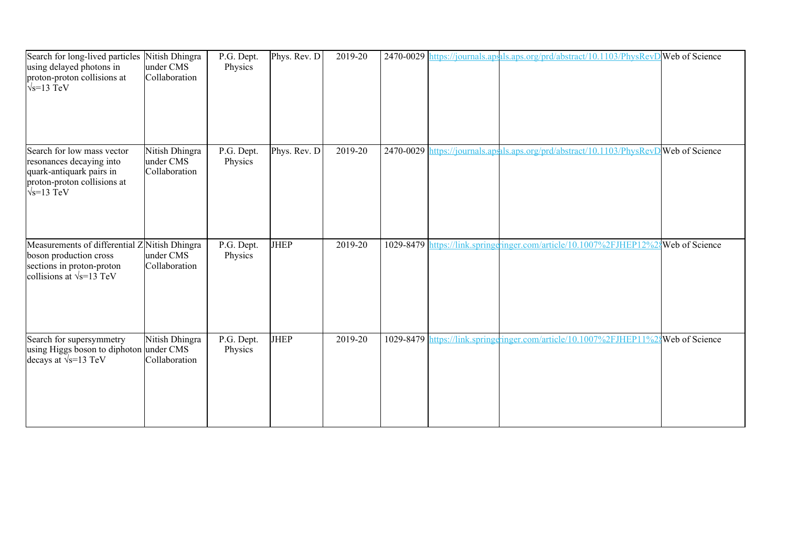| Search for long-lived particles<br>using delayed photons in<br>proton-proton collisions at<br>$\sqrt{s}$ =13 TeV                         | Nitish Dhingra<br>under CMS<br>Collaboration | P.G. Dept.<br>Physics | Phys. Rev. D | 2019-20 |  | 2470-0029 https://journals.apsh.aps.org/prd/abstract/10.1103/PhysRevD Web of Science   |  |
|------------------------------------------------------------------------------------------------------------------------------------------|----------------------------------------------|-----------------------|--------------|---------|--|----------------------------------------------------------------------------------------|--|
| Search for low mass vector<br>resonances decaying into<br>quark-antiquark pairs in<br>proton-proton collisions at<br>$\sqrt{s}$ =13 TeV  | Nitish Dhingra<br>under CMS<br>Collaboration | P.G. Dept.<br>Physics | Phys. Rev. D | 2019-20 |  | 2470-0029 https://journals.ap.als.aps.org/prd/abstract/10.1103/PhysRevD Web of Science |  |
| Measurements of differential Z Nitish Dhingra<br>boson production cross<br>sections in proton-proton<br>collisions at $\sqrt{s}$ =13 TeV | under CMS<br>Collaboration                   | P.G. Dept.<br>Physics | <b>JHEP</b>  | 2019-20 |  | 1029-8479 https://link.springgringer.com/article/10.1007%2FJHEP12%28Web of Science     |  |
| Search for supersymmetry<br>using Higgs boson to diphoton under CMS<br>decays at $\sqrt{s}$ =13 TeV                                      | Nitish Dhingra<br>Collaboration              | P.G. Dept.<br>Physics | <b>JHEP</b>  | 2019-20 |  | 1029-8479 https://link.springeringer.com/article/10.1007%2FJHEP11%24Web of Science     |  |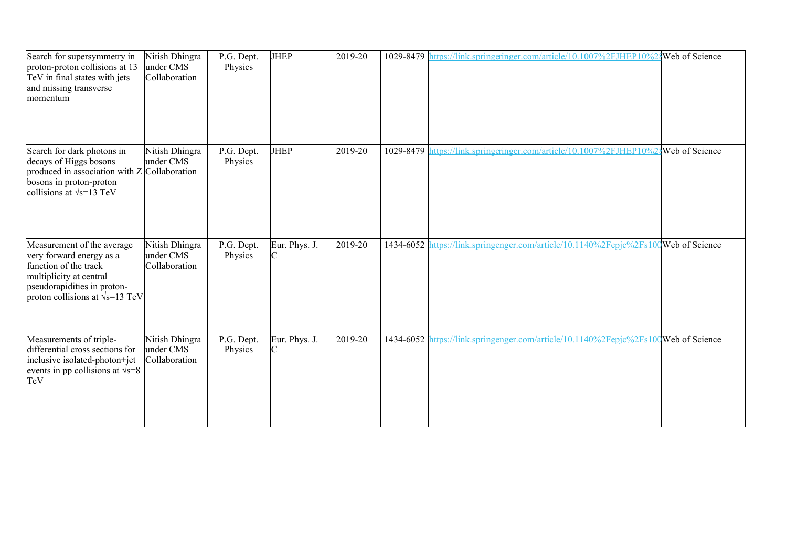| Search for supersymmetry in<br>proton-proton collisions at 13<br>TeV in final states with jets<br>and missing transverse<br>momentum                                                 | Nitish Dhingra<br>under CMS<br>Collaboration | P.G. Dept.<br>Physics | <b>JHEP</b>        | 2019-20 |  | 1029-8479 https://link.springeringer.com/article/10.1007%2FJHEP10%2{Web of Science  |  |
|--------------------------------------------------------------------------------------------------------------------------------------------------------------------------------------|----------------------------------------------|-----------------------|--------------------|---------|--|-------------------------------------------------------------------------------------|--|
| Search for dark photons in<br>decays of Higgs bosons<br>produced in association with $Z$ Collaboration<br>bosons in proton-proton<br>collisions at $\sqrt{s}$ =13 TeV                | Nitish Dhingra<br>under CMS                  | P.G. Dept.<br>Physics | <b>JHEP</b>        | 2019-20 |  | 1029-8479 https://link.springeringer.com/article/10.1007%2FJHEP10%28 Web of Science |  |
| Measurement of the average<br>very forward energy as a<br>function of the track<br>multiplicity at central<br>pseudorapidities in proton-<br>proton collisions at $\sqrt{s}$ =13 TeV | Nitish Dhingra<br>under CMS<br>Collaboration | P.G. Dept.<br>Physics | Eur. Phys. J.      | 2019-20 |  | 1434-6052 https://link.springenger.com/article/10.1140%2Fepjc%2Fs100Web of Science  |  |
| Measurements of triple-<br>differential cross sections for<br>inclusive isolated-photon+jet<br>events in pp collisions at $\sqrt{s}=8$<br>TeV                                        | Nitish Dhingra<br>under CMS<br>Collaboration | P.G. Dept.<br>Physics | Eur. Phys. J.<br>C | 2019-20 |  | 1434-6052 https://link.springenger.com/article/10.1140%2Fepjc%2Fs100 Web of Science |  |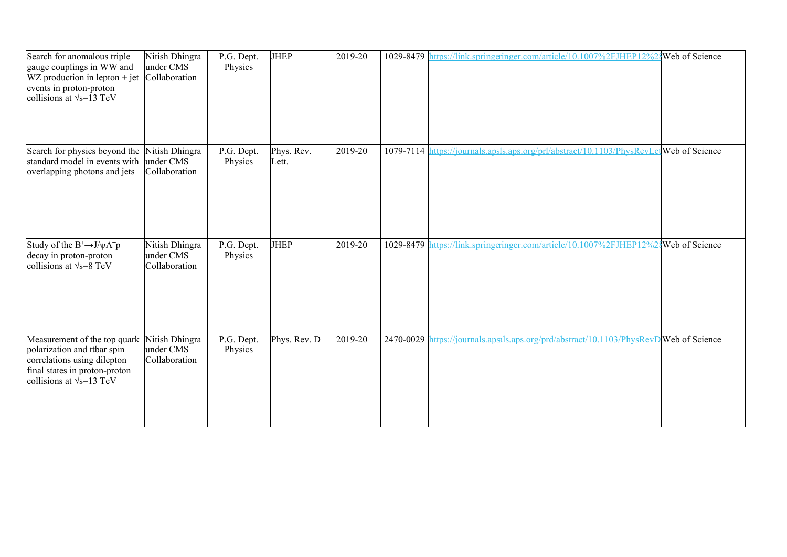| Search for anomalous triple<br>gauge couplings in WW and<br>$WZ$ production in lepton + jet<br>events in proton-proton<br>collisions at $\sqrt{s}$ =13 TeV      | Nitish Dhingra<br>under CMS<br>Collaboration | P.G. Dept.<br>Physics | <b>JHEP</b>         | 2019-20 |  | 1029-8479 https://link.springeringer.com/article/10.1007%2FJHEP12%2{Web of Science      |  |
|-----------------------------------------------------------------------------------------------------------------------------------------------------------------|----------------------------------------------|-----------------------|---------------------|---------|--|-----------------------------------------------------------------------------------------|--|
| Search for physics beyond the<br>standard model in events with<br>overlapping photons and jets                                                                  | Nitish Dhingra<br>under CMS<br>Collaboration | P.G. Dept.<br>Physics | Phys. Rev.<br>Lett. | 2019-20 |  | 1079-7114 https://journals.apsls.aps.org/prl/abstract/10.1103/PhysRevLet Web of Science |  |
| Study of the $B^+\rightarrow J/\psi\Lambda^- p$<br>decay in proton-proton<br>collisions at $\sqrt{s} = 8$ TeV                                                   | Nitish Dhingra<br>under CMS<br>Collaboration | P.G. Dept.<br>Physics | <b>JHEP</b>         | 2019-20 |  | 1029-8479 https://link.springgringer.com/article/10.1007%2FJHEP12%28Web of Science      |  |
| Measurement of the top quark<br>polarization and ttbar spin<br>correlations using dilepton<br>final states in proton-proton<br>collisions at $\sqrt{s}$ =13 TeV | Nitish Dhingra<br>under CMS<br>Collaboration | P.G. Dept.<br>Physics | Phys. Rev. D        | 2019-20 |  | 2470-0029 https://journals.ap.als.aps.org/prd/abstract/10.1103/PhysRevD Web of Science  |  |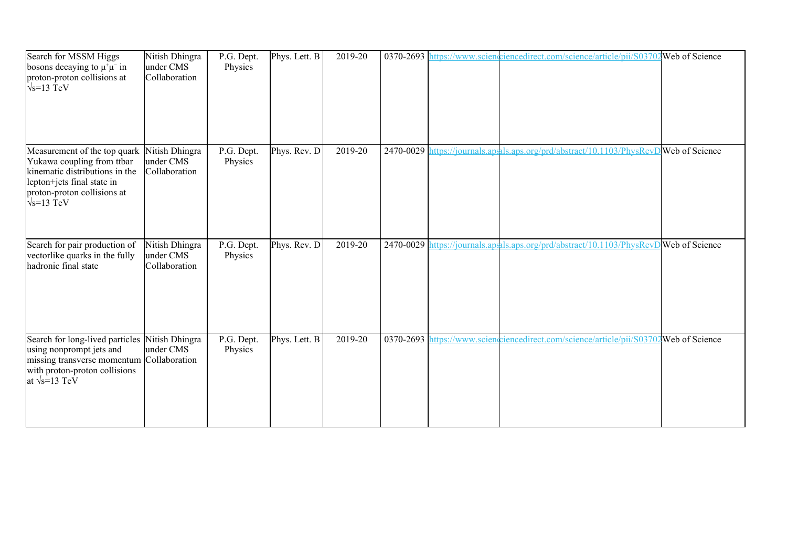| Search for MSSM Higgs<br>bosons decaying to $\mu^+\mu^-$ in<br>proton-proton collisions at<br>$\sqrt{s}$ =13 TeV                                                                | Nitish Dhingra<br>under CMS<br>Collaboration | P.G. Dept.<br>Physics | Phys. Lett. B | 2019-20 |  | 0370-2693 https://www.scienceiencedirect.com/science/article/pii/S03702 Web of Science |  |
|---------------------------------------------------------------------------------------------------------------------------------------------------------------------------------|----------------------------------------------|-----------------------|---------------|---------|--|----------------------------------------------------------------------------------------|--|
| Measurement of the top quark<br>Yukawa coupling from ttbar<br>kinematic distributions in the<br>lepton+jets final state in<br>proton-proton collisions at<br>$\sqrt{s}$ =13 TeV | Nitish Dhingra<br>under CMS<br>Collaboration | P.G. Dept.<br>Physics | Phys. Rev. D  | 2019-20 |  | 2470-0029 https://journals.apsals.aps.org/prd/abstract/10.1103/PhysRevD Web of Science |  |
| Search for pair production of<br>vectorlike quarks in the fully<br>hadronic final state                                                                                         | Nitish Dhingra<br>under CMS<br>Collaboration | P.G. Dept.<br>Physics | Phys. Rev. D  | 2019-20 |  | 2470-0029 https://journals.ap.als.aps.org/prd/abstract/10.1103/PhysRevD Web of Science |  |
| Search for long-lived particles<br>using nonprompt jets and<br>missing transverse momentum Collaboration<br>with proton-proton collisions<br>at $\sqrt{s}$ =13 TeV              | Nitish Dhingra<br>under CMS                  | P.G. Dept.<br>Physics | Phys. Lett. B | 2019-20 |  | 0370-2693 https://www.scienceiencedirect.com/science/article/pii/S03702Web of Science  |  |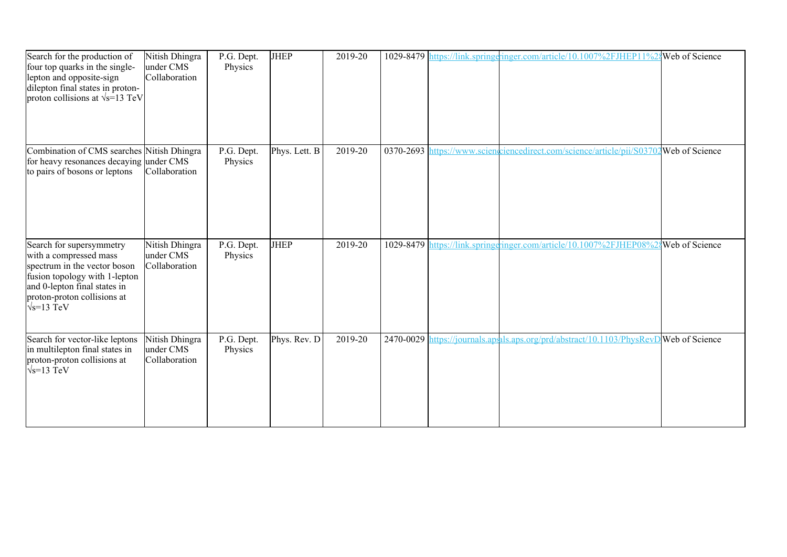| Search for the production of<br>four top quarks in the single-<br>lepton and opposite-sign<br>dilepton final states in proton-<br>proton collisions at $\sqrt{s}$ =13 TeV                                | Nitish Dhingra<br>under CMS<br>Collaboration | P.G. Dept.<br>Physics | <b>JHEP</b>   | 2019-20 |  | 1029-8479 https://link.springeringer.com/article/10.1007%2FJHEP11%2                   | Web of Science |
|----------------------------------------------------------------------------------------------------------------------------------------------------------------------------------------------------------|----------------------------------------------|-----------------------|---------------|---------|--|---------------------------------------------------------------------------------------|----------------|
| Combination of CMS searches Nitish Dhingra<br>for heavy resonances decaying under CMS<br>to pairs of bosons or leptons                                                                                   | Collaboration                                | P.G. Dept.<br>Physics | Phys. Lett. B | 2019-20 |  | 0370-2693 https://www.scienceiencedirect.com/science/article/pii/S03702Web of Science |                |
| Search for supersymmetry<br>with a compressed mass<br>spectrum in the vector boson<br>fusion topology with 1-lepton<br>and 0-lepton final states in<br>proton-proton collisions at<br>$\sqrt{s}$ =13 TeV | Nitish Dhingra<br>under CMS<br>Collaboration | P.G. Dept.<br>Physics | <b>JHEP</b>   | 2019-20 |  | 1029-8479 https://link.springeringer.com/article/10.1007%2FJHEP08%                    | Web of Science |
| Search for vector-like leptons<br>in multilepton final states in<br>proton-proton collisions at<br>$\sqrt{s}$ =13 TeV                                                                                    | Nitish Dhingra<br>under CMS<br>Collaboration | P.G. Dept.<br>Physics | Phys. Rev. D  | 2019-20 |  | 2470-0029 https://journals.apsh.aps.org/prd/abstract/10.1103/PhysRevD Web of Science  |                |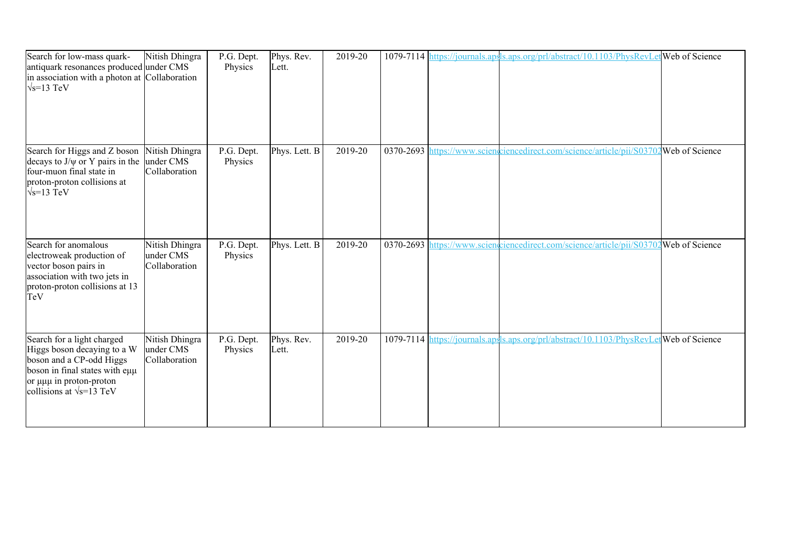| Search for low-mass quark-<br>antiquark resonances produced under CMS<br>in association with a photon at Collaboration<br>$\sqrt{s}$ =13 TeV                                                   | Nitish Dhingra                               | P.G. Dept.<br>Physics | Phys. Rev.<br>Lett. | 2019-20 | 1079-7114 https://journals.aps | ls.aps.org/prl/abstract/10.1103/PhysRevLet Web of Science                              |  |
|------------------------------------------------------------------------------------------------------------------------------------------------------------------------------------------------|----------------------------------------------|-----------------------|---------------------|---------|--------------------------------|----------------------------------------------------------------------------------------|--|
| Search for Higgs and Z boson<br>decays to $J/\psi$ or Y pairs in the<br>four-muon final state in<br>proton-proton collisions at<br>$\sqrt{s}$ =13 TeV                                          | Nitish Dhingra<br>under CMS<br>Collaboration | P.G. Dept.<br>Physics | Phys. Lett. B       | 2019-20 |                                | 0370-2693 https://www.scienceiencedirect.com/science/article/pii/S03702Web of Science  |  |
| Search for anomalous<br>electroweak production of<br>vector boson pairs in<br>association with two jets in<br>proton-proton collisions at 13<br>TeV                                            | Nitish Dhingra<br>under CMS<br>Collaboration | P.G. Dept.<br>Physics | Phys. Lett. B       | 2019-20 |                                | 0370-2693 https://www.scienceiencedirect.com/science/article/pii/S03702Web of Science  |  |
| Search for a light charged<br>Higgs boson decaying to a W<br>boson and a CP-odd Higgs<br>boson in final states with eµµ<br>or $\mu\mu\mu$ in proton-proton<br>collisions at $\sqrt{s}$ =13 TeV | Nitish Dhingra<br>under CMS<br>Collaboration | P.G. Dept.<br>Physics | Phys. Rev.<br>Lett. | 2019-20 |                                | 1079-7114 https://journals.apsls.aps.org/prl/abstract/10.1103/PhysRevLetWeb of Science |  |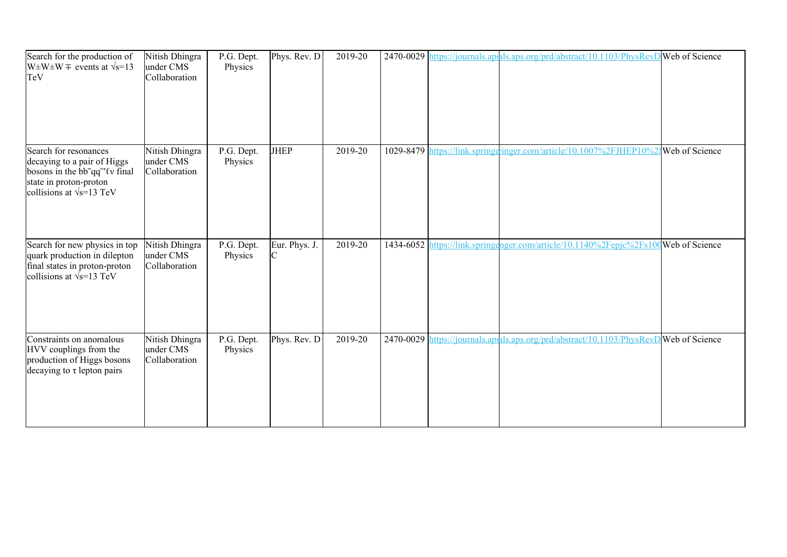| Search for the production of<br>$W\pm W\pm W \mp$ events at $\sqrt{s}=13$<br>TeV                                                                                              | Nitish Dhingra<br>under CMS<br>Collaboration | P.G. Dept.<br>Physics | Phys. Rev. D  | 2019-20 |           | 2470-0029 https://journals.ap.als.aps.org/prd/abstract/10.1103/PhysRevD Web of Science |  |
|-------------------------------------------------------------------------------------------------------------------------------------------------------------------------------|----------------------------------------------|-----------------------|---------------|---------|-----------|----------------------------------------------------------------------------------------|--|
| Search for resonances<br>decaying to a pair of Higgs<br>bosons in the bb <sup>-</sup> qq <sup>-'</sup> lv final<br>state in proton-proton<br>collisions at $\sqrt{s}$ =13 TeV | Nitish Dhingra<br>under CMS<br>Collaboration | P.G. Dept.<br>Physics | <b>JHEP</b>   | 2019-20 | 1029-8479 | nttps://link.springeringer.com/article/10.1007%2FJHEP10%2gWeb of Science               |  |
| Search for new physics in top<br>quark production in dilepton<br>final states in proton-proton<br>collisions at $\sqrt{s}$ =13 TeV                                            | Nitish Dhingra<br>under CMS<br>Collaboration | P.G. Dept.<br>Physics | Eur. Phys. J. | 2019-20 |           | 1434-6052 https://link.springenger.com/article/10.1140%2Fepjc%2Fs100Web of Science     |  |
| Constraints on anomalous<br>HVV couplings from the<br>production of Higgs bosons<br>decaying to $\tau$ lepton pairs                                                           | Nitish Dhingra<br>under CMS<br>Collaboration | P.G. Dept.<br>Physics | Phys. Rev. D  | 2019-20 |           | 2470-0029 https://journals.ap.als.aps.org/prd/abstract/10.1103/PhysRevD Web of Science |  |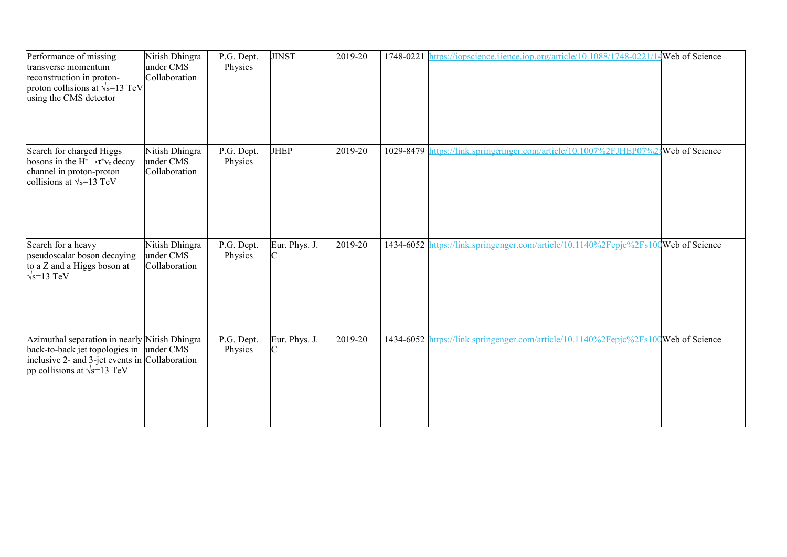| Performance of missing<br>transverse momentum<br>reconstruction in proton-<br>proton collisions at $\sqrt{s}$ =13 TeV<br>using the CMS detector                                    | Nitish Dhingra<br>under CMS<br>Collaboration | P.G. Dept.<br>Physics | <b>JINST</b>                  | 2019-20 |  | 1748-0221 https://iopscience.ience.iop.org/article/10.1088/1748-0221/               | Web of Science |
|------------------------------------------------------------------------------------------------------------------------------------------------------------------------------------|----------------------------------------------|-----------------------|-------------------------------|---------|--|-------------------------------------------------------------------------------------|----------------|
| Search for charged Higgs<br>bosons in the $H^{\pm} \rightarrow \tau^{\pm} \nu_{\tau}$ decay<br>channel in proton-proton<br>collisions at $\sqrt{s}$ =13 TeV                        | Nitish Dhingra<br>under CMS<br>Collaboration | P.G. Dept.<br>Physics | <b>JHEP</b>                   | 2019-20 |  | 1029-8479 https://link.springgringer.com/article/10.1007%2FJHEP07%2gWeb of Science  |                |
| Search for a heavy<br>pseudoscalar boson decaying<br>to a Z and a Higgs boson at<br>$\sqrt{s}$ =13 TeV                                                                             | Nitish Dhingra<br>under CMS<br>Collaboration | P.G. Dept.<br>Physics | Eur. Phys. J.                 | 2019-20 |  | 1434-6052 https://link.springenger.com/article/10.1140%2Fepjc%2Fs100Web of Science  |                |
| Azimuthal separation in nearly Nitish Dhingra<br>back-to-back jet topologies in under CMS<br>inclusive 2- and 3-jet events in Collaboration<br>pp collisions at $\sqrt{s}$ =13 TeV |                                              | P.G. Dept.<br>Physics | Eur. Phys. J.<br>$\mathsf{C}$ | 2019-20 |  | 1434-6052 https://link.springenger.com/article/10.1140%2Fepjc%2Fs100 Web of Science |                |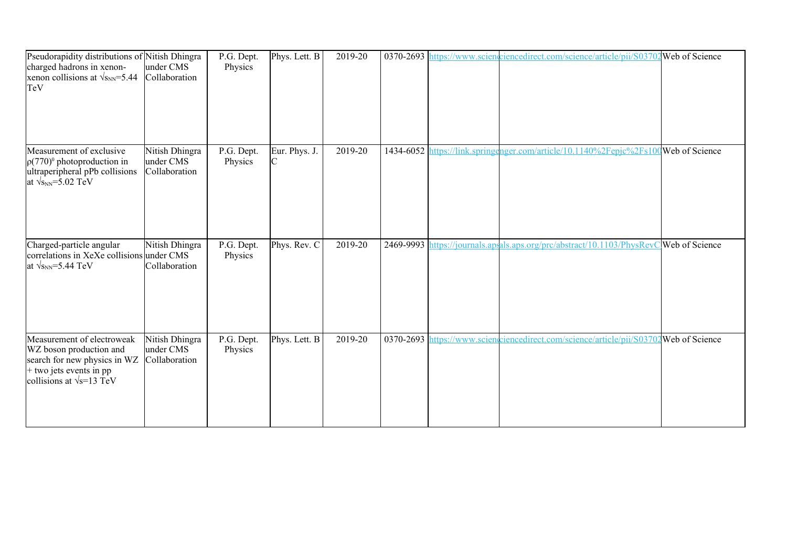| Pseudorapidity distributions of Nitish Dhingra<br>charged hadrons in xenon-<br>xenon collisions at $\sqrt{s_{NN}}$ =5.44<br>TeV                        | under CMS<br>Collaboration                   | P.G. Dept.<br>Physics | Phys. Lett. B | 2019-20 |  | 0370-2693 https://www.sciencelencedirect.com/science/article/pii/S03702Web of Science  |  |
|--------------------------------------------------------------------------------------------------------------------------------------------------------|----------------------------------------------|-----------------------|---------------|---------|--|----------------------------------------------------------------------------------------|--|
| Measurement of exclusive<br>$\rho(770)^0$ photoproduction in<br>ultraperipheral pPb collisions<br>at $\sqrt{s_{NN}}$ =5.02 TeV                         | Nitish Dhingra<br>under CMS<br>Collaboration | P.G. Dept.<br>Physics | Eur. Phys. J. | 2019-20 |  | 1434-6052 https://link.springenger.com/article/10.1140%2Fepjc%2Fs100Web of Science     |  |
| Charged-particle angular<br>correlations in XeXe collisions under CMS<br>at $\sqrt{s_{NN}}$ =5.44 TeV                                                  | Nitish Dhingra<br>Collaboration              | P.G. Dept.<br>Physics | Phys. Rev. C  | 2019-20 |  | 2469-9993 https://journals.apsals.aps.org/prc/abstract/10.1103/PhysRevC Web of Science |  |
| Measurement of electroweak<br>WZ boson production and<br>search for new physics in WZ<br>$+$ two jets events in pp<br>collisions at $\sqrt{s}$ =13 TeV | Nitish Dhingra<br>under CMS<br>Collaboration | P.G. Dept.<br>Physics | Phys. Lett. B | 2019-20 |  | 0370-2693 https://www.sciencelerect.com/science/article/pii/S03702Web of Science       |  |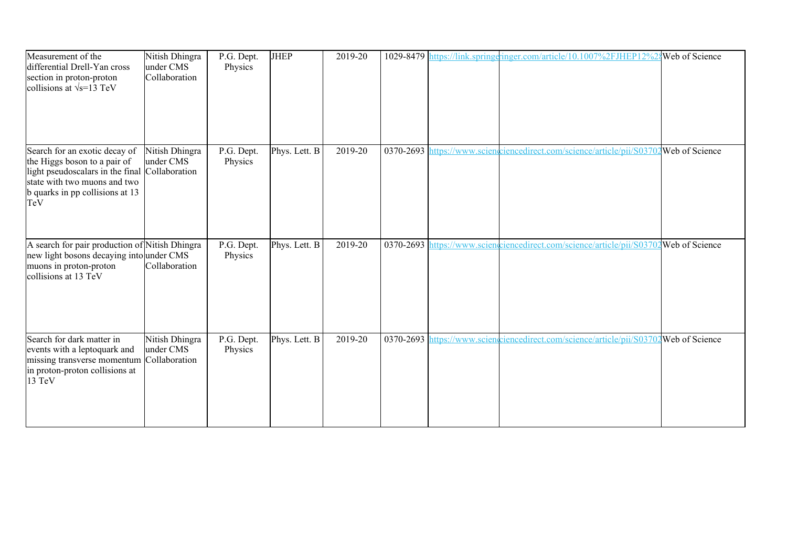| Measurement of the<br>differential Drell-Yan cross<br>section in proton-proton<br>collisions at $\sqrt{s}$ =13 TeV                                                                        | Nitish Dhingra<br>under CMS<br>Collaboration | P.G. Dept.<br>Physics | <b>JHEP</b>   | 2019-20 |  | 1029-8479 https://link.springeringer.com/article/10.1007%2FJHEP12%2                   | Web of Science |
|-------------------------------------------------------------------------------------------------------------------------------------------------------------------------------------------|----------------------------------------------|-----------------------|---------------|---------|--|---------------------------------------------------------------------------------------|----------------|
| Search for an exotic decay of<br>the Higgs boson to a pair of<br>light pseudoscalars in the final Collaboration<br>state with two muons and two<br>b quarks in pp collisions at 13<br>TeV | Nitish Dhingra<br>under CMS                  | P.G. Dept.<br>Physics | Phys. Lett. B | 2019-20 |  | 0370-2693 https://www.sciengriencedirect.com/science/article/pii/S03702Web of Science |                |
| A search for pair production of Nitish Dhingra<br>new light bosons decaying into under CMS<br>muons in proton-proton<br>collisions at 13 TeV                                              | Collaboration                                | P.G. Dept.<br>Physics | Phys. Lett. B | 2019-20 |  | 0370-2693 https://www.scienceiencedirect.com/science/article/pii/S03702Web of Science |                |
| Search for dark matter in<br>events with a leptoquark and<br>missing transverse momentum<br>in proton-proton collisions at<br>13 TeV                                                      | Nitish Dhingra<br>under CMS<br>Collaboration | P.G. Dept.<br>Physics | Phys. Lett. B | 2019-20 |  | 0370-2693 https://www.scienciencedirect.com/science/article/pii/S03702 Web of Science |                |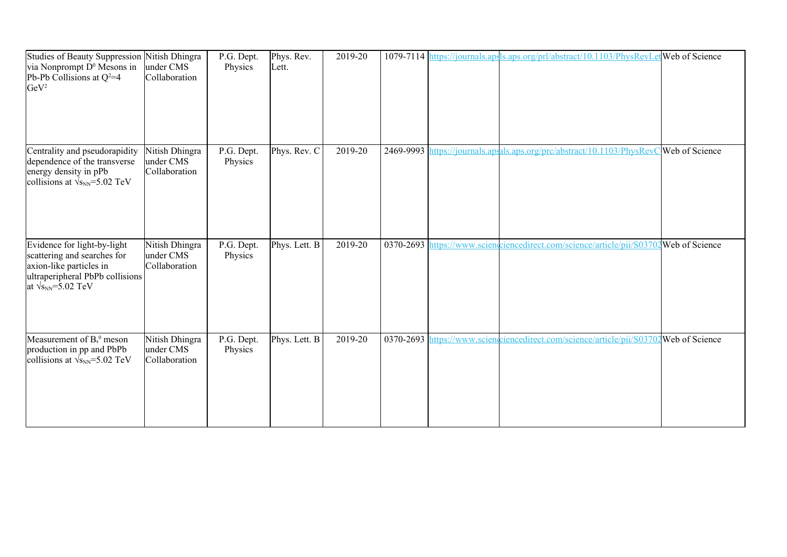| Studies of Beauty Suppression<br>via Nonprompt D <sup>0</sup> Mesons in<br>Pb-Pb Collisions at $Q^2=4$<br>GeV <sup>2</sup>                               | Nitish Dhingra<br>under CMS<br>Collaboration | P.G. Dept.<br>Physics | Phys. Rev.<br>Lett. | 2019-20 | 1079-7114 https://journals.aps | ls.aps.org/prl/abstract/10.1103/PhysRevLet Web of Science                              |  |
|----------------------------------------------------------------------------------------------------------------------------------------------------------|----------------------------------------------|-----------------------|---------------------|---------|--------------------------------|----------------------------------------------------------------------------------------|--|
| Centrality and pseudorapidity<br>dependence of the transverse<br>energy density in pPb<br>collisions at $\sqrt{s_{NN}}$ =5.02 TeV                        | Nitish Dhingra<br>under CMS<br>Collaboration | P.G. Dept.<br>Physics | Phys. Rev. C        | 2019-20 |                                | 2469-9993 https://journals.apsals.aps.org/prc/abstract/10.1103/PhysRevC Web of Science |  |
| Evidence for light-by-light<br>scattering and searches for<br>axion-like particles in<br>ultraperipheral PbPb collisions<br>at $\sqrt{s_{NN}}$ =5.02 TeV | Nitish Dhingra<br>under CMS<br>Collaboration | P.G. Dept.<br>Physics | Phys. Lett. B       | 2019-20 |                                | 0370-2693 https://www.sciencelirect.com/science/article/pii/S03702Web of Science       |  |
| Measurement of $B_s^0$ meson<br>production in pp and PbPb<br>collisions at $\sqrt{s_{NN}}$ =5.02 TeV                                                     | Nitish Dhingra<br>under CMS<br>Collaboration | P.G. Dept.<br>Physics | Phys. Lett. B       | 2019-20 |                                | 0370-2693 https://www.scienciencedirect.com/science/article/pii/S03702 Web of Science  |  |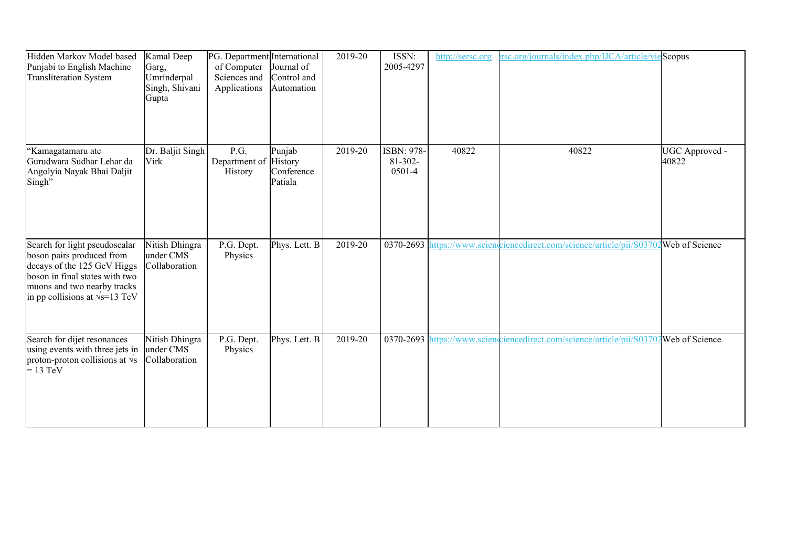| Hidden Markov Model based<br>Punjabi to English Machine<br><b>Transliteration System</b>                                                                                                             | Kamal Deep<br>Garg,<br>Umrinderpal<br>Singh, Shivani<br>Gupta | PG. Department International<br>of Computer<br>Sciences and<br>Applications | Journal of<br>Control and<br>Automation | 2019-20 | ISSN:<br>2005-4297                   | http://sersc.org | rsc.org/journals/index.php/IJCA/article/vieScopus                                      |                         |
|------------------------------------------------------------------------------------------------------------------------------------------------------------------------------------------------------|---------------------------------------------------------------|-----------------------------------------------------------------------------|-----------------------------------------|---------|--------------------------------------|------------------|----------------------------------------------------------------------------------------|-------------------------|
| 'Kamagatamaru ate<br>Gurudwara Sudhar Lehar da<br>Angolyia Nayak Bhai Daljit<br>Singh"                                                                                                               | Dr. Baljit Singh<br>Virk                                      | P.G.<br>Department of History<br>History                                    | Punjab<br>Conference<br>Patiala         | 2019-20 | ISBN: 978-<br>$81 - 302 -$<br>0501-4 | 40822            | 40822                                                                                  | UGC Approved -<br>40822 |
| Search for light pseudoscalar<br>boson pairs produced from<br>decays of the 125 GeV Higgs<br>boson in final states with two<br>muons and two nearby tracks<br>in pp collisions at $\sqrt{s}$ =13 TeV | Nitish Dhingra<br>under CMS<br>Collaboration                  | P.G. Dept.<br>Physics                                                       | Phys. Lett. B                           | 2019-20 |                                      |                  | 0370-2693 https://www.scienceiencedirect.com/science/article/pii/S03702Web of Science  |                         |
| Search for dijet resonances<br>using events with three jets in<br>proton-proton collisions at $\sqrt{s}$<br>$= 13$ TeV                                                                               | Nitish Dhingra<br>under CMS<br>Collaboration                  | P.G. Dept.<br>Physics                                                       | Phys. Lett. B                           | 2019-20 |                                      |                  | 0370-2693 https://www.scienceiencedirect.com/science/article/pii/S03702 Web of Science |                         |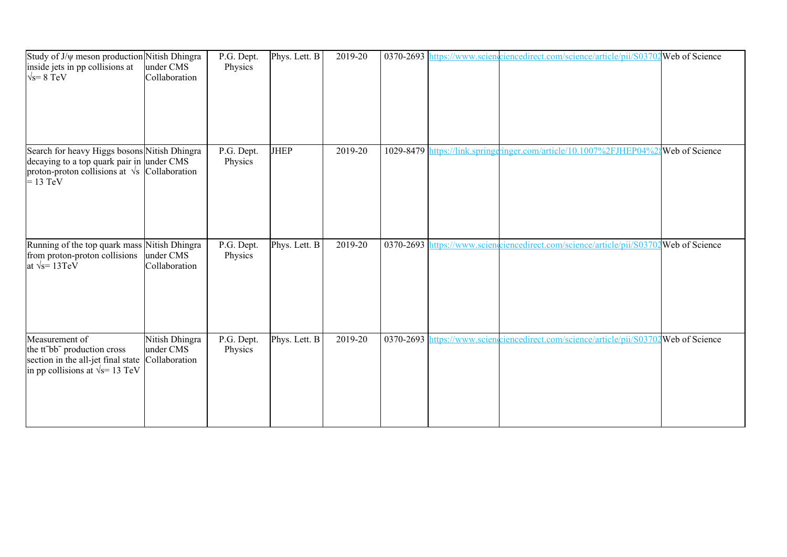| Study of J/ $\psi$ meson production Nitish Dhingra<br>inside jets in pp collisions at<br>$\sqrt{s}$ = 8 TeV                                                     | under CMS<br>Collaboration                   | P.G. Dept.<br>Physics | Phys. Lett. B | 2019-20 |  | 0370-2693 https://www.sciencelinecedirect.com/science/article/pii/S03702 Web of Science |                |
|-----------------------------------------------------------------------------------------------------------------------------------------------------------------|----------------------------------------------|-----------------------|---------------|---------|--|-----------------------------------------------------------------------------------------|----------------|
| Search for heavy Higgs bosons Nitish Dhingra<br>decaying to a top quark pair in under CMS<br>proton-proton collisions at $\sqrt{s}$ Collaboration<br>$= 13$ TeV |                                              | P.G. Dept.<br>Physics | <b>JHEP</b>   | 2019-20 |  | 1029-8479 https://link.springeringer.com/article/10.1007%2FJHEP04%2                     | Web of Science |
| Running of the top quark mass Nitish Dhingra<br>from proton-proton collisions<br>at $\sqrt{s}$ = 13TeV                                                          | under CMS<br>Collaboration                   | P.G. Dept.<br>Physics | Phys. Lett. B | 2019-20 |  | 0370-2693 https://www.scienceiencedirect.com/science/article/pii/S03702 Web of Science  |                |
| Measurement of<br>the tt <sup>-bb-</sup> production cross<br>section in the all-jet final state<br>in pp collisions at $\sqrt{s}$ = 13 TeV                      | Nitish Dhingra<br>under CMS<br>Collaboration | P.G. Dept.<br>Physics | Phys. Lett. B | 2019-20 |  | 0370-2693 https://www.scienceiencedirect.com/science/article/pii/S03702Web of Science   |                |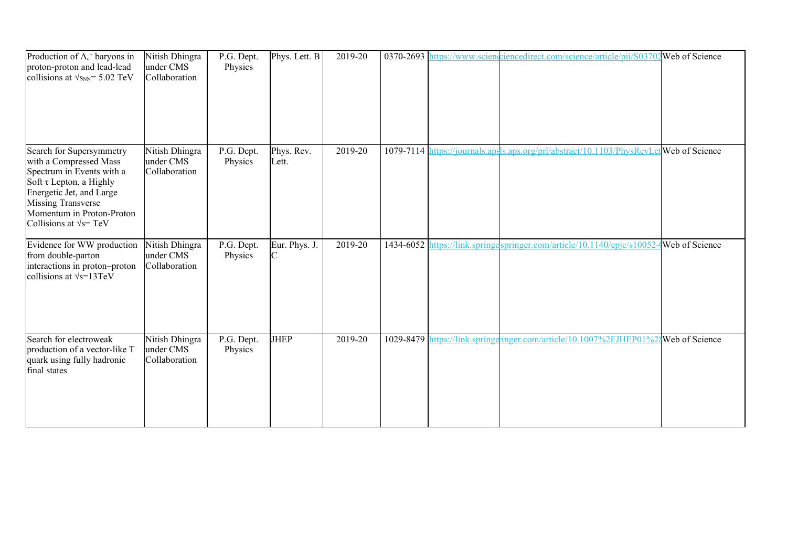| Production of $\Lambda_c^+$ baryons in<br>proton-proton and lead-lead<br>collisions at $\sqrt{s_{NN}}$ = 5.02 TeV                                                                                                                  | Nitish Dhingra<br>under CMS<br>Collaboration | P.G. Dept.<br>Physics | Phys. Lett. B       | 2019-20 |                                | 0370-2693 https://www.scienciencedirect.com/science/article/pii/S03702 Web of Science |                   |
|------------------------------------------------------------------------------------------------------------------------------------------------------------------------------------------------------------------------------------|----------------------------------------------|-----------------------|---------------------|---------|--------------------------------|---------------------------------------------------------------------------------------|-------------------|
| Search for Supersymmetry<br>with a Compressed Mass<br>Spectrum in Events with a<br>Soft τ Lepton, a Highly<br>Energetic Jet, and Large<br><b>Missing Transverse</b><br>Momentum in Proton-Proton<br>Collisions at $\sqrt{s}$ = TeV | Nitish Dhingra<br>under CMS<br>Collaboration | P.G. Dept.<br>Physics | Phys. Rev.<br>Lett. | 2019-20 | 1079-7114 https://journals.aps | ls.aps.org/prl/abstract/10.1103/PhysRevLet Web of Science                             |                   |
| Evidence for WW production<br>from double-parton<br>interactions in proton-proton<br>collisions at $\sqrt{s}$ =13TeV                                                                                                               | Nitish Dhingra<br>under CMS<br>Collaboration | P.G. Dept.<br>Physics | Eur. Phys. J.       | 2019-20 |                                | 1434-6052 https://link.springespringer.com/article/10.1140/epic/s10052                | $-Web$ of Science |
| Search for electroweak<br>production of a vector-like T<br>quark using fully hadronic<br>final states                                                                                                                              | Nitish Dhingra<br>under CMS<br>Collaboration | P.G. Dept.<br>Physics | <b>JHEP</b>         | 2019-20 |                                | 1029-8479 https://link.springeringer.com/article/10.1007%2FJHEP01%24Web of Science    |                   |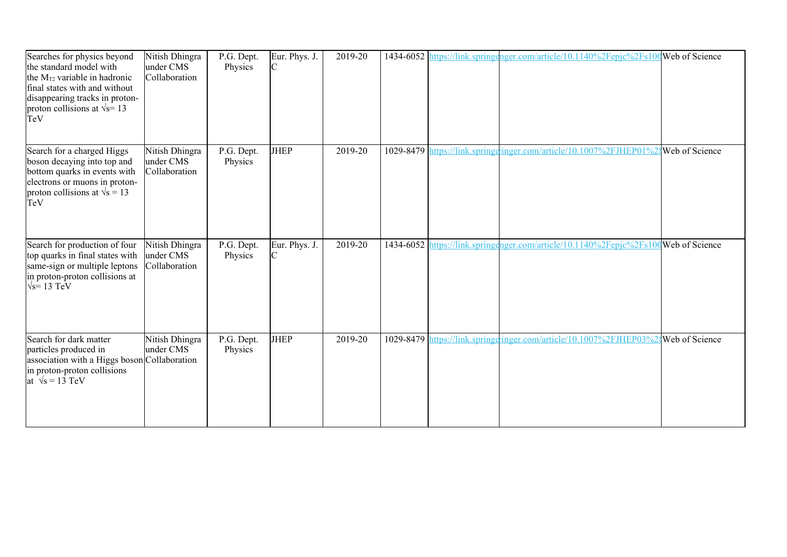| Searches for physics beyond<br>the standard model with<br>the $M_{T2}$ variable in hadronic<br>final states with and without<br>disappearing tracks in proton-<br>proton collisions at $\sqrt{s}$ = 13<br>TeV | Nitish Dhingra<br>under CMS<br>Collaboration | P.G. Dept.<br>Physics | Eur. Phys. J.<br>C | 2019-20 |  | 1434-6052 https://link.springenger.com/article/10.1140%2Fepjc%2Fs100Web of Science |  |
|---------------------------------------------------------------------------------------------------------------------------------------------------------------------------------------------------------------|----------------------------------------------|-----------------------|--------------------|---------|--|------------------------------------------------------------------------------------|--|
| Search for a charged Higgs<br>boson decaying into top and<br>bottom quarks in events with<br>electrons or muons in proton-<br>proton collisions at $\sqrt{s} = 13$<br>TeV                                     | Nitish Dhingra<br>under CMS<br>Collaboration | P.G. Dept.<br>Physics | <b>JHEP</b>        | 2019-20 |  | 1029-8479 https://link.springeringer.com/article/10.1007%2FJHEP01%2{Web of Science |  |
| Search for production of four<br>top quarks in final states with<br>same-sign or multiple leptons<br>in proton-proton collisions at<br>$\sqrt{s}$ = 13 TeV                                                    | Nitish Dhingra<br>under CMS<br>Collaboration | P.G. Dept.<br>Physics | Eur. Phys. J.<br>C | 2019-20 |  | 1434-6052 https://link.springenger.com/article/10.1140%2Fepjc%2Fs100Web of Science |  |
| Search for dark matter<br>particles produced in<br>association with a Higgs boson Collaboration<br>in proton-proton collisions<br>at $\sqrt{s} = 13 \text{ TeV}$                                              | Nitish Dhingra<br>under CMS                  | P.G. Dept.<br>Physics | <b>JHEP</b>        | 2019-20 |  | 1029-8479 https://link.springeringer.com/article/10.1007%2FJHEP03%24Web of Science |  |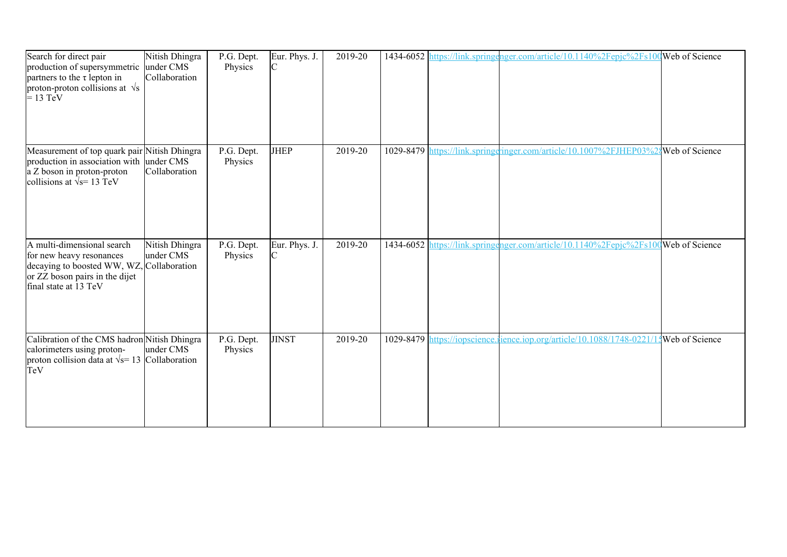| Search for direct pair<br>production of supersymmetric<br>partners to the $\tau$ lepton in<br>proton-proton collisions at $\sqrt{s}$<br>$= 13$ TeV             | Nitish Dhingra<br>under CMS<br>Collaboration | P.G. Dept.<br>Physics | Eur. Phys. J.<br>C | 2019-20 |  | 1434-6052 https://link.springenger.com/article/10.1140%2Fepjc%2Fs100Web of Science  |                |
|----------------------------------------------------------------------------------------------------------------------------------------------------------------|----------------------------------------------|-----------------------|--------------------|---------|--|-------------------------------------------------------------------------------------|----------------|
| Measurement of top quark pair Nitish Dhingra<br>production in association with under CMS<br>a Z boson in proton-proton<br>collisions at $\sqrt{s}$ = 13 TeV    | Collaboration                                | P.G. Dept.<br>Physics | <b>JHEP</b>        | 2019-20 |  | 1029-8479 https://link.springeringer.com/article/10.1007%2FJHEP03%28 Web of Science |                |
| A multi-dimensional search<br>for new heavy resonances<br>decaying to boosted WW, WZ, Collaboration<br>or ZZ boson pairs in the dijet<br>final state at 13 TeV | Nitish Dhingra<br>under CMS                  | P.G. Dept.<br>Physics | Eur. Phys. J.      | 2019-20 |  | 1434-6052 https://link.springenger.com/article/10.1140%2Fepjc%2Fs100Web of Science  |                |
| Calibration of the CMS hadron Nitish Dhingra<br>calorimeters using proton-<br>proton collision data at $\sqrt{s}$ = 13 Collaboration<br>TeV                    | under CMS                                    | P.G. Dept.<br>Physics | <b>JINST</b>       | 2019-20 |  | 1029-8479 https://iopscience.jience.jop.org/article/10.1088/1748-0221/1             | Web of Science |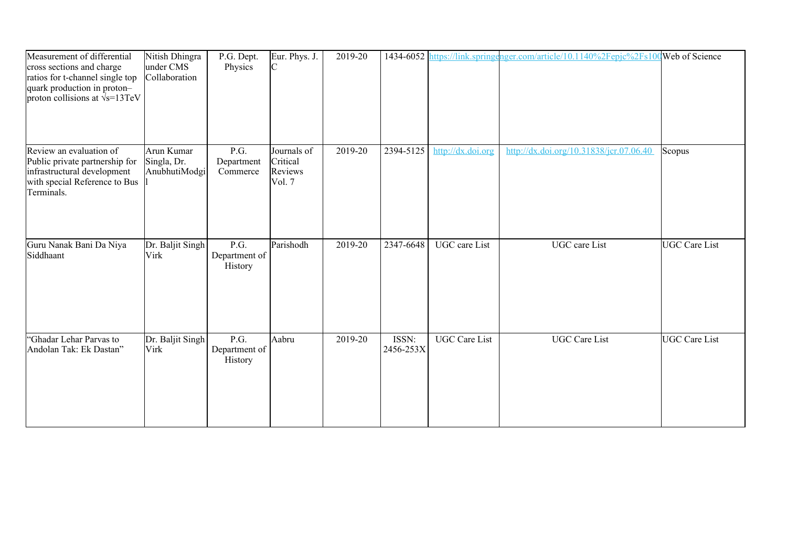| Measurement of differential<br>cross sections and charge<br>ratios for t-channel single top<br>quark production in proton-<br>proton collisions at $\sqrt{s}$ =13TeV | Nitish Dhingra<br>under CMS<br>Collaboration | P.G. Dept.<br>Physics            | Eur. Phys. J.<br>С                           | 2019-20 |                    |                      | 1434-6052 https://link.springenger.com/article/10.1140%2Fepjc%2Fs100 Web of Science |               |
|----------------------------------------------------------------------------------------------------------------------------------------------------------------------|----------------------------------------------|----------------------------------|----------------------------------------------|---------|--------------------|----------------------|-------------------------------------------------------------------------------------|---------------|
| Review an evaluation of<br>Public private partnership for<br>infrastructural development<br>with special Reference to Bus<br>Terminals.                              | Arun Kumar<br>Singla, Dr.<br>AnubhutiModgi   | P.G.<br>Department<br>Commerce   | Journals of<br>Critical<br>Reviews<br>Vol. 7 | 2019-20 | 2394-5125          | http://dx.doi.org    | http://dx.doi.org/10.31838/jcr.07.06.40                                             | Scopus        |
| Guru Nanak Bani Da Niya<br>Siddhaant                                                                                                                                 | Dr. Baljit Singh<br>Virk                     | P.G.<br>Department of<br>History | Parishodh                                    | 2019-20 | 2347-6648          | <b>UGC</b> care List | <b>UGC</b> care List                                                                | UGC Care List |
| "Ghadar Lehar Parvas to<br>Andolan Tak: Ek Dastan"                                                                                                                   | Dr. Baljit Singh<br><b>Virk</b>              | P.G.<br>Department of<br>History | Aabru                                        | 2019-20 | ISSN:<br>2456-253X | <b>UGC</b> Care List | <b>UGC</b> Care List                                                                | UGC Care List |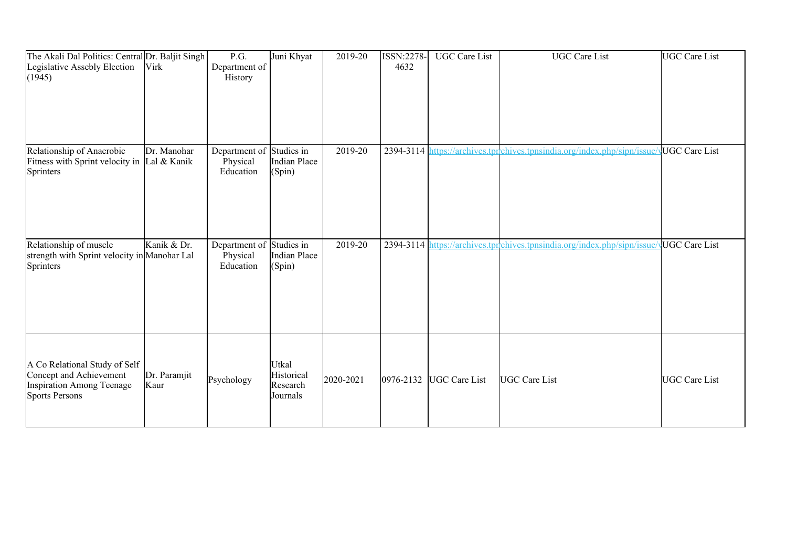| The Akali Dal Politics: Central Dr. Baljit Singh<br>Legislative Assebly Election<br>(1945)                            | Virk                 | P.G.<br>Department of<br>History       | Juni Khyat                                  | 2019-20   | ISSN:2278-<br>4632 | <b>UGC</b> Care List | <b>UGC</b> Care List                                                     | UGC Care List |
|-----------------------------------------------------------------------------------------------------------------------|----------------------|----------------------------------------|---------------------------------------------|-----------|--------------------|----------------------|--------------------------------------------------------------------------|---------------|
| Relationship of Anaerobic<br>Fitness with Sprint velocity in $\vert$ Lal & Kanik<br>Sprinters                         | Dr. Manohar          | Department of<br>Physical<br>Education | Studies in<br>Indian Place<br>(Spin)        | 2019-20   |                    |                      | 2394-3114 https://archives.tprchives.tpnsindia.org/index.php/sipn/issue/ |               |
| Relationship of muscle<br>strength with Sprint velocity in Manohar Lal<br>Sprinters                                   | Kanik & Dr.          | Department of<br>Physical<br>Education | Studies in<br>Indian Place<br>(Spin)        | 2019-20   |                    |                      | 2394-3114 https://archives.tprchives.tpnsindia.org/index.php/sipn/issue/ |               |
| A Co Relational Study of Self<br>Concept and Achievement<br><b>Inspiration Among Teenage</b><br><b>Sports Persons</b> | Dr. Paramjit<br>Kaur | Psychology                             | Utkal<br>Historical<br>Research<br>Journals | 2020-2021 | $ 0976 - 2132 $    | <b>UGC</b> Care List | <b>UGC Care List</b>                                                     | UGC Care List |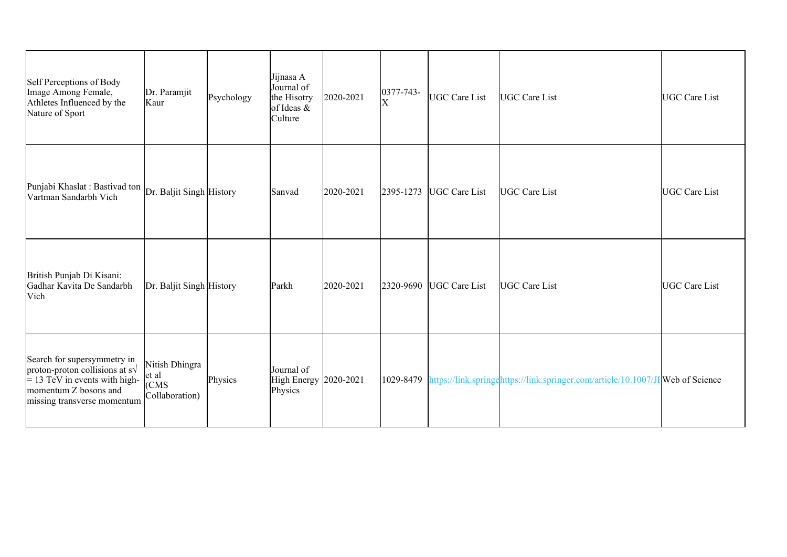| Self Perceptions of Body<br>Image Among Female,<br>Athletes Influenced by the<br>Nature of Sport                                                                 | Dr. Paramjit<br>Kaur                                           | Psychology | Jijnasa A<br>Journal of<br>the Hisotry<br>of Ideas $\&$<br>Culture | 2020-2021 | $ 0377 - 743 -$<br>$\overline{\mathrm{X}}$ | <b>UGC Care List</b> | UGC Care List                                                                   | <b>UGC Care List</b> |
|------------------------------------------------------------------------------------------------------------------------------------------------------------------|----------------------------------------------------------------|------------|--------------------------------------------------------------------|-----------|--------------------------------------------|----------------------|---------------------------------------------------------------------------------|----------------------|
| Punjabi Khaslat : Bastivad ton Dr. Baljit Singh History<br>Vartman Sandarbh Vich                                                                                 |                                                                |            | Sanvad                                                             | 2020-2021 | 2395-1273                                  | <b>UGC</b> Care List | UGC Care List                                                                   | <b>UGC Care List</b> |
| British Punjab Di Kisani:<br>Gadhar Kavita De Sandarbh<br>Vich                                                                                                   | Dr. Baljit Singh History                                       |            | Parkh                                                              | 2020-2021 | 2320-9690                                  | <b>UGC</b> Care List | UGC Care List                                                                   | <b>UGC Care List</b> |
| Search for supersymmetry in<br>proton-proton collisions at $s\sqrt{}$<br>$= 13$ TeV in events with high-<br>momentum Z bosons and<br>missing transverse momentum | Nitish Dhingra<br>et al<br>  <sub>CCMS</sub><br>Collaboration) | Physics    | Journal of<br>High Energy 2020-2021<br>Physics                     |           | 1029-8479                                  |                      | https://link.springehttps://link.springer.com/article/10.1007/JH Web of Science |                      |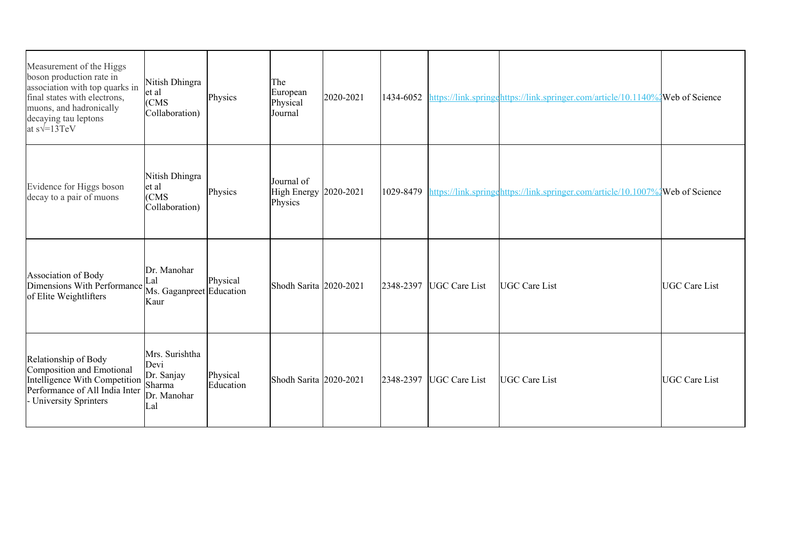| Measurement of the Higgs<br>boson production rate in<br>association with top quarks in<br>final states with electrons,<br>muons, and hadronically<br>decaying tau leptons<br>at $s\sqrt{=}13TeV$ | Nitish Dhingra<br>et al<br>(CMS)<br>Collaboration)                   | Physics               | The<br>European<br>Physical<br>Journal | 2020-2021 | 1434-6052 |                      | https://link.springehttps://link.springer.com/article/10.1140%2Web of Science |                      |
|--------------------------------------------------------------------------------------------------------------------------------------------------------------------------------------------------|----------------------------------------------------------------------|-----------------------|----------------------------------------|-----------|-----------|----------------------|-------------------------------------------------------------------------------|----------------------|
| Evidence for Higgs boson<br>decay to a pair of muons                                                                                                                                             | Nitish Dhingra<br>et al<br>  <sub>CC</sub> MS<br>Collaboration)      | Physics               | Journal of<br>High Energy<br>Physics   | 2020-2021 | 1029-8479 |                      | https://link.springehttps://link.springer.com/article/10.1007%2Web of Science |                      |
| Association of Body<br>Dimensions With Performance Ms. Gaganpreet Education<br>of Elite Weightlifters                                                                                            | Dr. Manohar<br>Lal<br>Kaur                                           | Physical              | Shodh Sarita 2020-2021                 |           | 2348-2397 | UGC Care List        | UGC Care List                                                                 | <b>UGC Care List</b> |
| Relationship of Body<br>Composition and Emotional<br>Intelligence With Competition<br>Performance of All India Inter<br>University Sprinters                                                     | Mrs. Surishtha<br>Devi<br>Dr. Sanjay<br>Sharma<br>Dr. Manohar<br>Lal | Physical<br>Education | Shodh Sarita 2020-2021                 |           | 2348-2397 | <b>UGC</b> Care List | UGC Care List                                                                 | <b>UGC</b> Care List |